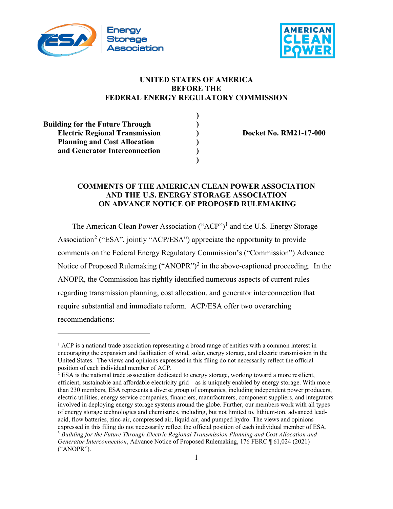



## **UNITED STATES OF AMERICA BEFORE THE FEDERAL ENERGY REGULATORY COMMISSION**

| <b>Building for the Future Through</b> |  |
|----------------------------------------|--|
| <b>Electric Regional Transmission</b>  |  |
| <b>Planning and Cost Allocation</b>    |  |
| and Generator Interconnection          |  |
|                                        |  |

**Electric Regional Transmission ) Docket No. RM21-17-000**

#### **COMMENTS OF THE AMERICAN CLEAN POWER ASSOCIATION AND THE U.S. ENERGY STORAGE ASSOCIATION ON ADVANCE NOTICE OF PROPOSED RULEMAKING**

The American Clean Power Association  $("ACP")^1$  $("ACP")^1$  and the U.S. Energy Storage Association<sup>[2](#page-0-1)</sup> ("ESA", jointly "ACP/ESA") appreciate the opportunity to provide comments on the Federal Energy Regulatory Commission's ("Commission") Advance Notice of Proposed Rulemaking ("ANOPR")<sup>[3](#page-0-2)</sup> in the above-captioned proceeding. In the ANOPR, the Commission has rightly identified numerous aspects of current rules regarding transmission planning, cost allocation, and generator interconnection that require substantial and immediate reform. ACP/ESA offer two overarching recommendations:

<span id="page-0-0"></span> $1$  ACP is a national trade association representing a broad range of entities with a common interest in encouraging the expansion and facilitation of wind, solar, energy storage, and electric transmission in the United States. The views and opinions expressed in this filing do not necessarily reflect the official position of each individual member of ACP.

<span id="page-0-2"></span><span id="page-0-1"></span> $<sup>2</sup>$  ESA is the national trade association dedicated to energy storage, working toward a more resilient,</sup> efficient, sustainable and affordable electricity grid – as is uniquely enabled by energy storage. With more than 230 members, ESA represents a diverse group of companies, including independent power producers, electric utilities, energy service companies, financiers, manufacturers, component suppliers, and integrators involved in deploying energy storage systems around the globe. Further, our members work with all types of energy storage technologies and chemistries, including, but not limited to, lithium-ion, advanced leadacid, flow batteries, zinc-air, compressed air, liquid air, and pumped hydro. The views and opinions expressed in this filing do not necessarily reflect the official position of each individual member of ESA. <sup>3</sup> *Building for the Future Through Electric Regional Transmission Planning and Cost Allocation and Generator Interconnection*, Advance Notice of Proposed Rulemaking, 176 FERC ¶ 61,024 (2021) ("ANOPR").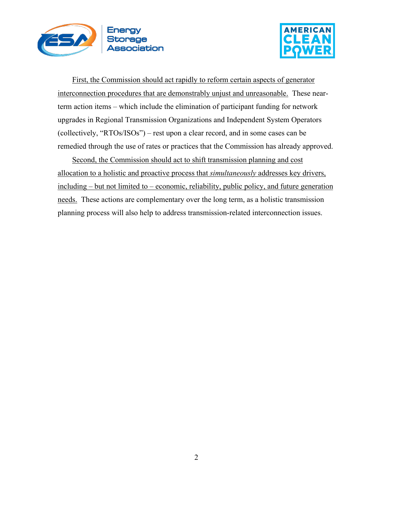



First, the Commission should act rapidly to reform certain aspects of generator interconnection procedures that are demonstrably unjust and unreasonable. These nearterm action items – which include the elimination of participant funding for network upgrades in Regional Transmission Organizations and Independent System Operators (collectively, "RTOs/ISOs") – rest upon a clear record, and in some cases can be remedied through the use of rates or practices that the Commission has already approved.

Second, the Commission should act to shift transmission planning and cost allocation to a holistic and proactive process that *simultaneously* addresses key drivers, including – but not limited to – economic, reliability, public policy, and future generation needs. These actions are complementary over the long term, as a holistic transmission planning process will also help to address transmission-related interconnection issues.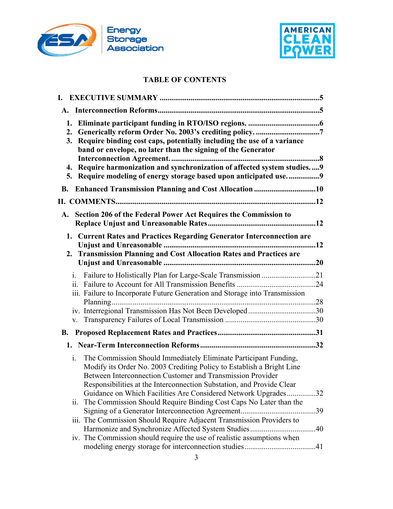



## **TABLE OF CONTENTS**

| 3.        | 2. Generically reform Order No. 2003's crediting policy. 7<br>Require binding cost caps, potentially including the use of a variance<br>band or envelope, no later than the signing of the Generator<br>4. Require harmonization and synchronization of affected system studies 9<br>5. Require modeling of energy storage based upon anticipated use9 |
|-----------|--------------------------------------------------------------------------------------------------------------------------------------------------------------------------------------------------------------------------------------------------------------------------------------------------------------------------------------------------------|
| <b>B.</b> |                                                                                                                                                                                                                                                                                                                                                        |
|           |                                                                                                                                                                                                                                                                                                                                                        |
| A.        | Section 206 of the Federal Power Act Requires the Commission to                                                                                                                                                                                                                                                                                        |
| 2.        | 1. Current Rates and Practices Regarding Generator Interconnection are<br><b>Transmission Planning and Cost Allocation Rates and Practices are</b>                                                                                                                                                                                                     |
| 1.        | Failure to Holistically Plan for Large-Scale Transmission 21<br>iii. Failure to Incorporate Future Generation and Storage into Transmission                                                                                                                                                                                                            |
| V.        | iv. Interregional Transmission Has Not Been Developed30                                                                                                                                                                                                                                                                                                |
|           |                                                                                                                                                                                                                                                                                                                                                        |
|           |                                                                                                                                                                                                                                                                                                                                                        |
| i.        | The Commission Should Immediately Eliminate Participant Funding,<br>Modify its Order No. 2003 Crediting Policy to Establish a Bright Line<br>Between Interconnection Customer and Transmission Provider<br>Responsibilities at the Interconnection Substation, and Provide Clear<br>Guidance on Which Facilities Are Considered Network Upgrades32     |
| ii.       | The Commission Should Require Binding Cost Caps No Later than the<br>.39                                                                                                                                                                                                                                                                               |
|           | iii. The Commission Should Require Adjacent Transmission Providers to<br>Harmonize and Synchronize Affected System Studies40                                                                                                                                                                                                                           |
|           | iv. The Commission should require the use of realistic assumptions when                                                                                                                                                                                                                                                                                |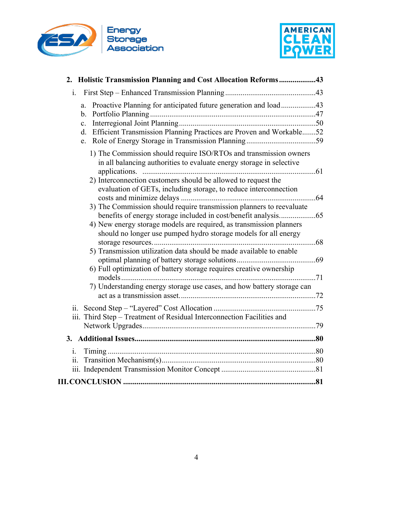



| 2. Holistic Transmission Planning and Cost Allocation Reforms43                                                                            |  |
|--------------------------------------------------------------------------------------------------------------------------------------------|--|
| i.                                                                                                                                         |  |
| Proactive Planning for anticipated future generation and load43<br>a.<br>b.                                                                |  |
| c.<br>d. Efficient Transmission Planning Practices are Proven and Workable52<br>e.                                                         |  |
| 1) The Commission should require ISO/RTOs and transmission owners<br>in all balancing authorities to evaluate energy storage in selective  |  |
| 2) Interconnection customers should be allowed to request the<br>evaluation of GETs, including storage, to reduce interconnection          |  |
| 3) The Commission should require transmission planners to reevaluate                                                                       |  |
| 4) New energy storage models are required, as transmission planners<br>should no longer use pumped hydro storage models for all energy     |  |
| 5) Transmission utilization data should be made available to enable<br>6) Full optimization of battery storage requires creative ownership |  |
| 7) Understanding energy storage use cases, and how battery storage can                                                                     |  |
| iii. Third Step – Treatment of Residual Interconnection Facilities and                                                                     |  |
|                                                                                                                                            |  |
| i.                                                                                                                                         |  |
|                                                                                                                                            |  |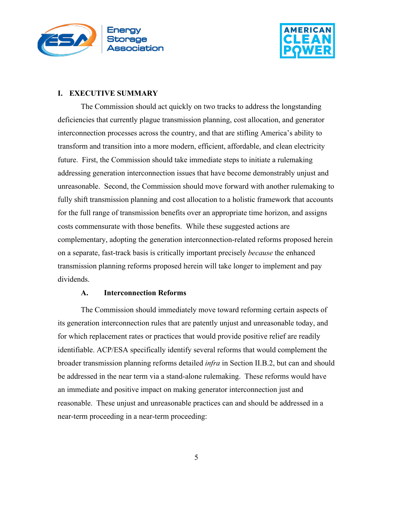



#### <span id="page-4-0"></span>**I. EXECUTIVE SUMMARY**

The Commission should act quickly on two tracks to address the longstanding deficiencies that currently plague transmission planning, cost allocation, and generator interconnection processes across the country, and that are stifling America's ability to transform and transition into a more modern, efficient, affordable, and clean electricity future. First, the Commission should take immediate steps to initiate a rulemaking addressing generation interconnection issues that have become demonstrably unjust and unreasonable. Second, the Commission should move forward with another rulemaking to fully shift transmission planning and cost allocation to a holistic framework that accounts for the full range of transmission benefits over an appropriate time horizon, and assigns costs commensurate with those benefits. While these suggested actions are complementary, adopting the generation interconnection-related reforms proposed herein on a separate, fast-track basis is critically important precisely *because* the enhanced transmission planning reforms proposed herein will take longer to implement and pay dividends.

#### **A. Interconnection Reforms**

<span id="page-4-1"></span>The Commission should immediately move toward reforming certain aspects of its generation interconnection rules that are patently unjust and unreasonable today, and for which replacement rates or practices that would provide positive relief are readily identifiable. ACP/ESA specifically identify several reforms that would complement the broader transmission planning reforms detailed *infra* in Section II.B.2, but can and should be addressed in the near term via a stand-alone rulemaking. These reforms would have an immediate and positive impact on making generator interconnection just and reasonable. These unjust and unreasonable practices can and should be addressed in a near-term proceeding in a near-term proceeding: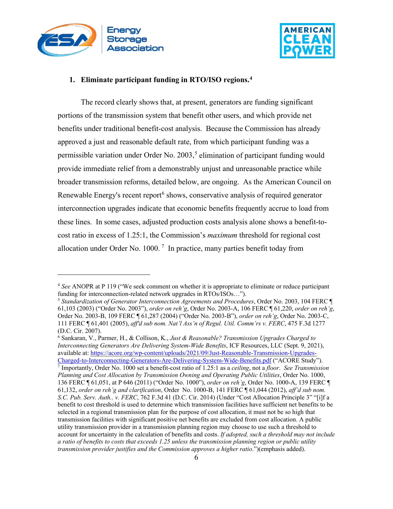



#### <span id="page-5-0"></span>**1. Eliminate participant funding in RTO/ISO regions. [4](#page-5-1)**

The record clearly shows that, at present, generators are funding significant portions of the transmission system that benefit other users, and which provide net benefits under traditional benefit-cost analysis. Because the Commission has already approved a just and reasonable default rate, from which participant funding was a permissible variation under Order No.  $2003<sub>5</sub>$  $2003<sub>5</sub>$  $2003<sub>5</sub>$ <sup>5</sup> elimination of participant funding would provide immediate relief from a demonstrably unjust and unreasonable practice while broader transmission reforms, detailed below, are ongoing. As the American Council on Renewable Energy's recent report<sup>[6](#page-5-3)</sup> shows, conservative analysis of required generator interconnection upgrades indicate that economic benefits frequently accrue to load from these lines. In some cases, adjusted production costs analysis alone shows a benefit-tocost ratio in excess of 1.25:1, the Commission's *maximum* threshold for regional cost allocation under Order No. 1000.<sup>[7](#page-5-4)</sup> In practice, many parties benefit today from

<span id="page-5-4"></span><span id="page-5-3"></span><sup>6</sup> Sankaran, V., Parmer, H., & Collison, K., *Just & Reasonable? Transmission Upgrades Charged to Interconnecting Generators Are Delivering System-Wide Benefits*, ICF Resources, LLC (Sept. 9, 2021), available at: [https://acore.org/wp-content/uploads/2021/09/Just-Reasonable-Transmission-Upgrades-](https://acore.org/wp-content/uploads/2021/09/Just-Reasonable-Transmission-Upgrades-Charged-to-Interconnecting-Generators-Are-Delivering-System-Wide-Benefits.pdf)[Charged-to-Interconnecting-Generators-Are-Delivering-System-Wide-Benefits.pdf](https://acore.org/wp-content/uploads/2021/09/Just-Reasonable-Transmission-Upgrades-Charged-to-Interconnecting-Generators-Are-Delivering-System-Wide-Benefits.pdf) ("ACORE Study"). <sup>7</sup> Importantly, Order No. 1000 set a benefit-cost ratio of 1.25:1 as a *ceiling*, not a *floor*. *See Transmission Planning and Cost Allocation by Transmission Owning and Operating Public Utilities*, Order No. 1000, 136 FERC ¶ 61,051, at P 646 (2011) ("Order No. 1000"), *order on reh'g*, Order No. 1000-A, 139 FERC ¶ 61,132, *order on reh'g and clarification*, Order No. 1000-B, 141 FERC ¶ 61,044 (2012), *aff'd sub nom. S.C. Pub. Serv. Auth.. v. FERC*, 762 F.3d 41 (D.C. Cir. 2014) (Under "Cost Allocation Principle 3" "[i]f a benefit to cost threshold is used to determine which transmission facilities have sufficient net benefits to be selected in a regional transmission plan for the purpose of cost allocation, it must not be so high that transmission facilities with significant positive net benefits are excluded from cost allocation. A public utility transmission provider in a transmission planning region may choose to use such a threshold to account for uncertainty in the calculation of benefits and costs. *If adopted, such a threshold may not include a ratio of benefits to costs that exceeds 1.25 unless the transmission planning region or public utility transmission provider justifies and the Commission approves a higher ratio*.")(emphasis added).

<span id="page-5-1"></span><sup>4</sup> *See* ANOPR at P 119 ("We seek comment on whether it is appropriate to eliminate or reduce participant funding for interconnection-related network upgrades in RTOs/ISOs…").

<span id="page-5-2"></span><sup>5</sup> *Standardization of Generator Interconnection Agreements and Procedures*, Order No. 2003, 104 FERC ¶ 61,103 (2003) ("Order No. 2003"), *order on reh'g*, Order No. 2003-A, 106 FERC ¶ 61,220, *order on reh'g*, Order No. 2003-B, 109 FERC ¶ 61,287 (2004) ("Order No. 2003-B"), *order on reh'g*, Order No. 2003-C, 111 FERC ¶ 61,401 (2005), *aff'd sub nom. Nat'l Ass'n of Regul. Util. Comm'rs v. FERC*, 475 F.3d 1277 (D.C. Cir. 2007).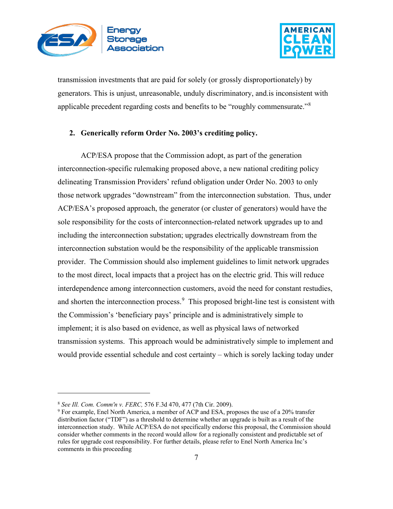



transmission investments that are paid for solely (or grossly disproportionately) by generators. This is unjust, unreasonable, unduly discriminatory, and.is inconsistent with applicable precedent regarding costs and benefits to be "roughly commensurate."[8](#page-6-1)

#### <span id="page-6-0"></span>**2. Generically reform Order No. 2003's crediting policy.**

ACP/ESA propose that the Commission adopt, as part of the generation interconnection-specific rulemaking proposed above, a new national crediting policy delineating Transmission Providers' refund obligation under Order No. 2003 to only those network upgrades "downstream" from the interconnection substation. Thus, under ACP/ESA's proposed approach, the generator (or cluster of generators) would have the sole responsibility for the costs of interconnection-related network upgrades up to and including the interconnection substation; upgrades electrically downstream from the interconnection substation would be the responsibility of the applicable transmission provider. The Commission should also implement guidelines to limit network upgrades to the most direct, local impacts that a project has on the electric grid. This will reduce interdependence among interconnection customers, avoid the need for constant restudies, and shorten the interconnection process.<sup>[9](#page-6-2)</sup> This proposed bright-line test is consistent with the Commission's 'beneficiary pays' principle and is administratively simple to implement; it is also based on evidence, as well as physical laws of networked transmission systems. This approach would be administratively simple to implement and would provide essential schedule and cost certainty – which is sorely lacking today under

<span id="page-6-1"></span><sup>8</sup> *See Ill. Com. Comm'n v. FERC,* 576 F.3d 470, 477 (7th Cir. 2009).

<span id="page-6-2"></span><sup>9</sup> For example, Enel North America, a member of ACP and ESA, proposes the use of a 20% transfer distribution factor ("TDF") as a threshold to determine whether an upgrade is built as a result of the interconnection study. While ACP/ESA do not specifically endorse this proposal, the Commission should consider whether comments in the record would allow for a regionally consistent and predictable set of rules for upgrade cost responsibility. For further details, please refer to Enel North America Inc's comments in this proceeding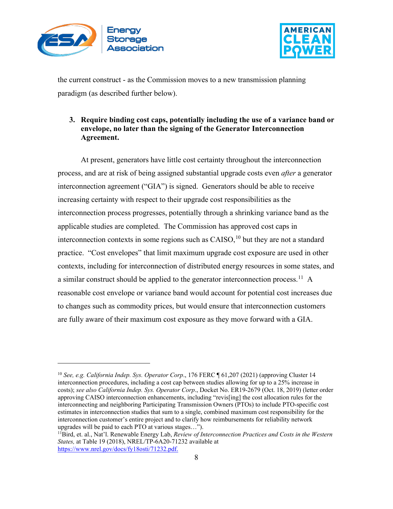



the current construct - as the Commission moves to a new transmission planning paradigm (as described further below).

## <span id="page-7-0"></span>**3. Require binding cost caps, potentially including the use of a variance band or envelope, no later than the signing of the Generator Interconnection Agreement.**

At present, generators have little cost certainty throughout the interconnection process, and are at risk of being assigned substantial upgrade costs even *after* a generator interconnection agreement ("GIA") is signed. Generators should be able to receive increasing certainty with respect to their upgrade cost responsibilities as the interconnection process progresses, potentially through a shrinking variance band as the applicable studies are completed. The Commission has approved cost caps in interconnection contexts in some regions such as  $C A ISO$ , <sup>[10](#page-7-1)</sup> but they are not a standard practice. "Cost envelopes" that limit maximum upgrade cost exposure are used in other contexts, including for interconnection of distributed energy resources in some states, and a similar construct should be applied to the generator interconnection process.<sup>11</sup> A reasonable cost envelope or variance band would account for potential cost increases due to changes such as commodity prices, but would ensure that interconnection customers are fully aware of their maximum cost exposure as they move forward with a GIA.

<span id="page-7-1"></span><sup>10</sup> *See, e.g. California Indep. Sys. Operator Corp*., 176 FERC ¶ 61,207 (2021) (approving Cluster 14 interconnection procedures, including a cost cap between studies allowing for up to a 25% increase in costs); *see also California Indep. Sys. Operator Corp*., Docket No. ER19-2679 (Oct. 18, 2019) (letter order approving CAISO interconnection enhancements, including "revis[ing] the cost allocation rules for the interconnecting and neighboring Participating Transmission Owners (PTOs) to include PTO-specific cost estimates in interconnection studies that sum to a single, combined maximum cost responsibility for the interconnection customer's entire project and to clarify how reimbursements for reliability network upgrades will be paid to each PTO at various stages…").

<span id="page-7-2"></span><sup>11</sup>Bird, et. al., Nat'l. Renewable Energy Lab, *Review of Interconnection Practices and Costs in the Western States,* at Table 19 (2018), NREL/TP-6A20-71232 available at [https://www.nrel.gov/docs/fy18osti/71232.pdf.](https://www.nrel.gov/docs/fy18osti/71232.pdf)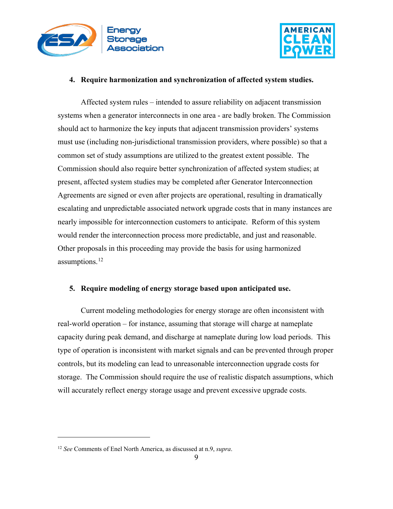



#### <span id="page-8-0"></span>**4. Require harmonization and synchronization of affected system studies.**

Affected system rules – intended to assure reliability on adjacent transmission systems when a generator interconnects in one area - are badly broken. The Commission should act to harmonize the key inputs that adjacent transmission providers' systems must use (including non-jurisdictional transmission providers, where possible) so that a common set of study assumptions are utilized to the greatest extent possible. The Commission should also require better synchronization of affected system studies; at present, affected system studies may be completed after Generator Interconnection Agreements are signed or even after projects are operational, resulting in dramatically escalating and unpredictable associated network upgrade costs that in many instances are nearly impossible for interconnection customers to anticipate. Reform of this system would render the interconnection process more predictable, and just and reasonable. Other proposals in this proceeding may provide the basis for using harmonized assumptions.<sup>12</sup>

#### <span id="page-8-1"></span>**5. Require modeling of energy storage based upon anticipated use.**

Current modeling methodologies for energy storage are often inconsistent with real-world operation – for instance, assuming that storage will charge at nameplate capacity during peak demand, and discharge at nameplate during low load periods. This type of operation is inconsistent with market signals and can be prevented through proper controls, but its modeling can lead to unreasonable interconnection upgrade costs for storage. The Commission should require the use of realistic dispatch assumptions, which will accurately reflect energy storage usage and prevent excessive upgrade costs.

<span id="page-8-2"></span><sup>12</sup> *See* Comments of Enel North America, as discussed at n.9, *supra*.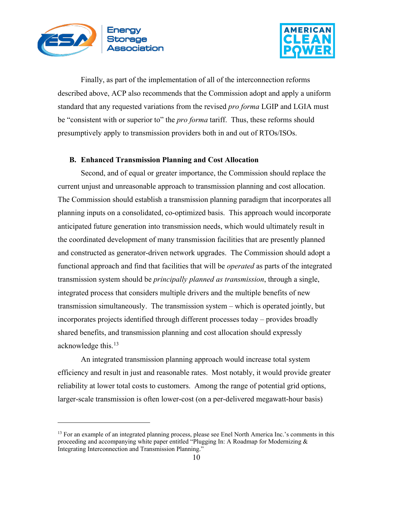



Finally, as part of the implementation of all of the interconnection reforms described above, ACP also recommends that the Commission adopt and apply a uniform standard that any requested variations from the revised *pro forma* LGIP and LGIA must be "consistent with or superior to" the *pro forma* tariff. Thus, these reforms should presumptively apply to transmission providers both in and out of RTOs/ISOs.

#### <span id="page-9-0"></span>**B. Enhanced Transmission Planning and Cost Allocation**

Second, and of equal or greater importance, the Commission should replace the current unjust and unreasonable approach to transmission planning and cost allocation. The Commission should establish a transmission planning paradigm that incorporates all planning inputs on a consolidated, co-optimized basis. This approach would incorporate anticipated future generation into transmission needs, which would ultimately result in the coordinated development of many transmission facilities that are presently planned and constructed as generator-driven network upgrades. The Commission should adopt a functional approach and find that facilities that will be *operated* as parts of the integrated transmission system should be *principally planned as transmission*, through a single, integrated process that considers multiple drivers and the multiple benefits of new transmission simultaneously. The transmission system – which is operated jointly, but incorporates projects identified through different processes today – provides broadly shared benefits, and transmission planning and cost allocation should expressly acknowledge this.<sup>[13](#page-9-1)</sup>

An integrated transmission planning approach would increase total system efficiency and result in just and reasonable rates. Most notably, it would provide greater reliability at lower total costs to customers. Among the range of potential grid options, larger-scale transmission is often lower-cost (on a per-delivered megawatt-hour basis)

<span id="page-9-1"></span><sup>&</sup>lt;sup>13</sup> For an example of an integrated planning process, please see Enel North America Inc.'s comments in this proceeding and accompanying white paper entitled "Plugging In: A Roadmap for Modernizing & Integrating Interconnection and Transmission Planning."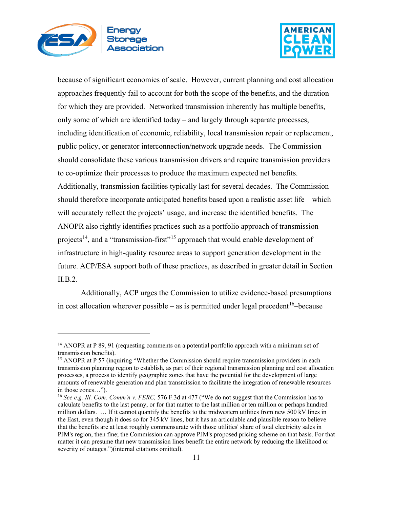



because of significant economies of scale. However, current planning and cost allocation approaches frequently fail to account for both the scope of the benefits, and the duration for which they are provided. Networked transmission inherently has multiple benefits, only some of which are identified today – and largely through separate processes, including identification of economic, reliability, local transmission repair or replacement, public policy, or generator interconnection/network upgrade needs. The Commission should consolidate these various transmission drivers and require transmission providers to co-optimize their processes to produce the maximum expected net benefits. Additionally, transmission facilities typically last for several decades. The Commission should therefore incorporate anticipated benefits based upon a realistic asset life – which will accurately reflect the projects' usage, and increase the identified benefits. The ANOPR also rightly identifies practices such as a portfolio approach of transmission projects<sup>14</sup>, and a "transmission-first"<sup>[15](#page-10-1)</sup> approach that would enable development of infrastructure in high-quality resource areas to support generation development in the future. ACP/ESA support both of these practices, as described in greater detail in Section II.B.2.

Additionally, ACP urges the Commission to utilize evidence-based presumptions in cost allocation wherever possible – as is permitted under legal precedent  $16$ -because

<span id="page-10-0"></span><sup>&</sup>lt;sup>14</sup> ANOPR at P 89, 91 (requesting comments on a potential portfolio approach with a minimum set of transmission benefits).

<span id="page-10-1"></span><sup>&</sup>lt;sup>15</sup> ANOPR at P 57 (inquiring "Whether the Commission should require transmission providers in each transmission planning region to establish, as part of their regional transmission planning and cost allocation processes, a process to identify geographic zones that have the potential for the development of large amounts of renewable generation and plan transmission to facilitate the integration of renewable resources in those zones…").

<span id="page-10-2"></span><sup>16</sup> *See e.g. Ill. Com. Comm'n v. FERC,* 576 F.3d at 477 ("We do not suggest that the Commission has to calculate benefits to the last penny, or for that matter to the last million or ten million or perhaps hundred million dollars. … If it cannot quantify the benefits to the midwestern utilities from new 500 kV lines in the East, even though it does so for 345 kV lines, but it has an articulable and plausible reason to believe that the benefits are at least roughly commensurate with those utilities' share of total electricity sales in PJM's region, then fine; the Commission can approve PJM's proposed pricing scheme on that basis. For that matter it can presume that new transmission lines benefit the entire network by reducing the likelihood or severity of outages.")(internal citations omitted).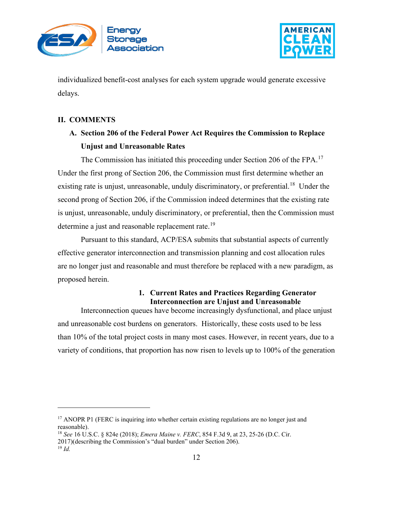



individualized benefit-cost analyses for each system upgrade would generate excessive delays.

## <span id="page-11-1"></span><span id="page-11-0"></span>**II. COMMENTS**

**A. Section 206 of the Federal Power Act Requires the Commission to Replace Unjust and Unreasonable Rates**

The Commission has initiated this proceeding under Section 206 of the FPA.<sup>[17](#page-11-3)</sup> Under the first prong of Section 206, the Commission must first determine whether an existing rate is unjust, unreasonable, unduly discriminatory, or preferential.<sup>18</sup> Under the second prong of Section 206, if the Commission indeed determines that the existing rate is unjust, unreasonable, unduly discriminatory, or preferential, then the Commission must determine a just and reasonable replacement rate.<sup>[19](#page-11-5)</sup>

Pursuant to this standard, ACP/ESA submits that substantial aspects of currently effective generator interconnection and transmission planning and cost allocation rules are no longer just and reasonable and must therefore be replaced with a new paradigm, as proposed herein.

#### **1. Current Rates and Practices Regarding Generator Interconnection are Unjust and Unreasonable**

<span id="page-11-2"></span>Interconnection queues have become increasingly dysfunctional, and place unjust and unreasonable cost burdens on generators. Historically, these costs used to be less than 10% of the total project costs in many most cases. However, in recent years, due to a variety of conditions, that proportion has now risen to levels up to 100% of the generation

<span id="page-11-4"></span><sup>18</sup> *See* 16 U.S.C. § 824e (2018); *Emera Maine v. FERC*, 854 F.3d 9, at 23, 25-26 (D.C. Cir.

<span id="page-11-3"></span><sup>&</sup>lt;sup>17</sup> ANOPR P1 (FERC is inquiring into whether certain existing regulations are no longer just and reasonable).

<sup>2017)(</sup>describing the Commission's "dual burden" under Section 206).

<span id="page-11-5"></span><sup>19</sup> *Id.*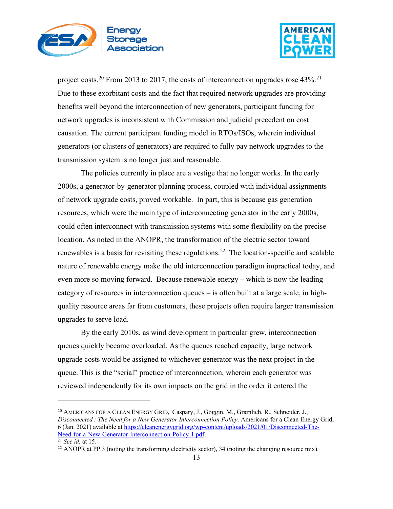



project costs.<sup>[20](#page-12-0)</sup> From 2013 to 2017, the costs of interconnection upgrades rose  $43\%$ <sup>[21](#page-12-1)</sup> Due to these exorbitant costs and the fact that required network upgrades are providing benefits well beyond the interconnection of new generators, participant funding for network upgrades is inconsistent with Commission and judicial precedent on cost causation. The current participant funding model in RTOs/ISOs, wherein individual generators (or clusters of generators) are required to fully pay network upgrades to the transmission system is no longer just and reasonable.

The policies currently in place are a vestige that no longer works. In the early 2000s, a generator-by-generator planning process, coupled with individual assignments of network upgrade costs, proved workable. In part, this is because gas generation resources, which were the main type of interconnecting generator in the early 2000s, could often interconnect with transmission systems with some flexibility on the precise location. As noted in the ANOPR, the transformation of the electric sector toward renewables is a basis for revisiting these regulations.<sup>[22](#page-12-2)</sup> The location-specific and scalable nature of renewable energy make the old interconnection paradigm impractical today, and even more so moving forward. Because renewable energy – which is now the leading category of resources in interconnection queues – is often built at a large scale, in highquality resource areas far from customers, these projects often require larger transmission upgrades to serve load.

By the early 2010s, as wind development in particular grew, interconnection queues quickly became overloaded. As the queues reached capacity, large network upgrade costs would be assigned to whichever generator was the next project in the queue. This is the "serial" practice of interconnection, wherein each generator was reviewed independently for its own impacts on the grid in the order it entered the

<span id="page-12-0"></span><sup>&</sup>lt;sup>20</sup> AMERICANS FOR A CLEAN ENERGY GRID, Caspary, J., Goggin, M., Gramlich, R., Schneider, J., *Disconnected : The Need for a New Generator Interconnection Policy,* Americans for a Clean Energy Grid, 6 (Jan. 2021) available at [https://cleanenergygrid.org/wp-content/uploads/2021/01/Disconnected-The-](https://cleanenergygrid.org/wp-content/uploads/2021/01/Disconnected-The-Need-for-a-New-Generator-Interconnection-Policy-1.pdf)[Need-for-a-New-Generator-Interconnection-Policy-1.pdf.](https://cleanenergygrid.org/wp-content/uploads/2021/01/Disconnected-The-Need-for-a-New-Generator-Interconnection-Policy-1.pdf) 21 *See id.* at 15.

<span id="page-12-1"></span>

<span id="page-12-2"></span> $22$  ANOPR at PP 3 (noting the transforming electricity sector), 34 (noting the changing resource mix).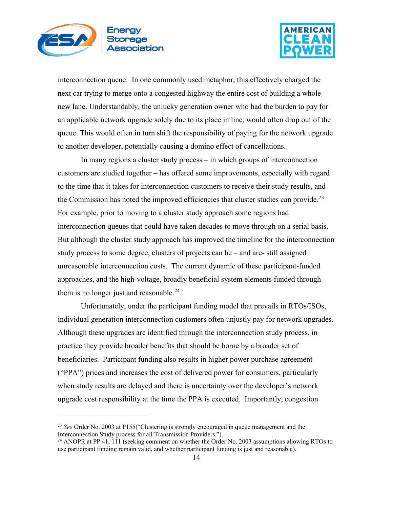



interconnection queue. In one commonly used metaphor, this effectively charged the next car trying to merge onto a congested highway the entire cost of building a whole new lane. Understandably, the unlucky generation owner who had the burden to pay for an applicable network upgrade solely due to its place in line, would often drop out of the queue. This would often in turn shift the responsibility of paying for the network upgrade to another developer, potentially causing a domino effect of cancellations.

In many regions a cluster study process – in which groups of interconnection customers are studied together – has offered some improvements, especially with regard to the time that it takes for interconnection customers to receive their study results, and the Commission has noted the improved efficiencies that cluster studies can provide. $^{23}$  $^{23}$  $^{23}$ For example, prior to moving to a cluster study approach some regions had interconnection queues that could have taken decades to move through on a serial basis. But although the cluster study approach has improved the timeline for the interconnection study process to some degree, clusters of projects can be – and are- still assigned unreasonable interconnection costs. The current dynamic of these participant-funded approaches, and the high-voltage, broadly beneficial system elements funded through them is no longer just and reasonable.<sup>[24](#page-13-1)</sup>

Unfortunately, under the participant funding model that prevails in RTOs/ISOs, individual generation interconnection customers often unjustly pay for network upgrades. Although these upgrades are identified through the interconnection study process, in practice they provide broader benefits that should be borne by a broader set of beneficiaries. Participant funding also results in higher power purchase agreement ("PPA") prices and increases the cost of delivered power for consumers, particularly when study results are delayed and there is uncertainty over the developer's network upgrade cost responsibility at the time the PPA is executed. Importantly, congestion

<span id="page-13-0"></span><sup>23</sup> *See* Order No. 2003 at P155("Clustering is strongly encouraged in queue management and the Interconnection Study process for all Transmission Providers.").

<span id="page-13-1"></span><sup>&</sup>lt;sup>24</sup> ANOPR at PP 41, 111 (seeking comment on whether the Order No. 2003 assumptions allowing RTOs to use participant funding remain valid, and whether participant funding is just and reasonable).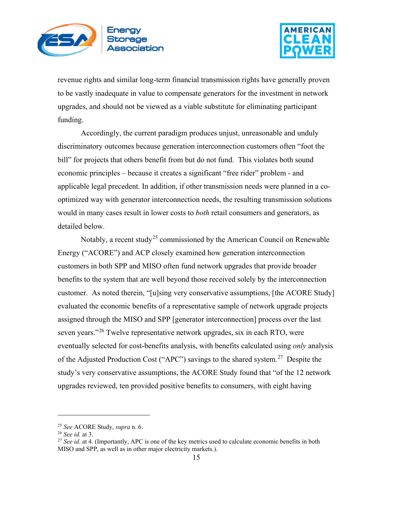



revenue rights and similar long-term financial transmission rights have generally proven to be vastly inadequate in value to compensate generators for the investment in network upgrades, and should not be viewed as a viable substitute for eliminating participant funding.

Accordingly, the current paradigm produces unjust, unreasonable and unduly discriminatory outcomes because generation interconnection customers often "foot the bill" for projects that others benefit from but do not fund. This violates both sound economic principles – because it creates a significant "free rider" problem - and applicable legal precedent. In addition, if other transmission needs were planned in a cooptimized way with generator interconnection needs, the resulting transmission solutions would in many cases result in lower costs to *both* retail consumers and generators, as detailed below.

Notably, a recent study<sup>[25](#page-14-0)</sup> commissioned by the American Council on Renewable Energy ("ACORE") and ACP closely examined how generation interconnection customers in both SPP and MISO often fund network upgrades that provide broader benefits to the system that are well beyond those received solely by the interconnection customer. As noted therein, "[u]sing very conservative assumptions, [the ACORE Study] evaluated the economic benefits of a representative sample of network upgrade projects assigned through the MISO and SPP [generator interconnection] process over the last seven years."<sup>[26](#page-14-1)</sup> Twelve representative network upgrades, six in each RTO, were eventually selected for cost-benefits analysis, with benefits calculated using *only* analysis of the Adjusted Production Cost ("APC") savings to the shared system.<sup>27</sup> Despite the study's very conservative assumptions, the ACORE Study found that "of the 12 network upgrades reviewed, ten provided positive benefits to consumers, with eight having

<span id="page-14-2"></span><span id="page-14-1"></span>

<span id="page-14-0"></span><sup>25</sup> *See* ACORE Study, *supra* n. 6. 26 *See id.* at 3. 27 *See id.* at 4. (Importantly, APC is one of the key metrics used to calculate economic benefits in both MISO and SPP, as well as in other major electricity markets.).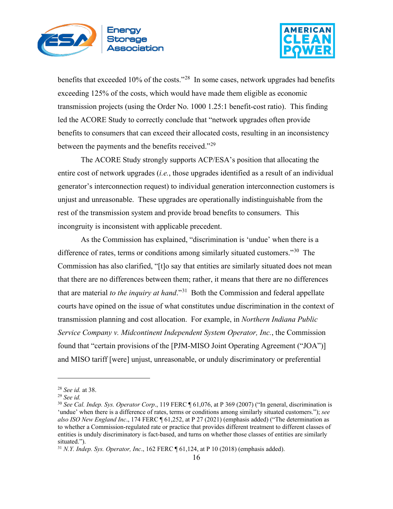



benefits that exceeded 10% of the costs."<sup>[28](#page-15-0)</sup> In some cases, network upgrades had benefits exceeding 125% of the costs, which would have made them eligible as economic transmission projects (using the Order No. 1000 1.25:1 benefit-cost ratio). This finding led the ACORE Study to correctly conclude that "network upgrades often provide benefits to consumers that can exceed their allocated costs, resulting in an inconsistency between the payments and the benefits received."<sup>[29](#page-15-1)</sup>

The ACORE Study strongly supports ACP/ESA's position that allocating the entire cost of network upgrades (*i.e.*, those upgrades identified as a result of an individual generator's interconnection request) to individual generation interconnection customers is unjust and unreasonable. These upgrades are operationally indistinguishable from the rest of the transmission system and provide broad benefits to consumers. This incongruity is inconsistent with applicable precedent.

As the Commission has explained, "discrimination is 'undue' when there is a difference of rates, terms or conditions among similarly situated customers."<sup>[30](#page-15-2)</sup> The Commission has also clarified, "[t]o say that entities are similarly situated does not mean that there are no differences between them; rather, it means that there are no differences that are material *to the inquiry at hand*."[31](#page-15-3) Both the Commission and federal appellate courts have opined on the issue of what constitutes undue discrimination in the context of transmission planning and cost allocation. For example, in *Northern Indiana Public Service Company v. Midcontinent Independent System Operator, Inc.*, the Commission found that "certain provisions of the [PJM-MISO Joint Operating Agreement ("JOA")] and MISO tariff [were] unjust, unreasonable, or unduly discriminatory or preferential

<span id="page-15-1"></span><span id="page-15-0"></span><sup>28</sup> *See id.* at 38. 29 *See id.*

<span id="page-15-2"></span><sup>30</sup> *See Cal. Indep. Sys. Operator Corp*., 119 FERC ¶ 61,076, at P 369 (2007) ("In general, discrimination is 'undue' when there is a difference of rates, terms or conditions among similarly situated customers."); *see also ISO New England Inc*., 174 FERC ¶ 61,252, at P 27 (2021) (emphasis added) ("The determination as to whether a Commission-regulated rate or practice that provides different treatment to different classes of entities is unduly discriminatory is fact-based, and turns on whether those classes of entities are similarly situated.").

<span id="page-15-3"></span><sup>31</sup> *N.Y. Indep. Sys. Operator, Inc*., 162 FERC ¶ 61,124, at P 10 (2018) (emphasis added).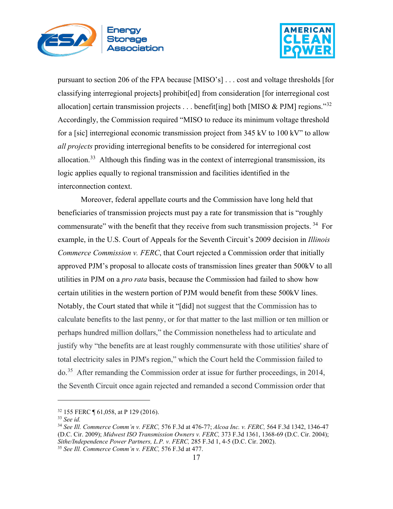



pursuant to section 206 of the FPA because [MISO's] . . . cost and voltage thresholds [for classifying interregional projects] prohibit[ed] from consideration [for interregional cost allocation] certain transmission projects . . . benefit [ing] both [MISO & PJM] regions.<sup>[32](#page-16-0)</sup> Accordingly, the Commission required "MISO to reduce its minimum voltage threshold for a [sic] interregional economic transmission project from 345 kV to 100 kV" to allow *all projects* providing interregional benefits to be considered for interregional cost allocation.<sup>33</sup> Although this finding was in the context of interregional transmission, its logic applies equally to regional transmission and facilities identified in the interconnection context.

Moreover, federal appellate courts and the Commission have long held that beneficiaries of transmission projects must pay a rate for transmission that is "roughly commensurate" with the benefit that they receive from such transmission projects.<sup>[34](#page-16-2)</sup> For example, in the U.S. Court of Appeals for the Seventh Circuit's 2009 decision in *Illinois Commerce Commission v. FERC*, that Court rejected a Commission order that initially approved PJM's proposal to allocate costs of transmission lines greater than 500kV to all utilities in PJM on a *pro rata* basis, because the Commission had failed to show how certain utilities in the western portion of PJM would benefit from these 500kV lines. Notably, the Court stated that while it "[did] not suggest that the Commission has to calculate benefits to the last penny, or for that matter to the last million or ten million or perhaps hundred million dollars," the Commission nonetheless had to articulate and justify why "the benefits are at least roughly commensurate with those utilities' share of total electricity sales in PJM's region," which the Court held the Commission failed to do.[35](#page-16-3) After remanding the Commission order at issue for further proceedings, in 2014, the Seventh Circuit once again rejected and remanded a second Commission order that

<span id="page-16-0"></span><sup>32</sup> 155 FERC ¶ 61,058, at P 129 (2016).

<span id="page-16-2"></span><span id="page-16-1"></span><sup>33</sup> *See id.*

<sup>34</sup> *See Ill. Commerce Comm'n v. FERC,* 576 F.3d at 476-77; *Alcoa Inc. v. FERC,* 564 F.3d 1342, 1346-47 (D.C. Cir. 2009); *Midwest ISO Transmission Owners v. FERC,* 373 F.3d 1361, 1368-69 (D.C. Cir. 2004); *Sithe/Independence Power Partners, L.P. v. FERC,* 285 F.3d 1, 4-5 (D.C. Cir. 2002).

<span id="page-16-3"></span><sup>35</sup> *See Ill. Commerce Comm'n v. FERC,* 576 F.3d at 477.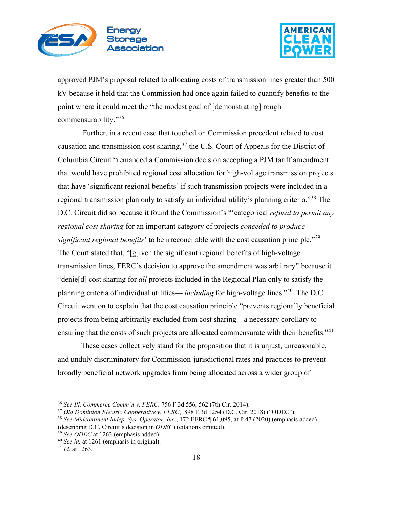



approved PJM's proposal related to allocating costs of transmission lines greater than 500 kV because it held that the Commission had once again failed to quantify benefits to the point where it could meet the "the modest goal of [demonstrating] rough commensurability."[36](#page-17-0)

Further, in a recent case that touched on Commission precedent related to cost causation and transmission cost sharing,<sup>[37](#page-17-1)</sup> the U.S. Court of Appeals for the District of Columbia Circuit "remanded a Commission decision accepting a PJM tariff amendment that would have prohibited regional cost allocation for high-voltage transmission projects that have 'significant regional benefits' if such transmission projects were included in a regional transmission plan only to satisfy an individual utility's planning criteria."[38](#page-17-2) The D.C. Circuit did so because it found the Commission's "'categorical *refusal to permit any regional cost sharing* for an important category of projects *conceded to produce significant regional benefits*' to be irreconcilable with the cost causation principle."[39](#page-17-3) The Court stated that, "[g]iven the significant regional benefits of high-voltage transmission lines, FERC's decision to approve the amendment was arbitrary" because it "denie[d] cost sharing for *all* projects included in the Regional Plan only to satisfy the planning criteria of individual utilities— *including* for high-voltage lines."[40](#page-17-4) The D.C. Circuit went on to explain that the cost causation principle "prevents regionally beneficial projects from being arbitrarily excluded from cost sharing—a necessary corollary to ensuring that the costs of such projects are allocated commensurate with their benefits."<sup>[41](#page-17-5)</sup>

These cases collectively stand for the proposition that it is unjust, unreasonable, and unduly discriminatory for Commission-jurisdictional rates and practices to prevent broadly beneficial network upgrades from being allocated across a wider group of

<span id="page-17-0"></span><sup>36</sup> *See Ill. Commerce Comm'n v. FERC,* 756 F.3d 556, 562 (7th Cir. 2014).

<span id="page-17-1"></span><sup>37</sup> *Old Dominion Electric Cooperative v. FERC*, 898 F.3d 1254 (D.C. Cir. 2018) ("ODEC").

<span id="page-17-2"></span><sup>38</sup> *See Midcontinent Indep. Sys. Operator, Inc*., 172 FERC ¶ 61,095, at P 47 (2020) (emphasis added) (describing D.C. Circuit's decision in *ODEC*) (citations omitted).<br><sup>39</sup> See *ODEC* at 1263 (emphasis added).

<span id="page-17-3"></span>

<span id="page-17-4"></span><sup>&</sup>lt;sup>40</sup> See id. at 1261 (emphasis in original).

<span id="page-17-5"></span><sup>41</sup> *Id.* at 1263.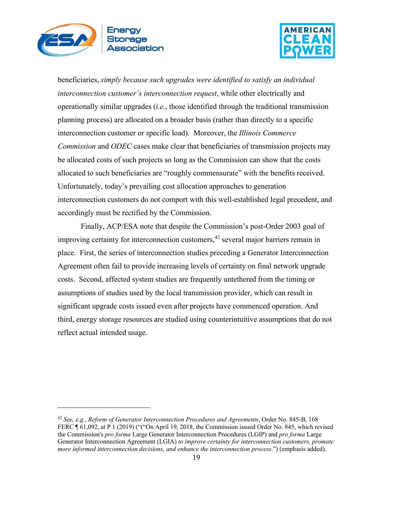



beneficiaries, *simply because such upgrades were identified to satisfy an individual interconnection customer's interconnection request*, while other electrically and operationally similar upgrades (*i.e.*, those identified through the traditional transmission planning process) are allocated on a broader basis (rather than directly to a specific interconnection customer or specific load). Moreover, the *Illinois Commerce Commission* and *ODEC* cases make clear that beneficiaries of transmission projects may be allocated costs of such projects so long as the Commission can show that the costs allocated to such beneficiaries are "roughly commensurate" with the benefits received. Unfortunately, today's prevailing cost allocation approaches to generation interconnection customers do not comport with this well-established legal precedent, and accordingly must be rectified by the Commission.

Finally, ACP/ESA note that despite the Commission's post-Order 2003 goal of improving certainty for interconnection customers, [42](#page-18-0) several major barriers remain in place. First, the series of interconnection studies preceding a Generator Interconnection Agreement often fail to provide increasing levels of certainty on final network upgrade costs. Second, affected system studies are frequently untethered from the timing or assumptions of studies used by the local transmission provider, which can result in significant upgrade costs issued even after projects have commenced operation. And third, energy storage resources are studied using counterintuitive assumptions that do not reflect actual intended usage.

<span id="page-18-0"></span><sup>42</sup> *See, e.g.*, *Reform of Generator Interconnection Procedures and Agreements*, Order No. 845-B, 168 FERC ¶ 61,092, at P 1 (2019) ("("On April 19, 2018, the Commission issued Order No. 845, which revised the Commission's *pro forma* Large Generator Interconnection Procedures (LGIP) and *pro forma* Large Generator Interconnection Agreement (LGIA) *to improve certainty for interconnection customers, promote more informed interconnection decisions, and enhance the interconnection process*.") (emphasis added).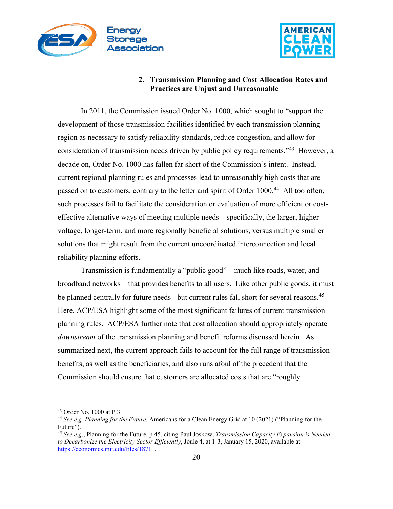



### **2. Transmission Planning and Cost Allocation Rates and Practices are Unjust and Unreasonable**

<span id="page-19-0"></span>In 2011, the Commission issued Order No. 1000, which sought to "support the development of those transmission facilities identified by each transmission planning region as necessary to satisfy reliability standards, reduce congestion, and allow for consideration of transmission needs driven by public policy requirements.<sup>343</sup> However, a decade on, Order No. 1000 has fallen far short of the Commission's intent. Instead, current regional planning rules and processes lead to unreasonably high costs that are passed on to customers, contrary to the letter and spirit of Order 1000.<sup>[44](#page-19-2)</sup> All too often, such processes fail to facilitate the consideration or evaluation of more efficient or costeffective alternative ways of meeting multiple needs – specifically, the larger, highervoltage, longer-term, and more regionally beneficial solutions, versus multiple smaller solutions that might result from the current uncoordinated interconnection and local reliability planning efforts.

Transmission is fundamentally a "public good" – much like roads, water, and broadband networks – that provides benefits to all users. Like other public goods, it must be planned centrally for future needs - but current rules fall short for several reasons.<sup>[45](#page-19-3)</sup> Here, ACP/ESA highlight some of the most significant failures of current transmission planning rules. ACP/ESA further note that cost allocation should appropriately operate *downstream* of the transmission planning and benefit reforms discussed herein. As summarized next, the current approach fails to account for the full range of transmission benefits, as well as the beneficiaries, and also runs afoul of the precedent that the Commission should ensure that customers are allocated costs that are "roughly

<span id="page-19-1"></span><sup>43</sup> Order No. 1000 at P 3.

<span id="page-19-2"></span><sup>44</sup> *See e.g. Planning for the Future*, Americans for a Clean Energy Grid at 10 (2021) ("Planning for the Future").

<span id="page-19-3"></span><sup>45</sup> *See e.g*., Planning for the Future, p.45, citing Paul Joskow, *Transmission Capacity Expansion is Needed to Decarbonize the Electricity Sector Efficiently*, Joule 4, at 1-3, January 15, 2020, available at [https://economics.mit.edu/files/18711.](https://economics.mit.edu/files/18711)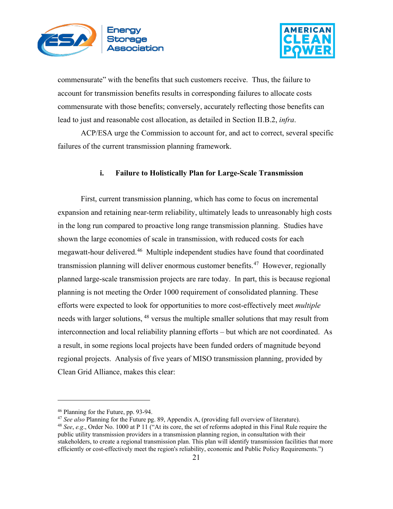



commensurate" with the benefits that such customers receive. Thus, the failure to account for transmission benefits results in corresponding failures to allocate costs commensurate with those benefits; conversely, accurately reflecting those benefits can lead to just and reasonable cost allocation, as detailed in Section II.B.2, *infra*.

ACP/ESA urge the Commission to account for, and act to correct, several specific failures of the current transmission planning framework.

#### **i. Failure to Holistically Plan for Large-Scale Transmission**

<span id="page-20-0"></span>First, current transmission planning, which has come to focus on incremental expansion and retaining near-term reliability, ultimately leads to unreasonably high costs in the long run compared to proactive long range transmission planning. Studies have shown the large economies of scale in transmission, with reduced costs for each megawatt-hour delivered.<sup>46</sup> Multiple independent studies have found that coordinated transmission planning will deliver enormous customer benefits.<sup>[47](#page-20-2)</sup> However, regionally planned large-scale transmission projects are rare today. In part, this is because regional planning is not meeting the Order 1000 requirement of consolidated planning. These efforts were expected to look for opportunities to more cost-effectively meet *multiple*  needs with larger solutions, <sup>[48](#page-20-3)</sup> versus the multiple smaller solutions that may result from interconnection and local reliability planning efforts – but which are not coordinated. As a result, in some regions local projects have been funded orders of magnitude beyond regional projects. Analysis of five years of MISO transmission planning, provided by Clean Grid Alliance, makes this clear:

<span id="page-20-1"></span><sup>46</sup> Planning for the Future, pp. 93-94.

<span id="page-20-3"></span><span id="page-20-2"></span><sup>47</sup> *See also* Planning for the Future pg. 89, Appendix A, (providing full overview of literature). <sup>48</sup> *See*, *e.g*., Order No. 1000 at P 11 ("At its core, the set of reforms adopted in this Final Rule require the public utility transmission providers in a transmission planning region, in consultation with their stakeholders, to create a regional transmission plan. This plan will identify transmission facilities that more efficiently or cost-effectively meet the region's reliability, economic and Public Policy Requirements.")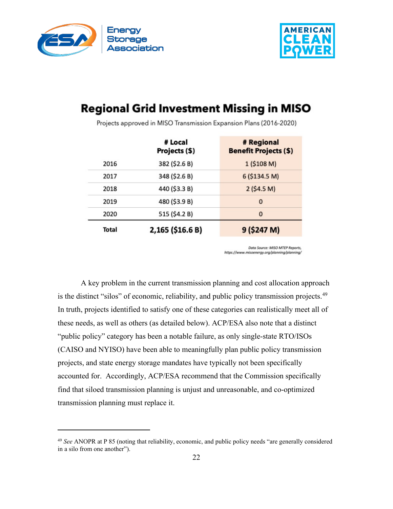



# **Regional Grid Investment Missing in MISO**

|       | # Local<br>Projects (\$) | # Regional<br><b>Benefit Projects (\$)</b> |
|-------|--------------------------|--------------------------------------------|
| 2016  | 382 (\$2.6 B)            | 1 (\$108 M)                                |
| 2017  | 348 (\$2.6 B)            | 6 (\$134.5 M)                              |
| 2018  | 440 (\$3.3 B)            | 2 (54.5 M)                                 |
| 2019  | 480 (\$3.9 B)            | $\Omega$                                   |
| 2020  | 515 (\$4.2 B)            | $\mathbf{0}$                               |
| Total | 2,165 (\$16.6 B)         | 9 (\$247 M)                                |

Projects approved in MISO Transmission Expansion Plans (2016-2020)

Data Source: MISO MTEP Reports, https://www.misoenergy.org/planning/planning/

A key problem in the current transmission planning and cost allocation approach is the distinct "silos" of economic, reliability, and public policy transmission projects. $49$ In truth, projects identified to satisfy one of these categories can realistically meet all of these needs, as well as others (as detailed below). ACP/ESA also note that a distinct "public policy" category has been a notable failure, as only single-state RTO/ISOs (CAISO and NYISO) have been able to meaningfully plan public policy transmission projects, and state energy storage mandates have typically not been specifically accounted for. Accordingly, ACP/ESA recommend that the Commission specifically find that siloed transmission planning is unjust and unreasonable, and co-optimized transmission planning must replace it.

<span id="page-21-0"></span><sup>49</sup> *See* ANOPR at P 85 (noting that reliability, economic, and public policy needs "are generally considered in a silo from one another").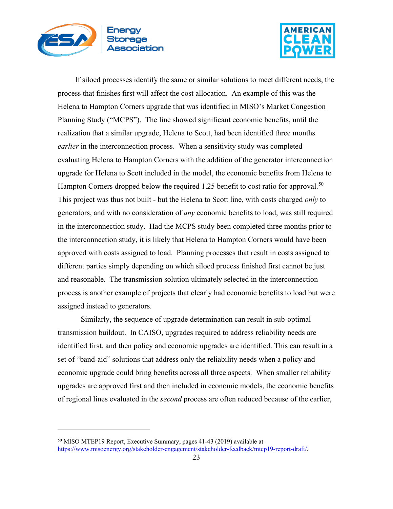



If siloed processes identify the same or similar solutions to meet different needs, the process that finishes first will affect the cost allocation. An example of this was the Helena to Hampton Corners upgrade that was identified in MISO's Market Congestion Planning Study ("MCPS"). The line showed significant economic benefits, until the realization that a similar upgrade, Helena to Scott, had been identified three months *earlier* in the interconnection process. When a sensitivity study was completed evaluating Helena to Hampton Corners with the addition of the generator interconnection upgrade for Helena to Scott included in the model, the economic benefits from Helena to Hampton Corners dropped below the required 1.25 benefit to cost ratio for approval.<sup>[50](#page-22-0)</sup> This project was thus not built - but the Helena to Scott line, with costs charged *only* to generators, and with no consideration of *any* economic benefits to load, was still required in the interconnection study. Had the MCPS study been completed three months prior to the interconnection study, it is likely that Helena to Hampton Corners would have been approved with costs assigned to load. Planning processes that result in costs assigned to different parties simply depending on which siloed process finished first cannot be just and reasonable. The transmission solution ultimately selected in the interconnection process is another example of projects that clearly had economic benefits to load but were assigned instead to generators.

Similarly, the sequence of upgrade determination can result in sub-optimal transmission buildout. In CAISO, upgrades required to address reliability needs are identified first, and then policy and economic upgrades are identified. This can result in a set of "band-aid" solutions that address only the reliability needs when a policy and economic upgrade could bring benefits across all three aspects. When smaller reliability upgrades are approved first and then included in economic models, the economic benefits of regional lines evaluated in the *second* process are often reduced because of the earlier,

<span id="page-22-0"></span><sup>50</sup> MISO MTEP19 Report, Executive Summary, pages 41-43 (2019) available at [https://www.misoenergy.org/stakeholder-engagement/stakeholder-feedback/mtep19-report-draft/.](https://www.misoenergy.org/stakeholder-engagement/stakeholder-feedback/mtep19-report-draft/)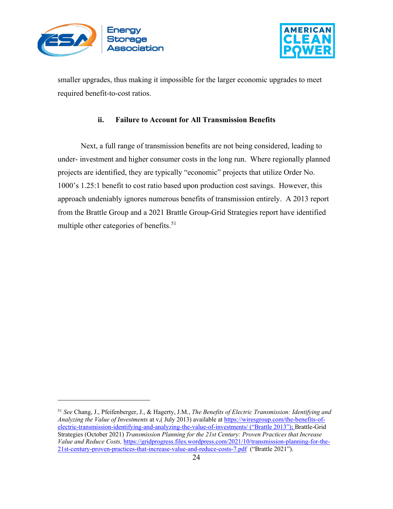



smaller upgrades, thus making it impossible for the larger economic upgrades to meet required benefit-to-cost ratios.

## **ii. Failure to Account for All Transmission Benefits**

<span id="page-23-0"></span>Next, a full range of transmission benefits are not being considered, leading to under- investment and higher consumer costs in the long run. Where regionally planned projects are identified, they are typically "economic" projects that utilize Order No. 1000's 1.25:1 benefit to cost ratio based upon production cost savings. However, this approach undeniably ignores numerous benefits of transmission entirely. A 2013 report from the Brattle Group and a 2021 Brattle Group-Grid Strategies report have identified multiple other categories of benefits.<sup>[51](#page-23-1)</sup>

<span id="page-23-1"></span><sup>51</sup> *See* Chang, J., Pfeifenberger, J., & Hagerty, J.M., *The Benefits of Electric Transmission: Identifying and Analyzing the Value of Investments* at v,( July 2013) available at [https://wiresgroup.com/the-benefits-of](https://wiresgroup.com/the-benefits-of-electric-transmission-identifying-and-analyzing-the-value-of-investments/)[electric-transmission-identifying-and-analyzing-the-value-of-investments/](https://wiresgroup.com/the-benefits-of-electric-transmission-identifying-and-analyzing-the-value-of-investments/) ("Brattle 2013"); Brattle-Grid Strategies (October 2021) *Transmission Planning for the 21st Century: Proven Practices that Increase Value and Reduce Costs,* [https://gridprogress.files.wordpress.com/2021/10/transmission-planning-for-the-](https://gridprogress.files.wordpress.com/2021/10/transmission-planning-for-the-21st-century-proven-practices-that-increase-value-and-reduce-costs-7.pdf)[21st-century-proven-practices-that-increase-value-and-reduce-costs-7.pdf](https://gridprogress.files.wordpress.com/2021/10/transmission-planning-for-the-21st-century-proven-practices-that-increase-value-and-reduce-costs-7.pdf) ("Brattle 2021").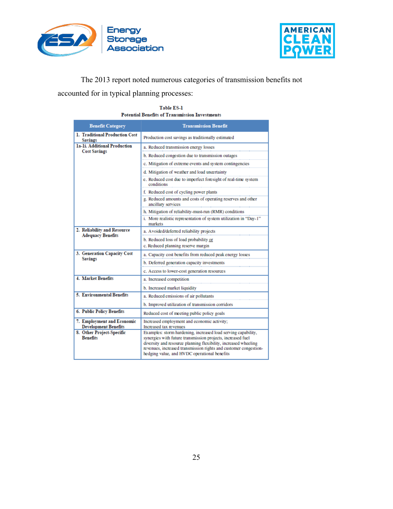



The 2013 report noted numerous categories of transmission benefits not

accounted for in typical planning processes:

| <b>Benefit Category</b>                                   | <b>Transmission Benefit</b>                                                                                                                                                                                                                                                                                         |
|-----------------------------------------------------------|---------------------------------------------------------------------------------------------------------------------------------------------------------------------------------------------------------------------------------------------------------------------------------------------------------------------|
| 1. Traditional Production Cost<br><b>Savings</b>          | Production cost savings as traditionally estimated                                                                                                                                                                                                                                                                  |
| 1a-1i. Additional Production<br><b>Cost Savings</b>       | a. Reduced transmission energy losses                                                                                                                                                                                                                                                                               |
|                                                           | b. Reduced congestion due to transmission outages                                                                                                                                                                                                                                                                   |
|                                                           | c. Mitigation of extreme events and system contingencies                                                                                                                                                                                                                                                            |
|                                                           | d. Mitigation of weather and load uncertainty                                                                                                                                                                                                                                                                       |
|                                                           | e. Reduced cost due to imperfect foresight of real-time system<br>conditions                                                                                                                                                                                                                                        |
|                                                           | f. Reduced cost of cycling power plants                                                                                                                                                                                                                                                                             |
|                                                           | g. Reduced amounts and costs of operating reserves and other<br>ancillary services                                                                                                                                                                                                                                  |
|                                                           | h. Mitigation of reliability-must-run (RMR) conditions                                                                                                                                                                                                                                                              |
|                                                           | i. More realistic representation of system utilization in "Day-1"<br>markets                                                                                                                                                                                                                                        |
| 2. Reliability and Resource<br><b>Adequacy Benefits</b>   | a. Avoided/deferred reliability projects                                                                                                                                                                                                                                                                            |
|                                                           | b. Reduced loss of load probability or                                                                                                                                                                                                                                                                              |
|                                                           | c. Reduced planning reserve margin                                                                                                                                                                                                                                                                                  |
| 3. Generation Capacity Cost<br><b>Savings</b>             | a. Capacity cost benefits from reduced peak energy losses                                                                                                                                                                                                                                                           |
|                                                           | b. Deferred generation capacity investments                                                                                                                                                                                                                                                                         |
|                                                           | c. Access to lower-cost generation resources                                                                                                                                                                                                                                                                        |
| 4. Market Benefits                                        | a. Increased competition                                                                                                                                                                                                                                                                                            |
|                                                           | b. Increased market liquidity                                                                                                                                                                                                                                                                                       |
| 5. Environmental Benefits                                 | a. Reduced emissions of air pollutants                                                                                                                                                                                                                                                                              |
|                                                           | b. Improved utilization of transmission corridors                                                                                                                                                                                                                                                                   |
| 6. Public Policy Benefits                                 | Reduced cost of meeting public policy goals                                                                                                                                                                                                                                                                         |
| 7. Employment and Economic<br><b>Development Benefits</b> | Increased employment and economic activity;<br>Increased tax revenues                                                                                                                                                                                                                                               |
| 8. Other Project-Specific<br><b>Renefits</b>              | Examples: storm hardening, increased load serving capability,<br>synergies with future transmission projects, increased fuel<br>diversity and resource planning flexibility, increased wheeling<br>revenues, increased transmission rights and customer congestion-<br>hedging value, and HVDC operational benefits |

#### Table ES-1 **Potential Benefits of Transmission Investments**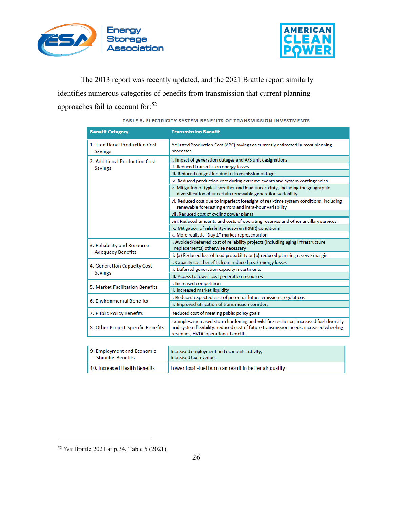



The 2013 report was recently updated, and the 2021 Brattle report similarly identifies numerous categories of benefits from transmission that current planning approaches fail to account for:<sup>[52](#page-25-0)</sup>

| <b>Benefit Category</b>                          | <b>Transmission Benefit</b>                                                                                                                                                                                            |
|--------------------------------------------------|------------------------------------------------------------------------------------------------------------------------------------------------------------------------------------------------------------------------|
| 1. Traditional Production Cost<br><b>Savings</b> | Adjusted Production Cost (APC) savings as currently estimated in most planning<br>processes                                                                                                                            |
| 2. Additional Production Cost<br><b>Savings</b>  | i. Impact of generation outages and A/S unit designations                                                                                                                                                              |
|                                                  | ii. Reduced transmission energy losses                                                                                                                                                                                 |
|                                                  | iii. Reduced congestion due to transmission outages                                                                                                                                                                    |
|                                                  | iv. Reduced production cost during extreme events and system contingencies                                                                                                                                             |
|                                                  | v. Mitigation of typical weather and load uncertainty, including the geographic<br>diversification of uncertain renewable generation variability                                                                       |
|                                                  | vi. Reduced cost due to imperfect foresight of real-time system conditions, including<br>renewable forecasting errors and intra-hour variability                                                                       |
|                                                  | vii. Reduced cost of cycling power plants                                                                                                                                                                              |
|                                                  | viii. Reduced amounts and costs of operating reserves and other ancillary services                                                                                                                                     |
|                                                  | ix. Mitigation of reliability-must-run (RMR) conditions                                                                                                                                                                |
|                                                  | x. More realistic "Day 1" market representation                                                                                                                                                                        |
| 3. Reliability and Resource                      | i. Avoided/deferred cost of reliability projects (including aging infrastructure                                                                                                                                       |
| <b>Adequacy Benefits</b>                         | replacements) otherwise necessary                                                                                                                                                                                      |
|                                                  | ii. (a) Reduced loss of load probability or (b) reduced planning reserve margin                                                                                                                                        |
| 4. Generation Capacity Cost<br><b>Savings</b>    | i. Capacity cost benefits from reduced peak energy losses                                                                                                                                                              |
|                                                  | ii. Deferred generation capacity investments                                                                                                                                                                           |
|                                                  | iii. Access to lower-cost generation resources                                                                                                                                                                         |
| 5. Market Facilitation Benefits                  | i. Increased competition                                                                                                                                                                                               |
|                                                  | ii. Increased market liquidity                                                                                                                                                                                         |
| 6. Environmental Benefits                        | i. Reduced expected cost of potential future emissions regulations                                                                                                                                                     |
|                                                  | ii. Improved utilization of transmission corridors                                                                                                                                                                     |
| 7. Public Policy Benefits                        | Reduced cost of meeting public policy goals                                                                                                                                                                            |
| 8. Other Project-Specific Benefits               | Examples: increased storm hardening and wild-fire resilience, increased fuel diversity<br>and system flexibility, reduced cost of future transmission needs, increased wheeling<br>revenues, HVDC operational benefits |
|                                                  |                                                                                                                                                                                                                        |

#### TABLE 5. ELECTRICITY SYSTEM BENEFITS OF TRANSMISSION INVESTMENTS

| 9. Employment and Economic    | Increased employment and economic activity;             |
|-------------------------------|---------------------------------------------------------|
| <b>Stimulus Benefits</b>      | Increased tax revenues                                  |
| 10. Increased Health Benefits | Lower fossil-fuel burn can result in better air quality |

<span id="page-25-0"></span><sup>52</sup> *See* Brattle 2021 at p.34, Table 5 (2021).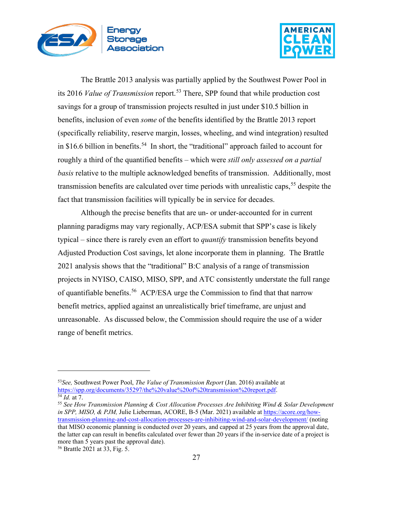



The Brattle 2013 analysis was partially applied by the Southwest Power Pool in its 2016 *Value of Transmission* report.[53](#page-26-0) There, SPP found that while production cost savings for a group of transmission projects resulted in just under \$10.5 billion in benefits, inclusion of even *some* of the benefits identified by the Brattle 2013 report (specifically reliability, reserve margin, losses, wheeling, and wind integration) resulted in \$16.6 billion in benefits.<sup>54</sup> In short, the "traditional" approach failed to account for roughly a third of the quantified benefits – which were *still only assessed on a partial basis* relative to the multiple acknowledged benefits of transmission. Additionally, most transmission benefits are calculated over time periods with unrealistic caps,<sup>[55](#page-26-2)</sup> despite the fact that transmission facilities will typically be in service for decades.

Although the precise benefits that are un- or under-accounted for in current planning paradigms may vary regionally, ACP/ESA submit that SPP's case is likely typical – since there is rarely even an effort to *quantify* transmission benefits beyond Adjusted Production Cost savings, let alone incorporate them in planning. The Brattle 2021 analysis shows that the "traditional" B:C analysis of a range of transmission projects in NYISO, CAISO, MISO, SPP, and ATC consistently understate the full range of quantifiable benefits.<sup>[56](#page-26-3)</sup> ACP/ESA urge the Commission to find that that narrow benefit metrics, applied against an unrealistically brief timeframe, are unjust and unreasonable. As discussed below, the Commission should require the use of a wider range of benefit metrics.

<span id="page-26-0"></span><sup>53</sup>*See,* Southwest Power Pool, *The Value of Transmission Report* (Jan. 2016) available at [https://spp.org/documents/35297/the%20value%20of%20transmission%20report.pdf.](https://spp.org/documents/35297/the%20value%20of%20transmission%20report.pdf) <sup>54</sup> *Id.* at 7.

<span id="page-26-2"></span><span id="page-26-1"></span><sup>55</sup> *See How Transmission Planning & Cost Allocation Processes Are Inhibiting Wind & Solar Development in SPP, MISO, & PJM,* Julie Lieberman, ACORE, B-5 (Mar. 2021) available at [https://acore.org/how](https://acore.org/how-transmission-planning-and-cost-allocation-processes-are-inhibiting-wind-and-solar-development/)[transmission-planning-and-cost-allocation-processes-are-inhibiting-wind-and-solar-development/](https://acore.org/how-transmission-planning-and-cost-allocation-processes-are-inhibiting-wind-and-solar-development/) (noting that MISO economic planning is conducted over 20 years, and capped at 25 years from the approval date, the latter cap can result in benefits calculated over fewer than 20 years if the in-service date of a project is more than 5 years past the approval date).

<span id="page-26-3"></span><sup>56</sup> Brattle 2021 at 33, Fig. 5.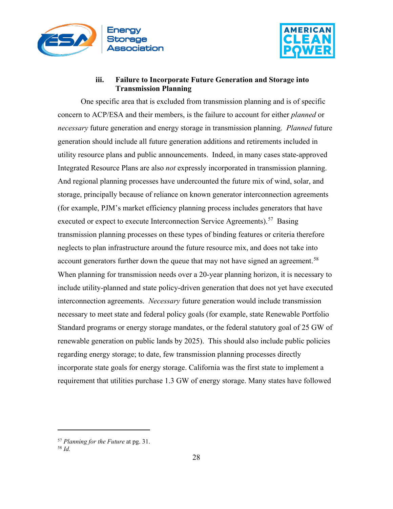



## **iii. Failure to Incorporate Future Generation and Storage into Transmission Planning**

<span id="page-27-0"></span>One specific area that is excluded from transmission planning and is of specific concern to ACP/ESA and their members, is the failure to account for either *planned* or *necessary* future generation and energy storage in transmission planning. *Planned* future generation should include all future generation additions and retirements included in utility resource plans and public announcements. Indeed, in many cases state-approved Integrated Resource Plans are also *not* expressly incorporated in transmission planning. And regional planning processes have undercounted the future mix of wind, solar, and storage, principally because of reliance on known generator interconnection agreements (for example, PJM's market efficiency planning process includes generators that have executed or expect to execute Interconnection Service Agreements).<sup>57</sup> Basing transmission planning processes on these types of binding features or criteria therefore neglects to plan infrastructure around the future resource mix, and does not take into account generators further down the queue that may not have signed an agreement.<sup>58</sup> When planning for transmission needs over a 20-year planning horizon, it is necessary to include utility-planned and state policy-driven generation that does not yet have executed interconnection agreements. *Necessary* future generation would include transmission necessary to meet state and federal policy goals (for example, state Renewable Portfolio Standard programs or energy storage mandates, or the federal statutory goal of 25 GW of renewable generation on public lands by 2025). This should also include public policies regarding energy storage; to date, few transmission planning processes directly incorporate state goals for energy storage. California was the first state to implement a requirement that utilities purchase 1.3 GW of energy storage. Many states have followed

<span id="page-27-1"></span><sup>57</sup> *Planning for the Future* at pg. 31.

<span id="page-27-2"></span><sup>58</sup> *Id.*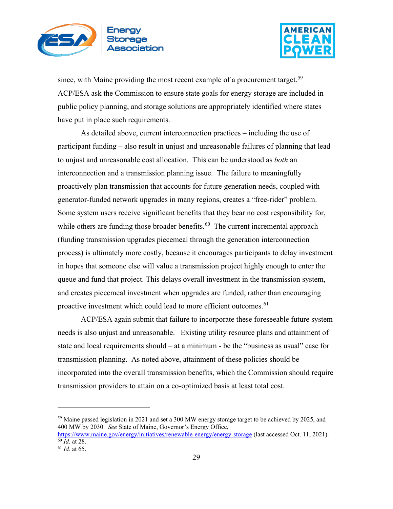



since, with Maine providing the most recent example of a procurement target.<sup>[59](#page-28-0)</sup> ACP/ESA ask the Commission to ensure state goals for energy storage are included in public policy planning, and storage solutions are appropriately identified where states have put in place such requirements.

As detailed above, current interconnection practices – including the use of participant funding – also result in unjust and unreasonable failures of planning that lead to unjust and unreasonable cost allocation. This can be understood as *both* an interconnection and a transmission planning issue. The failure to meaningfully proactively plan transmission that accounts for future generation needs, coupled with generator-funded network upgrades in many regions, creates a "free-rider" problem. Some system users receive significant benefits that they bear no cost responsibility for, while others are funding those broader benefits.<sup>[60](#page-28-1)</sup> The current incremental approach (funding transmission upgrades piecemeal through the generation interconnection process) is ultimately more costly, because it encourages participants to delay investment in hopes that someone else will value a transmission project highly enough to enter the queue and fund that project. This delays overall investment in the transmission system, and creates piecemeal investment when upgrades are funded, rather than encouraging proactive investment which could lead to more efficient outcomes.<sup>[61](#page-28-2)</sup>

ACP/ESA again submit that failure to incorporate these foreseeable future system needs is also unjust and unreasonable. Existing utility resource plans and attainment of state and local requirements should – at a minimum - be the "business as usual" case for transmission planning. As noted above, attainment of these policies should be incorporated into the overall transmission benefits, which the Commission should require transmission providers to attain on a co-optimized basis at least total cost.

<span id="page-28-0"></span><sup>&</sup>lt;sup>59</sup> Maine passed legislation in 2021 and set a 300 MW energy storage target to be achieved by 2025, and 400 MW by 2030. *See* State of Maine, Governor's Energy Office,

<span id="page-28-1"></span><https://www.maine.gov/energy/initiatives/renewable-energy/energy-storage> (last accessed Oct. 11, 2021). <sup>60</sup> *Id*. at 28.

<span id="page-28-2"></span><sup>61</sup> *Id.* at 65.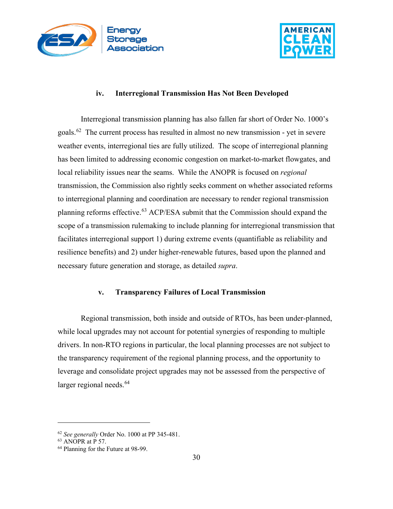



#### **iv. Interregional Transmission Has Not Been Developed**

<span id="page-29-0"></span>Interregional transmission planning has also fallen far short of Order No. 1000's goals.[62](#page-29-2) The current process has resulted in almost no new transmission - yet in severe weather events, interregional ties are fully utilized. The scope of interregional planning has been limited to addressing economic congestion on market-to-market flowgates, and local reliability issues near the seams. While the ANOPR is focused on *regional* transmission, the Commission also rightly seeks comment on whether associated reforms to interregional planning and coordination are necessary to render regional transmission planning reforms effective.<sup>[63](#page-29-3)</sup> ACP/ESA submit that the Commission should expand the scope of a transmission rulemaking to include planning for interregional transmission that facilitates interregional support 1) during extreme events (quantifiable as reliability and resilience benefits) and 2) under higher-renewable futures, based upon the planned and necessary future generation and storage, as detailed *supra*.

#### **v. Transparency Failures of Local Transmission**

<span id="page-29-1"></span>Regional transmission, both inside and outside of RTOs, has been under-planned, while local upgrades may not account for potential synergies of responding to multiple drivers. In non-RTO regions in particular, the local planning processes are not subject to the transparency requirement of the regional planning process, and the opportunity to leverage and consolidate project upgrades may not be assessed from the perspective of larger regional needs.<sup>[64](#page-29-4)</sup>

<span id="page-29-2"></span><sup>62</sup> *See generally* Order No. 1000 at PP 345-481.

<sup>63</sup> ANOPR at P 57.

<span id="page-29-4"></span><span id="page-29-3"></span><sup>64</sup> Planning for the Future at 98-99.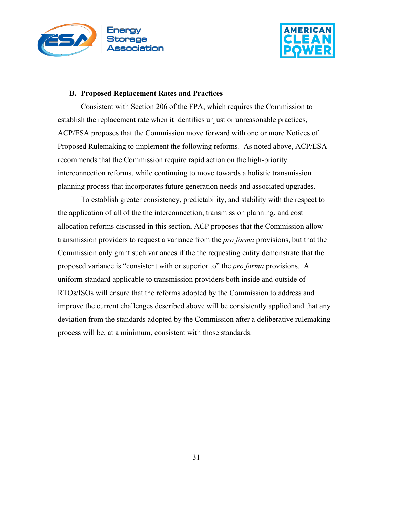



#### <span id="page-30-0"></span>**B. Proposed Replacement Rates and Practices**

Consistent with Section 206 of the FPA, which requires the Commission to establish the replacement rate when it identifies unjust or unreasonable practices, ACP/ESA proposes that the Commission move forward with one or more Notices of Proposed Rulemaking to implement the following reforms. As noted above, ACP/ESA recommends that the Commission require rapid action on the high-priority interconnection reforms, while continuing to move towards a holistic transmission planning process that incorporates future generation needs and associated upgrades.

To establish greater consistency, predictability, and stability with the respect to the application of all of the the interconnection, transmission planning, and cost allocation reforms discussed in this section, ACP proposes that the Commission allow transmission providers to request a variance from the *pro forma* provisions, but that the Commission only grant such variances if the the requesting entity demonstrate that the proposed variance is "consistent with or superior to" the *pro forma* provisions. A uniform standard applicable to transmission providers both inside and outside of RTOs/ISOs will ensure that the reforms adopted by the Commission to address and improve the current challenges described above will be consistently applied and that any deviation from the standards adopted by the Commission after a deliberative rulemaking process will be, at a minimum, consistent with those standards.

31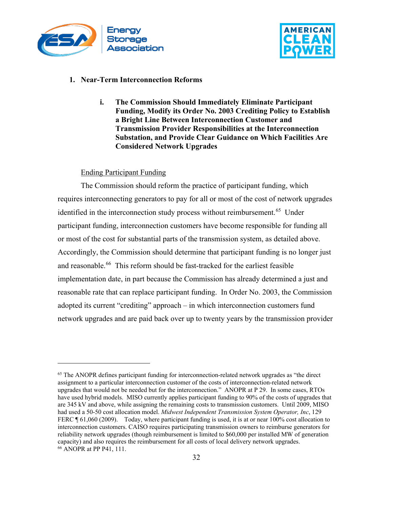



#### <span id="page-31-1"></span><span id="page-31-0"></span>**1. Near-Term Interconnection Reforms**

**i. The Commission Should Immediately Eliminate Participant Funding, Modify its Order No. 2003 Crediting Policy to Establish a Bright Line Between Interconnection Customer and Transmission Provider Responsibilities at the Interconnection Substation, and Provide Clear Guidance on Which Facilities Are Considered Network Upgrades**

#### Ending Participant Funding

The Commission should reform the practice of participant funding, which requires interconnecting generators to pay for all or most of the cost of network upgrades identified in the interconnection study process without reimbursement.<sup>65</sup> Under participant funding, interconnection customers have become responsible for funding all or most of the cost for substantial parts of the transmission system, as detailed above. Accordingly, the Commission should determine that participant funding is no longer just and reasonable.<sup>[66](#page-31-3)</sup> This reform should be fast-tracked for the earliest feasible implementation date, in part because the Commission has already determined a just and reasonable rate that can replace participant funding. In Order No. 2003, the Commission adopted its current "crediting" approach – in which interconnection customers fund network upgrades and are paid back over up to twenty years by the transmission provider

<span id="page-31-3"></span><span id="page-31-2"></span> $<sup>65</sup>$  The ANOPR defines participant funding for interconnection-related network upgrades as "the direct</sup> assignment to a particular interconnection customer of the costs of interconnection-related network upgrades that would not be needed but for the interconnection." ANOPR at P 29. In some cases, RTOs have used hybrid models. MISO currently applies participant funding to 90% of the costs of upgrades that are 345 kV and above, while assigning the remaining costs to transmission customers. Until 2009, MISO had used a 50-50 cost allocation model. *Midwest Independent Transmission System Operator, Inc*, 129 FERC  $\parallel$  61,060 (2009). Today, where participant funding is used, it is at or near 100% cost allocation to interconnection customers. CAISO requires participating transmission owners to reimburse generators for reliability network upgrades (though reimbursement is limited to \$60,000 per installed MW of generation capacity) and also requires the reimbursement for all costs of local delivery network upgrades. 66 ANOPR at PP P41, 111.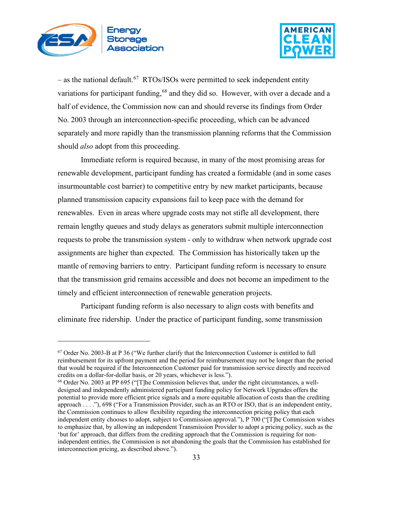



– as the national default.<sup>[67](#page-32-0)</sup> RTOs/ISOs were permitted to seek independent entity variations for participant funding,  $68$  and they did so. However, with over a decade and a half of evidence, the Commission now can and should reverse its findings from Order No. 2003 through an interconnection-specific proceeding, which can be advanced separately and more rapidly than the transmission planning reforms that the Commission should *also* adopt from this proceeding.

Immediate reform is required because, in many of the most promising areas for renewable development, participant funding has created a formidable (and in some cases insurmountable cost barrier) to competitive entry by new market participants, because planned transmission capacity expansions fail to keep pace with the demand for renewables. Even in areas where upgrade costs may not stifle all development, there remain lengthy queues and study delays as generators submit multiple interconnection requests to probe the transmission system - only to withdraw when network upgrade cost assignments are higher than expected. The Commission has historically taken up the mantle of removing barriers to entry. Participant funding reform is necessary to ensure that the transmission grid remains accessible and does not become an impediment to the timely and efficient interconnection of renewable generation projects.

Participant funding reform is also necessary to align costs with benefits and eliminate free ridership. Under the practice of participant funding, some transmission

<span id="page-32-0"></span> $67$  Order No. 2003-B at P 36 ("We further clarify that the Interconnection Customer is entitled to full reimbursement for its upfront payment and the period for reimbursement may not be longer than the period that would be required if the Interconnection Customer paid for transmission service directly and received credits on a dollar-for-dollar basis, or 20 years, whichever is less.").

<span id="page-32-1"></span> $68$  Order No. 2003 at PP 695 ("[T]he Commission believes that, under the right circumstances, a welldesigned and independently administered participant funding policy for Network Upgrades offers the potential to provide more efficient price signals and a more equitable allocation of costs than the crediting approach . . . ."), 698 ("For a Transmission Provider, such as an RTO or ISO, that is an independent entity, the Commission continues to allow flexibility regarding the interconnection pricing policy that each independent entity chooses to adopt, subject to Commission approval."), P 700 ("[T]he Commission wishes to emphasize that, by allowing an independent Transmission Provider to adopt a pricing policy, such as the 'but for' approach, that differs from the crediting approach that the Commission is requiring for nonindependent entities, the Commission is not abandoning the goals that the Commission has established for interconnection pricing, as described above.").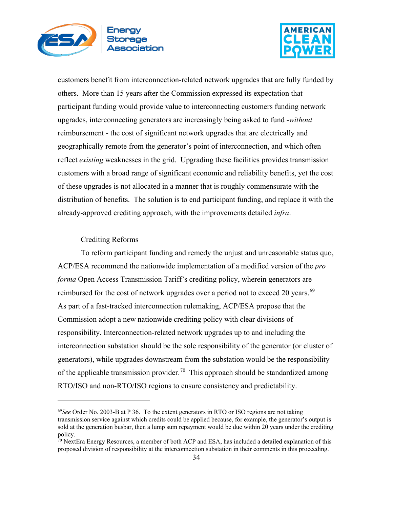



customers benefit from interconnection-related network upgrades that are fully funded by others. More than 15 years after the Commission expressed its expectation that participant funding would provide value to interconnecting customers funding network upgrades, interconnecting generators are increasingly being asked to fund -*without* reimbursement - the cost of significant network upgrades that are electrically and geographically remote from the generator's point of interconnection, and which often reflect *existing* weaknesses in the grid. Upgrading these facilities provides transmission customers with a broad range of significant economic and reliability benefits, yet the cost of these upgrades is not allocated in a manner that is roughly commensurate with the distribution of benefits. The solution is to end participant funding, and replace it with the already-approved crediting approach, with the improvements detailed *infra*.

#### Crediting Reforms

To reform participant funding and remedy the unjust and unreasonable status quo, ACP/ESA recommend the nationwide implementation of a modified version of the *pro forma* Open Access Transmission Tariff's crediting policy, wherein generators are reimbursed for the cost of network upgrades over a period not to exceed 20 years.<sup>69</sup> As part of a fast-tracked interconnection rulemaking, ACP/ESA propose that the Commission adopt a new nationwide crediting policy with clear divisions of responsibility. Interconnection-related network upgrades up to and including the interconnection substation should be the sole responsibility of the generator (or cluster of generators), while upgrades downstream from the substation would be the responsibility of the applicable transmission provider.<sup>70</sup> This approach should be standardized among RTO/ISO and non-RTO/ISO regions to ensure consistency and predictability.

<span id="page-33-0"></span><sup>69</sup>*See* Order No. 2003-B at P 36. To the extent generators in RTO or ISO regions are not taking transmission service against which credits could be applied because, for example, the generator's output is sold at the generation busbar, then a lump sum repayment would be due within 20 years under the crediting policy.

<span id="page-33-1"></span> $70$  NextEra Energy Resources, a member of both ACP and ESA, has included a detailed explanation of this proposed division of responsibility at the interconnection substation in their comments in this proceeding.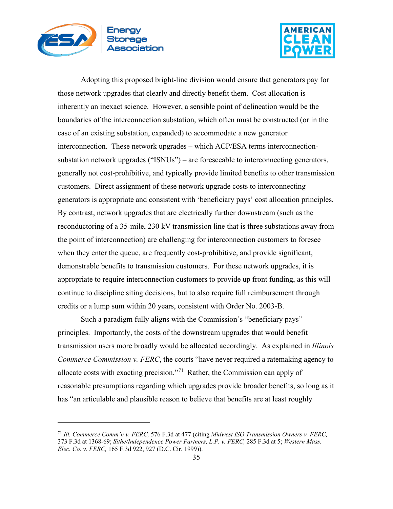



Adopting this proposed bright-line division would ensure that generators pay for those network upgrades that clearly and directly benefit them. Cost allocation is inherently an inexact science. However, a sensible point of delineation would be the boundaries of the interconnection substation, which often must be constructed (or in the case of an existing substation, expanded) to accommodate a new generator interconnection. These network upgrades – which ACP/ESA terms interconnectionsubstation network upgrades ("ISNUs") – are foreseeable to interconnecting generators, generally not cost-prohibitive, and typically provide limited benefits to other transmission customers. Direct assignment of these network upgrade costs to interconnecting generators is appropriate and consistent with 'beneficiary pays' cost allocation principles. By contrast, network upgrades that are electrically further downstream (such as the reconductoring of a 35-mile, 230 kV transmission line that is three substations away from the point of interconnection) are challenging for interconnection customers to foresee when they enter the queue, are frequently cost-prohibitive, and provide significant, demonstrable benefits to transmission customers. For these network upgrades, it is appropriate to require interconnection customers to provide up front funding, as this will continue to discipline siting decisions, but to also require full reimbursement through credits or a lump sum within 20 years, consistent with Order No. 2003-B.

Such a paradigm fully aligns with the Commission's "beneficiary pays" principles. Importantly, the costs of the downstream upgrades that would benefit transmission users more broadly would be allocated accordingly. As explained in *Illinois Commerce Commission v. FERC*, the courts "have never required a ratemaking agency to allocate costs with exacting precision."<sup>[71](#page-34-0)</sup> Rather, the Commission can apply of reasonable presumptions regarding which upgrades provide broader benefits, so long as it has "an articulable and plausible reason to believe that benefits are at least roughly

<span id="page-34-0"></span><sup>71</sup> *Ill. Commerce Comm'n v. FERC,* 576 F.3d at 477 (citing *Midwest ISO Transmission Owners v. FERC,* 373 F.3d at 1368-69; *Sithe/Independence Power Partners, L.P. v. FERC,* 285 F.3d at 5; *Western Mass. Elec. Co. v. FERC,* 165 F.3d 922, 927 (D.C. Cir. 1999)).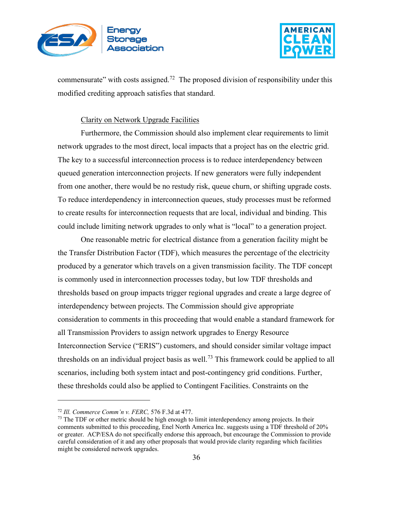



commensurate" with costs assigned.<sup>[72](#page-35-0)</sup> The proposed division of responsibility under this modified crediting approach satisfies that standard.

#### Clarity on Network Upgrade Facilities

Furthermore, the Commission should also implement clear requirements to limit network upgrades to the most direct, local impacts that a project has on the electric grid. The key to a successful interconnection process is to reduce interdependency between queued generation interconnection projects. If new generators were fully independent from one another, there would be no restudy risk, queue churn, or shifting upgrade costs. To reduce interdependency in interconnection queues, study processes must be reformed to create results for interconnection requests that are local, individual and binding. This could include limiting network upgrades to only what is "local" to a generation project.

One reasonable metric for electrical distance from a generation facility might be the Transfer Distribution Factor (TDF), which measures the percentage of the electricity produced by a generator which travels on a given transmission facility. The TDF concept is commonly used in interconnection processes today, but low TDF thresholds and thresholds based on group impacts trigger regional upgrades and create a large degree of interdependency between projects. The Commission should give appropriate consideration to comments in this proceeding that would enable a standard framework for all Transmission Providers to assign network upgrades to Energy Resource Interconnection Service ("ERIS") customers, and should consider similar voltage impact thresholds on an individual project basis as well.<sup>[73](#page-35-1)</sup> This framework could be applied to all scenarios, including both system intact and post-contingency grid conditions. Further, these thresholds could also be applied to Contingent Facilities. Constraints on the

<span id="page-35-0"></span><sup>72</sup> *Ill. Commerce Comm'n v. FERC,* 576 F.3d at 477.

<span id="page-35-1"></span><sup>&</sup>lt;sup>73</sup> The TDF or other metric should be high enough to limit interdependency among projects. In their comments submitted to this proceeding, Enel North America Inc. suggests using a TDF threshold of 20% or greater. ACP/ESA do not specifically endorse this approach, but encourage the Commission to provide careful consideration of it and any other proposals that would provide clarity regarding which facilities might be considered network upgrades.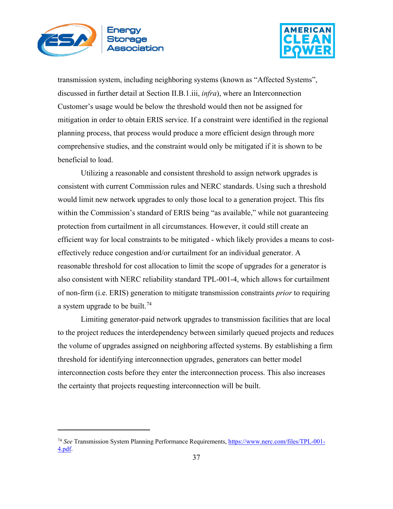



transmission system, including neighboring systems (known as "Affected Systems", discussed in further detail at Section II.B.1.iii, *infra*), where an Interconnection Customer's usage would be below the threshold would then not be assigned for mitigation in order to obtain ERIS service. If a constraint were identified in the regional planning process, that process would produce a more efficient design through more comprehensive studies, and the constraint would only be mitigated if it is shown to be beneficial to load.

Utilizing a reasonable and consistent threshold to assign network upgrades is consistent with current Commission rules and NERC standards. Using such a threshold would limit new network upgrades to only those local to a generation project. This fits within the Commission's standard of ERIS being "as available," while not guaranteeing protection from curtailment in all circumstances. However, it could still create an efficient way for local constraints to be mitigated - which likely provides a means to costeffectively reduce congestion and/or curtailment for an individual generator. A reasonable threshold for cost allocation to limit the scope of upgrades for a generator is also consistent with NERC reliability standard TPL-001-4, which allows for curtailment of non-firm (i.e. ERIS) generation to mitigate transmission constraints *prior* to requiring a system upgrade to be built.<sup>[74](#page-36-0)</sup>

Limiting generator-paid network upgrades to transmission facilities that are local to the project reduces the interdependency between similarly queued projects and reduces the volume of upgrades assigned on neighboring affected systems. By establishing a firm threshold for identifying interconnection upgrades, generators can better model interconnection costs before they enter the interconnection process. This also increases the certainty that projects requesting interconnection will be built.

<span id="page-36-0"></span><sup>74</sup> *See* Transmission System Planning Performance Requirements, [https://www.nerc.com/files/TPL-001-](https://www.nerc.com/files/TPL-001-4.pdf) [4.pdf.](https://www.nerc.com/files/TPL-001-4.pdf)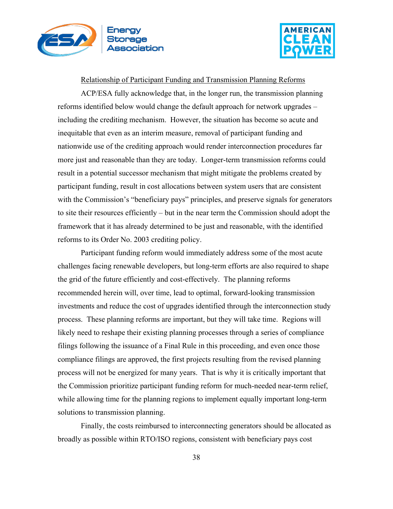



Relationship of Participant Funding and Transmission Planning Reforms

ACP/ESA fully acknowledge that, in the longer run, the transmission planning reforms identified below would change the default approach for network upgrades – including the crediting mechanism. However, the situation has become so acute and inequitable that even as an interim measure, removal of participant funding and nationwide use of the crediting approach would render interconnection procedures far more just and reasonable than they are today. Longer-term transmission reforms could result in a potential successor mechanism that might mitigate the problems created by participant funding, result in cost allocations between system users that are consistent with the Commission's "beneficiary pays" principles, and preserve signals for generators to site their resources efficiently – but in the near term the Commission should adopt the framework that it has already determined to be just and reasonable, with the identified reforms to its Order No. 2003 crediting policy.

Participant funding reform would immediately address some of the most acute challenges facing renewable developers, but long-term efforts are also required to shape the grid of the future efficiently and cost-effectively. The planning reforms recommended herein will, over time, lead to optimal, forward-looking transmission investments and reduce the cost of upgrades identified through the interconnection study process. These planning reforms are important, but they will take time. Regions will likely need to reshape their existing planning processes through a series of compliance filings following the issuance of a Final Rule in this proceeding, and even once those compliance filings are approved, the first projects resulting from the revised planning process will not be energized for many years. That is why it is critically important that the Commission prioritize participant funding reform for much-needed near-term relief, while allowing time for the planning regions to implement equally important long-term solutions to transmission planning.

Finally, the costs reimbursed to interconnecting generators should be allocated as broadly as possible within RTO/ISO regions, consistent with beneficiary pays cost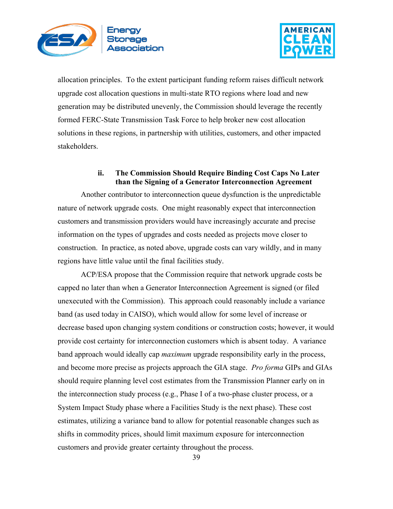



allocation principles. To the extent participant funding reform raises difficult network upgrade cost allocation questions in multi-state RTO regions where load and new generation may be distributed unevenly, the Commission should leverage the recently formed FERC-State Transmission Task Force to help broker new cost allocation solutions in these regions, in partnership with utilities, customers, and other impacted stakeholders.

# **ii. The Commission Should Require Binding Cost Caps No Later than the Signing of a Generator Interconnection Agreement**

Another contributor to interconnection queue dysfunction is the unpredictable nature of network upgrade costs. One might reasonably expect that interconnection customers and transmission providers would have increasingly accurate and precise information on the types of upgrades and costs needed as projects move closer to construction. In practice, as noted above, upgrade costs can vary wildly, and in many regions have little value until the final facilities study.

ACP/ESA propose that the Commission require that network upgrade costs be capped no later than when a Generator Interconnection Agreement is signed (or filed unexecuted with the Commission). This approach could reasonably include a variance band (as used today in CAISO), which would allow for some level of increase or decrease based upon changing system conditions or construction costs; however, it would provide cost certainty for interconnection customers which is absent today. A variance band approach would ideally cap *maximum* upgrade responsibility early in the process, and become more precise as projects approach the GIA stage. *Pro forma* GIPs and GIAs should require planning level cost estimates from the Transmission Planner early on in the interconnection study process (e.g., Phase I of a two-phase cluster process, or a System Impact Study phase where a Facilities Study is the next phase). These cost estimates, utilizing a variance band to allow for potential reasonable changes such as shifts in commodity prices, should limit maximum exposure for interconnection customers and provide greater certainty throughout the process.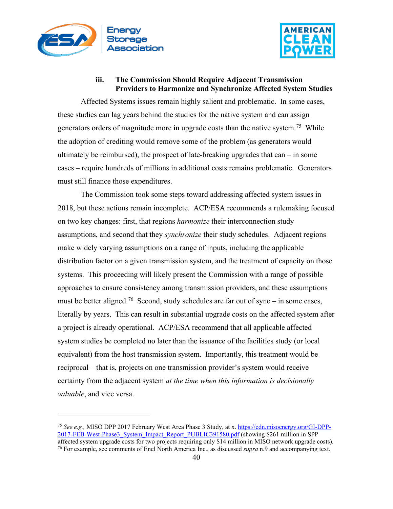



# **iii. The Commission Should Require Adjacent Transmission Providers to Harmonize and Synchronize Affected System Studies**

Affected Systems issues remain highly salient and problematic. In some cases, these studies can lag years behind the studies for the native system and can assign generators orders of magnitude more in upgrade costs than the native system.<sup>75</sup> While the adoption of crediting would remove some of the problem (as generators would ultimately be reimbursed), the prospect of late-breaking upgrades that can  $-$  in some cases – require hundreds of millions in additional costs remains problematic. Generators must still finance those expenditures.

The Commission took some steps toward addressing affected system issues in 2018, but these actions remain incomplete. ACP/ESA recommends a rulemaking focused on two key changes: first, that regions *harmonize* their interconnection study assumptions, and second that they *synchronize* their study schedules. Adjacent regions make widely varying assumptions on a range of inputs, including the applicable distribution factor on a given transmission system, and the treatment of capacity on those systems. This proceeding will likely present the Commission with a range of possible approaches to ensure consistency among transmission providers, and these assumptions must be better aligned.<sup>76</sup> Second, study schedules are far out of sync – in some cases, literally by years. This can result in substantial upgrade costs on the affected system after a project is already operational. ACP/ESA recommend that all applicable affected system studies be completed no later than the issuance of the facilities study (or local equivalent) from the host transmission system. Importantly, this treatment would be reciprocal – that is, projects on one transmission provider's system would receive certainty from the adjacent system *at the time when this information is decisionally valuable*, and vice versa.

<span id="page-39-0"></span><sup>75</sup> *See e.g.,* MISO DPP 2017 February West Area Phase 3 Study, at x[. https://cdn.misoenergy.org/GI-DPP-](https://cdn.misoenergy.org/GI-DPP-2017-FEB-West-Phase3_System_Impact_Report_PUBLIC391580.pdf)[2017-FEB-West-Phase3\\_System\\_Impact\\_Report\\_PUBLIC391580.pdf](https://cdn.misoenergy.org/GI-DPP-2017-FEB-West-Phase3_System_Impact_Report_PUBLIC391580.pdf) (showing \$261 million in SPP affected system upgrade costs for two projects requiring only \$14 million in MISO network upgrade costs).

<span id="page-39-1"></span><sup>76</sup> For example, see comments of Enel North America Inc., as discussed *supra* n.9 and accompanying text.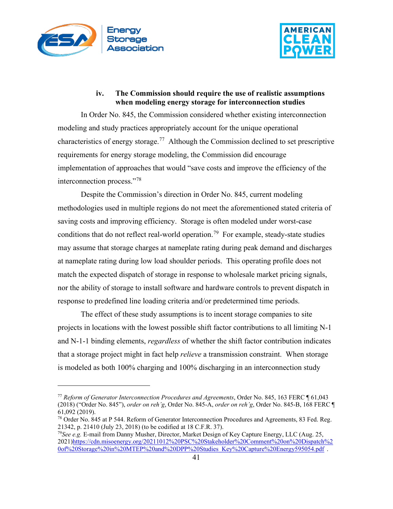



### **iv. The Commission should require the use of realistic assumptions when modeling energy storage for interconnection studies**

In Order No. 845, the Commission considered whether existing interconnection modeling and study practices appropriately account for the unique operational characteristics of energy storage.<sup>[77](#page-40-0)</sup> Although the Commission declined to set prescriptive requirements for energy storage modeling, the Commission did encourage implementation of approaches that would "save costs and improve the efficiency of the interconnection process."[78](#page-40-1)

Despite the Commission's direction in Order No. 845, current modeling methodologies used in multiple regions do not meet the aforementioned stated criteria of saving costs and improving efficiency. Storage is often modeled under worst-case conditions that do not reflect real-world operation.<sup>79</sup> For example, steady-state studies may assume that storage charges at nameplate rating during peak demand and discharges at nameplate rating during low load shoulder periods. This operating profile does not match the expected dispatch of storage in response to wholesale market pricing signals, nor the ability of storage to install software and hardware controls to prevent dispatch in response to predefined line loading criteria and/or predetermined time periods.

The effect of these study assumptions is to incent storage companies to site projects in locations with the lowest possible shift factor contributions to all limiting N-1 and N-1-1 binding elements, *regardless* of whether the shift factor contribution indicates that a storage project might in fact help *relieve* a transmission constraint. When storage is modeled as both 100% charging and 100% discharging in an interconnection study

<span id="page-40-0"></span><sup>77</sup> *Reform of Generator Interconnection Procedures and Agreements*, Order No. 845, 163 FERC ¶ 61,043 (2018) ("Order No. 845"), *order on reh'g*, Order No. 845-A, *order on reh'g*, Order No. 845-B, 168 FERC ¶ 61,092 (2019).

<span id="page-40-1"></span><sup>78</sup> Order No. 845 at P 544. Reform of Generator Interconnection Procedures and Agreements, 83 Fed. Reg. 21342, p. 21410 (July 23, 2018) (to be codified at 18 C.F.R. 37). 79*See e.g.* E-mail from Danny Musher, Director, Market Design of Key Capture Energy, LLC (Aug. 25,

<span id="page-40-2"></span><sup>2021</sup>[\)https://cdn.misoenergy.org/20211012%20PSC%20Stakeholder%20Comment%20on%20Dispatch%2](https://cdn.misoenergy.org/20211012%20PSC%20Stakeholder%20Comment%20on%20Dispatch%20of%20Storage%20in%20MTEP%20and%20DPP%20Studies_Key%20Capture%20Energy595054.pdf) [0of%20Storage%20in%20MTEP%20and%20DPP%20Studies\\_Key%20Capture%20Energy595054.pdf](https://cdn.misoenergy.org/20211012%20PSC%20Stakeholder%20Comment%20on%20Dispatch%20of%20Storage%20in%20MTEP%20and%20DPP%20Studies_Key%20Capture%20Energy595054.pdf) .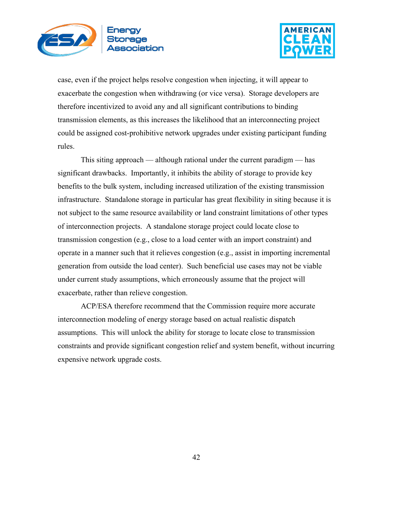



case, even if the project helps resolve congestion when injecting, it will appear to exacerbate the congestion when withdrawing (or vice versa). Storage developers are therefore incentivized to avoid any and all significant contributions to binding transmission elements, as this increases the likelihood that an interconnecting project could be assigned cost-prohibitive network upgrades under existing participant funding rules.

This siting approach — although rational under the current paradigm — has significant drawbacks. Importantly, it inhibits the ability of storage to provide key benefits to the bulk system, including increased utilization of the existing transmission infrastructure. Standalone storage in particular has great flexibility in siting because it is not subject to the same resource availability or land constraint limitations of other types of interconnection projects. A standalone storage project could locate close to transmission congestion (e.g., close to a load center with an import constraint) and operate in a manner such that it relieves congestion (e.g., assist in importing incremental generation from outside the load center). Such beneficial use cases may not be viable under current study assumptions, which erroneously assume that the project will exacerbate, rather than relieve congestion.

ACP/ESA therefore recommend that the Commission require more accurate interconnection modeling of energy storage based on actual realistic dispatch assumptions. This will unlock the ability for storage to locate close to transmission constraints and provide significant congestion relief and system benefit, without incurring expensive network upgrade costs.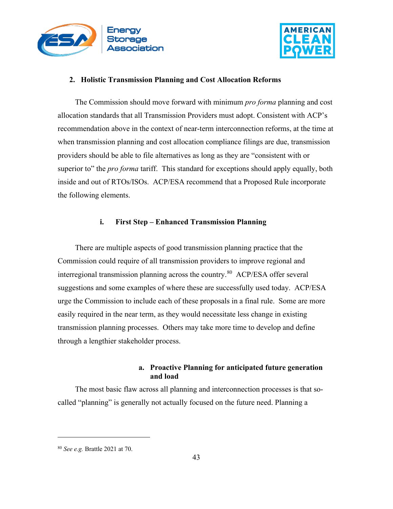



### **2. Holistic Transmission Planning and Cost Allocation Reforms**

The Commission should move forward with minimum *pro forma* planning and cost allocation standards that all Transmission Providers must adopt. Consistent with ACP's recommendation above in the context of near-term interconnection reforms, at the time at when transmission planning and cost allocation compliance filings are due, transmission providers should be able to file alternatives as long as they are "consistent with or superior to" the *pro forma* tariff. This standard for exceptions should apply equally, both inside and out of RTOs/ISOs. ACP/ESA recommend that a Proposed Rule incorporate the following elements.

### **i. First Step – Enhanced Transmission Planning**

There are multiple aspects of good transmission planning practice that the Commission could require of all transmission providers to improve regional and interregional transmission planning across the country.<sup>80</sup> ACP/ESA offer several suggestions and some examples of where these are successfully used today. ACP/ESA urge the Commission to include each of these proposals in a final rule. Some are more easily required in the near term, as they would necessitate less change in existing transmission planning processes. Others may take more time to develop and define through a lengthier stakeholder process.

## **a. Proactive Planning for anticipated future generation and load**

The most basic flaw across all planning and interconnection processes is that socalled "planning" is generally not actually focused on the future need. Planning a

<span id="page-42-0"></span><sup>80</sup> *See e.g.* Brattle 2021 at 70.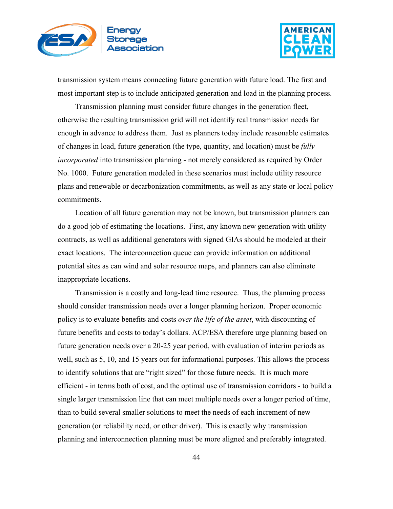



transmission system means connecting future generation with future load. The first and most important step is to include anticipated generation and load in the planning process.

Transmission planning must consider future changes in the generation fleet, otherwise the resulting transmission grid will not identify real transmission needs far enough in advance to address them. Just as planners today include reasonable estimates of changes in load, future generation (the type, quantity, and location) must be *fully incorporated* into transmission planning - not merely considered as required by Order No. 1000. Future generation modeled in these scenarios must include utility resource plans and renewable or decarbonization commitments, as well as any state or local policy commitments.

Location of all future generation may not be known, but transmission planners can do a good job of estimating the locations. First, any known new generation with utility contracts, as well as additional generators with signed GIAs should be modeled at their exact locations. The interconnection queue can provide information on additional potential sites as can wind and solar resource maps, and planners can also eliminate inappropriate locations.

Transmission is a costly and long-lead time resource. Thus, the planning process should consider transmission needs over a longer planning horizon. Proper economic policy is to evaluate benefits and costs *over the life of the asset*, with discounting of future benefits and costs to today's dollars. ACP/ESA therefore urge planning based on future generation needs over a 20-25 year period, with evaluation of interim periods as well, such as 5, 10, and 15 years out for informational purposes. This allows the process to identify solutions that are "right sized" for those future needs. It is much more efficient - in terms both of cost, and the optimal use of transmission corridors - to build a single larger transmission line that can meet multiple needs over a longer period of time, than to build several smaller solutions to meet the needs of each increment of new generation (or reliability need, or other driver). This is exactly why transmission planning and interconnection planning must be more aligned and preferably integrated.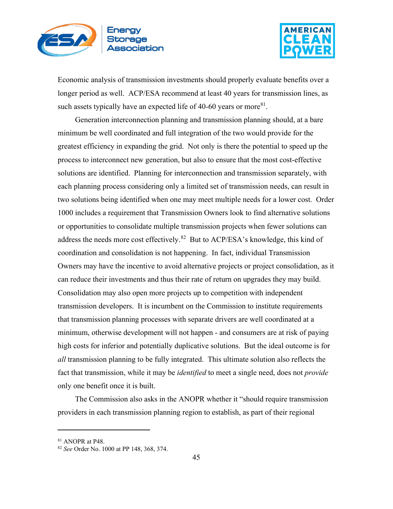



Economic analysis of transmission investments should properly evaluate benefits over a longer period as well. ACP/ESA recommend at least 40 years for transmission lines, as such assets typically have an expected life of 40-60 years or more<sup>[81](#page-44-0)</sup>.

Generation interconnection planning and transmission planning should, at a bare minimum be well coordinated and full integration of the two would provide for the greatest efficiency in expanding the grid. Not only is there the potential to speed up the process to interconnect new generation, but also to ensure that the most cost-effective solutions are identified. Planning for interconnection and transmission separately, with each planning process considering only a limited set of transmission needs, can result in two solutions being identified when one may meet multiple needs for a lower cost. Order 1000 includes a requirement that Transmission Owners look to find alternative solutions or opportunities to consolidate multiple transmission projects when fewer solutions can address the needs more cost effectively.<sup>82</sup> But to ACP/ESA's knowledge, this kind of coordination and consolidation is not happening. In fact, individual Transmission Owners may have the incentive to avoid alternative projects or project consolidation, as it can reduce their investments and thus their rate of return on upgrades they may build. Consolidation may also open more projects up to competition with independent transmission developers. It is incumbent on the Commission to institute requirements that transmission planning processes with separate drivers are well coordinated at a minimum, otherwise development will not happen - and consumers are at risk of paying high costs for inferior and potentially duplicative solutions. But the ideal outcome is for *all* transmission planning to be fully integrated. This ultimate solution also reflects the fact that transmission, while it may be *identified* to meet a single need, does not *provide* only one benefit once it is built.

The Commission also asks in the ANOPR whether it "should require transmission providers in each transmission planning region to establish, as part of their regional

<span id="page-44-0"></span><sup>81</sup> ANOPR at P48.

<span id="page-44-1"></span><sup>82</sup> *See* Order No. 1000 at PP 148, 368, 374.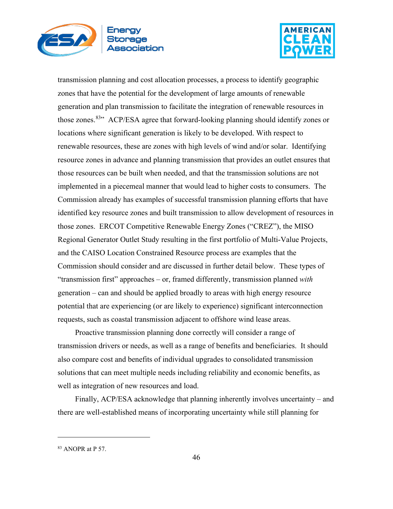



transmission planning and cost allocation processes, a process to identify geographic zones that have the potential for the development of large amounts of renewable generation and plan transmission to facilitate the integration of renewable resources in those zones.<sup>[83](#page-45-0)</sup><sup>33</sup> ACP/ESA agree that forward-looking planning should identify zones or locations where significant generation is likely to be developed. With respect to renewable resources, these are zones with high levels of wind and/or solar. Identifying resource zones in advance and planning transmission that provides an outlet ensures that those resources can be built when needed, and that the transmission solutions are not implemented in a piecemeal manner that would lead to higher costs to consumers. The Commission already has examples of successful transmission planning efforts that have identified key resource zones and built transmission to allow development of resources in those zones. ERCOT Competitive Renewable Energy Zones ("CREZ"), the MISO Regional Generator Outlet Study resulting in the first portfolio of Multi-Value Projects, and the CAISO Location Constrained Resource process are examples that the Commission should consider and are discussed in further detail below. These types of "transmission first" approaches – or, framed differently, transmission planned *with* generation – can and should be applied broadly to areas with high energy resource potential that are experiencing (or are likely to experience) significant interconnection requests, such as coastal transmission adjacent to offshore wind lease areas.

Proactive transmission planning done correctly will consider a range of transmission drivers or needs, as well as a range of benefits and beneficiaries. It should also compare cost and benefits of individual upgrades to consolidated transmission solutions that can meet multiple needs including reliability and economic benefits, as well as integration of new resources and load.

Finally, ACP/ESA acknowledge that planning inherently involves uncertainty – and there are well-established means of incorporating uncertainty while still planning for

<span id="page-45-0"></span><sup>83</sup> ANOPR at P 57.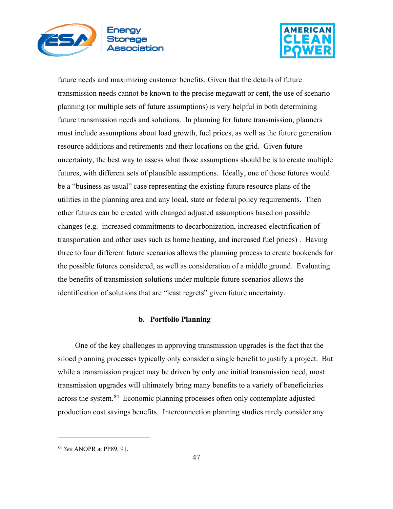



future needs and maximizing customer benefits. Given that the details of future transmission needs cannot be known to the precise megawatt or cent, the use of scenario planning (or multiple sets of future assumptions) is very helpful in both determining future transmission needs and solutions. In planning for future transmission, planners must include assumptions about load growth, fuel prices, as well as the future generation resource additions and retirements and their locations on the grid. Given future uncertainty, the best way to assess what those assumptions should be is to create multiple futures, with different sets of plausible assumptions. Ideally, one of those futures would be a "business as usual" case representing the existing future resource plans of the utilities in the planning area and any local, state or federal policy requirements. Then other futures can be created with changed adjusted assumptions based on possible changes (e.g. increased commitments to decarbonization, increased electrification of transportation and other uses such as home heating, and increased fuel prices) . Having three to four different future scenarios allows the planning process to create bookends for the possible futures considered, as well as consideration of a middle ground. Evaluating the benefits of transmission solutions under multiple future scenarios allows the identification of solutions that are "least regrets" given future uncertainty.

### **b. Portfolio Planning**

One of the key challenges in approving transmission upgrades is the fact that the siloed planning processes typically only consider a single benefit to justify a project. But while a transmission project may be driven by only one initial transmission need, most transmission upgrades will ultimately bring many benefits to a variety of beneficiaries across the system.<sup>84</sup> Economic planning processes often only contemplate adjusted production cost savings benefits. Interconnection planning studies rarely consider any

<span id="page-46-0"></span><sup>84</sup> *See* ANOPR at PP89, 91.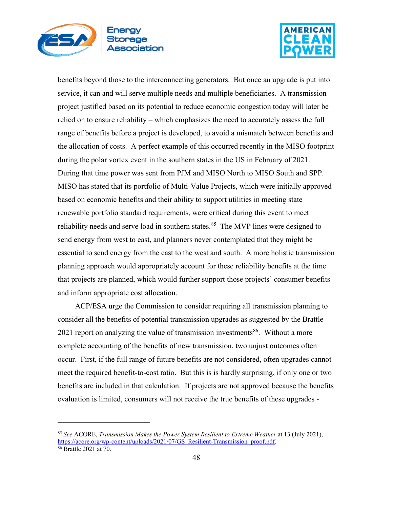



benefits beyond those to the interconnecting generators. But once an upgrade is put into service, it can and will serve multiple needs and multiple beneficiaries. A transmission project justified based on its potential to reduce economic congestion today will later be relied on to ensure reliability – which emphasizes the need to accurately assess the full range of benefits before a project is developed, to avoid a mismatch between benefits and the allocation of costs. A perfect example of this occurred recently in the MISO footprint during the polar vortex event in the southern states in the US in February of 2021. During that time power was sent from PJM and MISO North to MISO South and SPP. MISO has stated that its portfolio of Multi-Value Projects, which were initially approved based on economic benefits and their ability to support utilities in meeting state renewable portfolio standard requirements, were critical during this event to meet reliability needs and serve load in southern states. $85$  The MVP lines were designed to send energy from west to east, and planners never contemplated that they might be essential to send energy from the east to the west and south. A more holistic transmission planning approach would appropriately account for these reliability benefits at the time that projects are planned, which would further support those projects' consumer benefits and inform appropriate cost allocation.

ACP/ESA urge the Commission to consider requiring all transmission planning to consider all the benefits of potential transmission upgrades as suggested by the Brattle 2021 report on analyzing the value of transmission investments<sup>[86](#page-47-1)</sup>. Without a more complete accounting of the benefits of new transmission, two unjust outcomes often occur. First, if the full range of future benefits are not considered, often upgrades cannot meet the required benefit-to-cost ratio. But this is is hardly surprising, if only one or two benefits are included in that calculation. If projects are not approved because the benefits evaluation is limited, consumers will not receive the true benefits of these upgrades -

<span id="page-47-0"></span><sup>85</sup> *See* ACORE, *Transmission Makes the Power System Resilient to Extreme Weather* at 13 (July 2021), [https://acore.org/wp-content/uploads/2021/07/GS\\_Resilient-Transmission\\_proof.pdf.](https://acore.org/wp-content/uploads/2021/07/GS_Resilient-Transmission_proof.pdf) 86 Brattle 2021 at 70.

<span id="page-47-1"></span>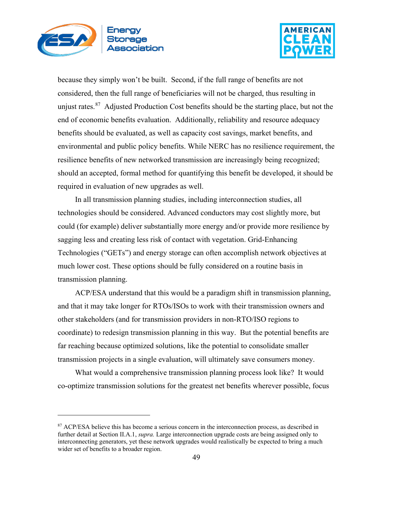



because they simply won't be built. Second, if the full range of benefits are not considered, then the full range of beneficiaries will not be charged, thus resulting in unjust rates.<sup>87</sup> Adjusted Production Cost benefits should be the starting place, but not the end of economic benefits evaluation. Additionally, reliability and resource adequacy benefits should be evaluated, as well as capacity cost savings, market benefits, and environmental and public policy benefits. While NERC has no resilience requirement, the resilience benefits of new networked transmission are increasingly being recognized; should an accepted, formal method for quantifying this benefit be developed, it should be required in evaluation of new upgrades as well.

In all transmission planning studies, including interconnection studies, all technologies should be considered. Advanced conductors may cost slightly more, but could (for example) deliver substantially more energy and/or provide more resilience by sagging less and creating less risk of contact with vegetation. Grid-Enhancing Technologies ("GETs") and energy storage can often accomplish network objectives at much lower cost. These options should be fully considered on a routine basis in transmission planning.

ACP/ESA understand that this would be a paradigm shift in transmission planning, and that it may take longer for RTOs/ISOs to work with their transmission owners and other stakeholders (and for transmission providers in non-RTO/ISO regions to coordinate) to redesign transmission planning in this way. But the potential benefits are far reaching because optimized solutions, like the potential to consolidate smaller transmission projects in a single evaluation, will ultimately save consumers money.

What would a comprehensive transmission planning process look like? It would co-optimize transmission solutions for the greatest net benefits wherever possible, focus

<span id="page-48-0"></span><sup>87</sup> ACP/ESA believe this has become a serious concern in the interconnection process, as described in further detail at Section II.A.1, *supra.* Large interconnection upgrade costs are being assigned only to interconnecting generators, yet these network upgrades would realistically be expected to bring a much wider set of benefits to a broader region.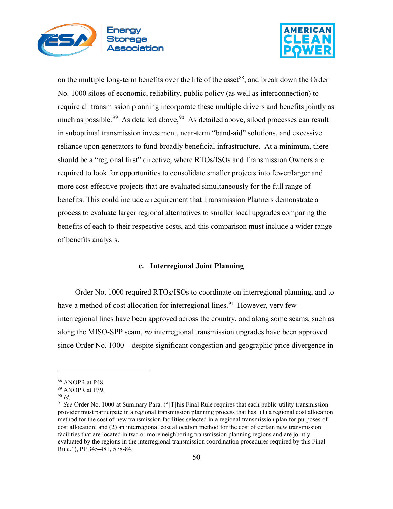



on the multiple long-term benefits over the life of the asset<sup>[88](#page-49-0)</sup>, and break down the Order No. 1000 siloes of economic, reliability, public policy (as well as interconnection) to require all transmission planning incorporate these multiple drivers and benefits jointly as much as possible.<sup>89</sup> As detailed above,  $90\text{ A}s$  $90\text{ A}s$  detailed above, siloed processes can result in suboptimal transmission investment, near-term "band-aid" solutions, and excessive reliance upon generators to fund broadly beneficial infrastructure. At a minimum, there should be a "regional first" directive, where RTOs/ISOs and Transmission Owners are required to look for opportunities to consolidate smaller projects into fewer/larger and more cost-effective projects that are evaluated simultaneously for the full range of benefits. This could include *a* requirement that Transmission Planners demonstrate a process to evaluate larger regional alternatives to smaller local upgrades comparing the benefits of each to their respective costs, and this comparison must include a wider range of benefits analysis.

#### **c. Interregional Joint Planning**

Order No. 1000 required RTOs/ISOs to coordinate on interregional planning, and to have a method of cost allocation for interregional lines.<sup>[91](#page-49-3)</sup> However, very few interregional lines have been approved across the country, and along some seams, such as along the MISO-SPP seam, *no* interregional transmission upgrades have been approved since Order No. 1000 – despite significant congestion and geographic price divergence in

<span id="page-49-0"></span><sup>88</sup> ANOPR at P48.

<span id="page-49-1"></span><sup>89</sup> ANOPR at P39.

<span id="page-49-2"></span><sup>90</sup> *Id*.

<span id="page-49-3"></span><sup>91</sup> *See* Order No. 1000 at Summary Para. ("[T]his Final Rule requires that each public utility transmission provider must participate in a regional transmission planning process that has: (1) a regional cost allocation method for the cost of new transmission facilities selected in a regional transmission plan for purposes of cost allocation; and (2) an interregional cost allocation method for the cost of certain new transmission facilities that are located in two or more neighboring transmission planning regions and are jointly evaluated by the regions in the interregional transmission coordination procedures required by this Final Rule."), PP 345-481, 578-84.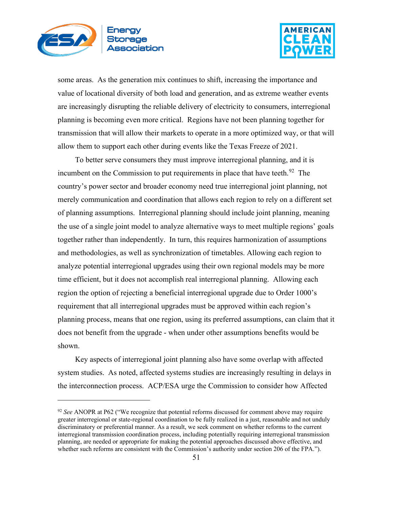



some areas. As the generation mix continues to shift, increasing the importance and value of locational diversity of both load and generation, and as extreme weather events are increasingly disrupting the reliable delivery of electricity to consumers, interregional planning is becoming even more critical. Regions have not been planning together for transmission that will allow their markets to operate in a more optimized way, or that will allow them to support each other during events like the Texas Freeze of 2021.

To better serve consumers they must improve interregional planning, and it is incumbent on the Commission to put requirements in place that have teeth.<sup>92</sup> The country's power sector and broader economy need true interregional joint planning, not merely communication and coordination that allows each region to rely on a different set of planning assumptions. Interregional planning should include joint planning, meaning the use of a single joint model to analyze alternative ways to meet multiple regions' goals together rather than independently. In turn, this requires harmonization of assumptions and methodologies, as well as synchronization of timetables. Allowing each region to analyze potential interregional upgrades using their own regional models may be more time efficient, but it does not accomplish real interregional planning. Allowing each region the option of rejecting a beneficial interregional upgrade due to Order 1000's requirement that all interregional upgrades must be approved within each region's planning process, means that one region, using its preferred assumptions, can claim that it does not benefit from the upgrade - when under other assumptions benefits would be shown.

Key aspects of interregional joint planning also have some overlap with affected system studies. As noted, affected systems studies are increasingly resulting in delays in the interconnection process. ACP/ESA urge the Commission to consider how Affected

<span id="page-50-0"></span><sup>92</sup> *See* ANOPR at P62 ("We recognize that potential reforms discussed for comment above may require greater interregional or state-regional coordination to be fully realized in a just, reasonable and not unduly discriminatory or preferential manner. As a result, we seek comment on whether reforms to the current interregional transmission coordination process, including potentially requiring interregional transmission planning, are needed or appropriate for making the potential approaches discussed above effective, and whether such reforms are consistent with the Commission's authority under section 206 of the FPA.").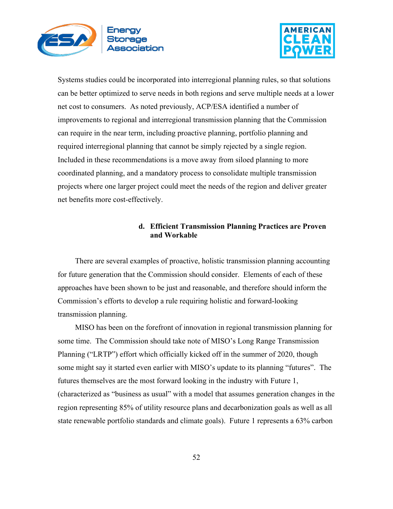



Systems studies could be incorporated into interregional planning rules, so that solutions can be better optimized to serve needs in both regions and serve multiple needs at a lower net cost to consumers. As noted previously, ACP/ESA identified a number of improvements to regional and interregional transmission planning that the Commission can require in the near term, including proactive planning, portfolio planning and required interregional planning that cannot be simply rejected by a single region. Included in these recommendations is a move away from siloed planning to more coordinated planning, and a mandatory process to consolidate multiple transmission projects where one larger project could meet the needs of the region and deliver greater net benefits more cost-effectively.

## **d. Efficient Transmission Planning Practices are Proven and Workable**

There are several examples of proactive, holistic transmission planning accounting for future generation that the Commission should consider. Elements of each of these approaches have been shown to be just and reasonable, and therefore should inform the Commission's efforts to develop a rule requiring holistic and forward-looking transmission planning.

MISO has been on the forefront of innovation in regional transmission planning for some time. The Commission should take note of MISO's Long Range Transmission Planning ("LRTP") effort which officially kicked off in the summer of 2020, though some might say it started even earlier with MISO's update to its planning "futures". The futures themselves are the most forward looking in the industry with Future 1, (characterized as "business as usual" with a model that assumes generation changes in the region representing 85% of utility resource plans and decarbonization goals as well as all state renewable portfolio standards and climate goals). Future 1 represents a 63% carbon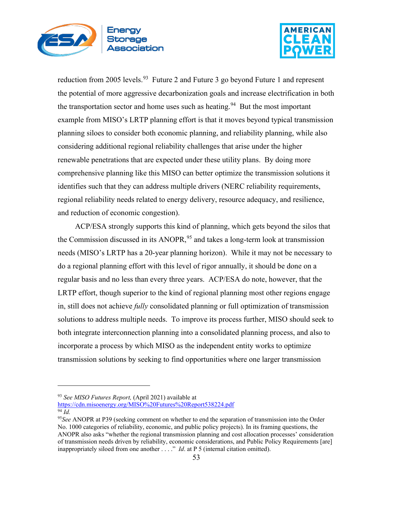



reduction from 2005 levels.<sup>[93](#page-52-0)</sup> Future 2 and Future 3 go beyond Future 1 and represent the potential of more aggressive decarbonization goals and increase electrification in both the transportation sector and home uses such as heating.<sup>[94](#page-52-1)</sup> But the most important example from MISO's LRTP planning effort is that it moves beyond typical transmission planning siloes to consider both economic planning, and reliability planning, while also considering additional regional reliability challenges that arise under the higher renewable penetrations that are expected under these utility plans. By doing more comprehensive planning like this MISO can better optimize the transmission solutions it identifies such that they can address multiple drivers (NERC reliability requirements, regional reliability needs related to energy delivery, resource adequacy, and resilience, and reduction of economic congestion).

ACP/ESA strongly supports this kind of planning, which gets beyond the silos that the Commission discussed in its ANOPR,<sup>[95](#page-52-2)</sup> and takes a long-term look at transmission needs (MISO's LRTP has a 20-year planning horizon). While it may not be necessary to do a regional planning effort with this level of rigor annually, it should be done on a regular basis and no less than every three years. ACP/ESA do note, however, that the LRTP effort, though superior to the kind of regional planning most other regions engage in, still does not achieve *fully* consolidated planning or full optimization of transmission solutions to address multiple needs. To improve its process further, MISO should seek to both integrate interconnection planning into a consolidated planning process, and also to incorporate a process by which MISO as the independent entity works to optimize transmission solutions by seeking to find opportunities where one larger transmission

<span id="page-52-0"></span><sup>93</sup> *See MISO Futures Report,* (April 2021) available at

<span id="page-52-1"></span><https://cdn.misoenergy.org/MISO%20Futures%20Report538224.pdf> <sup>94</sup> *Id.*

<span id="page-52-2"></span><sup>95</sup>*See* ANOPR at P39 (seeking comment on whether to end the separation of transmission into the Order No. 1000 categories of reliability, economic, and public policy projects). In its framing questions, the ANOPR also asks "whether the regional transmission planning and cost allocation processes' consideration of transmission needs driven by reliability, economic considerations, and Public Policy Requirements [are] inappropriately siloed from one another . . . ." *Id*. at P 5 (internal citation omitted).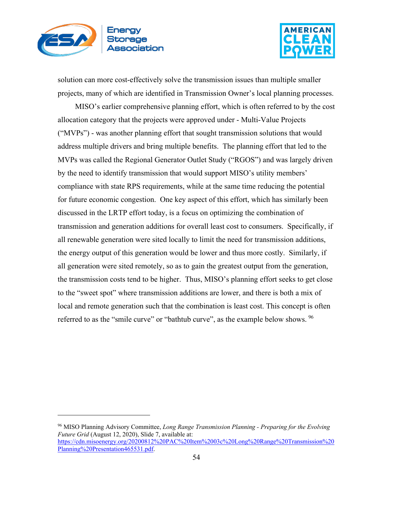



solution can more cost-effectively solve the transmission issues than multiple smaller projects, many of which are identified in Transmission Owner's local planning processes.

MISO's earlier comprehensive planning effort, which is often referred to by the cost allocation category that the projects were approved under - Multi-Value Projects ("MVPs") - was another planning effort that sought transmission solutions that would address multiple drivers and bring multiple benefits. The planning effort that led to the MVPs was called the Regional Generator Outlet Study ("RGOS") and was largely driven by the need to identify transmission that would support MISO's utility members' compliance with state RPS requirements, while at the same time reducing the potential for future economic congestion. One key aspect of this effort, which has similarly been discussed in the LRTP effort today, is a focus on optimizing the combination of transmission and generation additions for overall least cost to consumers. Specifically, if all renewable generation were sited locally to limit the need for transmission additions, the energy output of this generation would be lower and thus more costly. Similarly, if all generation were sited remotely, so as to gain the greatest output from the generation, the transmission costs tend to be higher. Thus, MISO's planning effort seeks to get close to the "sweet spot" where transmission additions are lower, and there is both a mix of local and remote generation such that the combination is least cost. This concept is often referred to as the "smile curve" or "bathtub curve", as the example below shows. <sup>[96](#page-53-0)</sup>

<span id="page-53-0"></span><sup>96</sup> MISO Planning Advisory Committee, *Long Range Transmission Planning - Preparing for the Evolving Future Grid* (August 12, 2020), Slide 7, available at: [https://cdn.misoenergy.org/20200812%20PAC%20Item%2003c%20Long%20Range%20Transmission%20](https://cdn.misoenergy.org/20200812%20PAC%20Item%2003c%20Long%20Range%20Transmission%20Planning%20Presentation465531.pdf) [Planning%20Presentation465531.pdf.](https://cdn.misoenergy.org/20200812%20PAC%20Item%2003c%20Long%20Range%20Transmission%20Planning%20Presentation465531.pdf)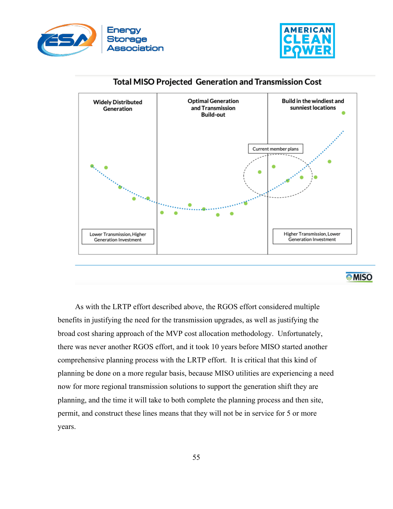





# **Total MISO Projected Generation and Transmission Cost**

As with the LRTP effort described above, the RGOS effort considered multiple benefits in justifying the need for the transmission upgrades, as well as justifying the broad cost sharing approach of the MVP cost allocation methodology. Unfortunately, there was never another RGOS effort, and it took 10 years before MISO started another comprehensive planning process with the LRTP effort. It is critical that this kind of planning be done on a more regular basis, because MISO utilities are experiencing a need now for more regional transmission solutions to support the generation shift they are planning, and the time it will take to both complete the planning process and then site, permit, and construct these lines means that they will not be in service for 5 or more years.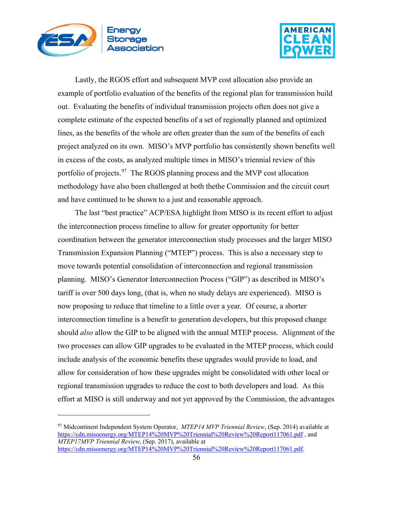



Lastly, the RGOS effort and subsequent MVP cost allocation also provide an example of portfolio evaluation of the benefits of the regional plan for transmission build out. Evaluating the benefits of individual transmission projects often does not give a complete estimate of the expected benefits of a set of regionally planned and optimized lines, as the benefits of the whole are often greater than the sum of the benefits of each project analyzed on its own. MISO's MVP portfolio has consistently shown benefits well in excess of the costs, as analyzed multiple times in MISO's triennial review of this portfolio of projects.<sup>97</sup> The RGOS planning process and the MVP cost allocation methodology have also been challenged at both thethe Commission and the circuit court and have continued to be shown to a just and reasonable approach.

The last "best practice" ACP/ESA highlight from MISO is its recent effort to adjust the interconnection process timeline to allow for greater opportunity for better coordination between the generator interconnection study processes and the larger MISO Transmission Expansion Planning ("MTEP") process. This is also a necessary step to move towards potential consolidation of interconnection and regional transmission planning. MISO's Generator Interconnection Process ("GIP") as described in MISO's tariff is over 500 days long, (that is, when no study delays are experienced). MISO is now proposing to reduce that timeline to a little over a year. Of course, a shorter interconnection timeline is a benefit to generation developers, but this proposed change should *also* allow the GIP to be aligned with the annual MTEP process. Alignment of the two processes can allow GIP upgrades to be evaluated in the MTEP process, which could include analysis of the economic benefits these upgrades would provide to load, and allow for consideration of how these upgrades might be consolidated with other local or regional transmission upgrades to reduce the cost to both developers and load. As this effort at MISO is still underway and not yet approved by the Commission, the advantages

<span id="page-55-0"></span><sup>97</sup> Midcontinent Independent System Operator, *MTEP14 MVP Triennial Review*, (Sep. 2014) available at <https://cdn.misoenergy.org/MTEP14%20MVP%20Triennial%20Review%20Report117061.pdf> , and *MTEP17MVP Triennial Review*, (Sep. 2017), available at [https://cdn.misoenergy.org/MTEP14%20MVP%20Triennial%20Review%20Report117061.pdf.](https://cdn.misoenergy.org/MTEP14%20MVP%20Triennial%20Review%20Report117061.pdf)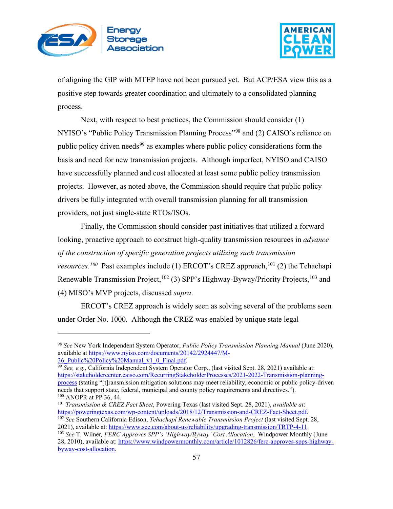



of aligning the GIP with MTEP have not been pursued yet. But ACP/ESA view this as a positive step towards greater coordination and ultimately to a consolidated planning process.

Next, with respect to best practices, the Commission should consider (1) NYISO's "Public Policy Transmission Planning Process"[98](#page-56-0) and (2) CAISO's reliance on public policy driven needs<sup>[99](#page-56-1)</sup> as examples where public policy considerations form the basis and need for new transmission projects. Although imperfect, NYISO and CAISO have successfully planned and cost allocated at least some public policy transmission projects. However, as noted above, the Commission should require that public policy drivers be fully integrated with overall transmission planning for all transmission providers, not just single-state RTOs/ISOs.

Finally, the Commission should consider past initiatives that utilized a forward looking, proactive approach to construct high-quality transmission resources in *advance of the construction of specific generation projects utilizing such transmission resources.<sup>[100](#page-56-2)</sup>* Past examples include (1) ERCOT's CREZ approach,<sup>[101](#page-56-3)</sup> (2) the Tehachapi Renewable Transmission Project, <sup>[102](#page-56-4)</sup> (3) SPP's Highway-Byway/Priority Projects, <sup>[103](#page-56-5)</sup> and (4) MISO's MVP projects, discussed *supra*.

ERCOT's CREZ approach is widely seen as solving several of the problems seen under Order No. 1000. Although the CREZ was enabled by unique state legal

<span id="page-56-0"></span><sup>98</sup> *See* New York Independent System Operator, *Public Policy Transmission Planning Manual* (June 2020), available at https://www.nyiso.com/documents/20142/2924447/M-<br>36 Public%20Policy%20Manual v1 0 Final.pdf.

<span id="page-56-1"></span><sup>&</sup>lt;sup>99</sup> *See, e.g.*, California Independent System Operator Corp., (last visited Sept. 28, 2021) available at: [https://stakeholdercenter.caiso.com/RecurringStakeholderProcesses/2021-2022-Transmission-planning-](https://stakeholdercenter.caiso.com/RecurringStakeholderProcesses/2021-2022-Transmission-planning-process)

[process](https://stakeholdercenter.caiso.com/RecurringStakeholderProcesses/2021-2022-Transmission-planning-process) (stating "[t]ransmission mitigation solutions may meet reliability, economic or public policy-driven needs that support state, federal, municipal and county policy requirements and directives."). <sup>100</sup> ANOPR at PP 36, 44.

<span id="page-56-3"></span><span id="page-56-2"></span><sup>101</sup> *Transmission & CREZ Fact Sheet*, Powering Texas (last visited Sept. 28, 2021), *available at*: <sup>102</sup> See Southern California Edison, *Tehachapi Renewable Transmission Project* (last visited Sept. 28,

<span id="page-56-4"></span><sup>2021),</sup> available at: [https://www.sce.com/about-us/reliability/upgrading-transmission/TRTP-4-11.](https://www.sce.com/about-us/reliability/upgrading-transmission/TRTP-4-11) 103 *See* T. Wilner*, FERC Approves SPP's 'Highway/Byway' Cost Allocation*, Windpower Monthly (June

<span id="page-56-5"></span><sup>28, 2010),</sup> available at: [https://www.windpowermonthly.com/article/1012826/ferc-approves-spps-highway](https://www.windpowermonthly.com/article/1012826/ferc-approves-spps-highway-byway-cost-allocation)[byway-cost-allocation.](https://www.windpowermonthly.com/article/1012826/ferc-approves-spps-highway-byway-cost-allocation)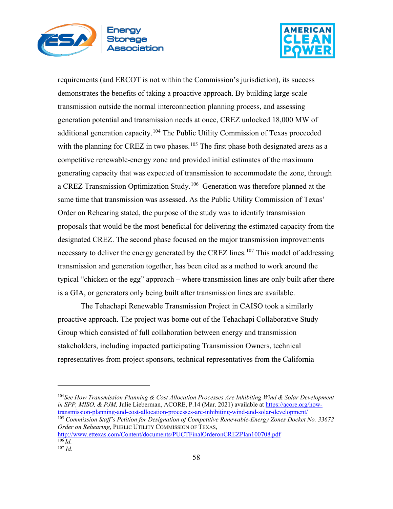



requirements (and ERCOT is not within the Commission's jurisdiction), its success demonstrates the benefits of taking a proactive approach. By building large-scale transmission outside the normal interconnection planning process, and assessing generation potential and transmission needs at once, CREZ unlocked 18,000 MW of additional generation capacity.[104](#page-57-0) The Public Utility Commission of Texas proceeded with the planning for CREZ in two phases.<sup>[105](#page-57-1)</sup> The first phase both designated areas as a competitive renewable-energy zone and provided initial estimates of the maximum generating capacity that was expected of transmission to accommodate the zone, through a CREZ Transmission Optimization Study.<sup>[106](#page-57-2)</sup> Generation was therefore planned at the same time that transmission was assessed. As the Public Utility Commission of Texas' Order on Rehearing stated, the purpose of the study was to identify transmission proposals that would be the most beneficial for delivering the estimated capacity from the designated CREZ. The second phase focused on the major transmission improvements necessary to deliver the energy generated by the CREZ lines.<sup>[107](#page-57-3)</sup> This model of addressing transmission and generation together, has been cited as a method to work around the typical "chicken or the egg" approach – where transmission lines are only built after there is a GIA, or generators only being built after transmission lines are available.

The Tehachapi Renewable Transmission Project in CAISO took a similarly proactive approach. The project was borne out of the Tehachapi Collaborative Study Group which consisted of full collaboration between energy and transmission stakeholders, including impacted participating Transmission Owners, technical representatives from project sponsors, technical representatives from the California

<span id="page-57-0"></span><sup>104</sup>*See How Transmission Planning & Cost Allocation Processes Are Inhibiting Wind & Solar Development in SPP, MISO, & PJM,* Julie Lieberman, ACORE, P.14 (Mar. 2021) available at [https://acore.org/how](https://acore.org/how-transmission-planning-and-cost-allocation-processes-are-inhibiting-wind-and-solar-development/)[transmission-planning-and-cost-allocation-processes-are-inhibiting-wind-and-solar-development/](https://acore.org/how-transmission-planning-and-cost-allocation-processes-are-inhibiting-wind-and-solar-development/)

<span id="page-57-1"></span><sup>105</sup> *Commission Staff's Petition for Designation of Competitive Renewable-Energy Zones Docket No. 33672 Order on Rehearing*, PUBLIC UTILITY COMMISSION OF TEXAS,

<span id="page-57-2"></span><http://www.ettexas.com/Content/documents/PUCTFinalOrderonCREZPlan100708.pdf>  $^{106}$ *Id.* 

<span id="page-57-3"></span><sup>107</sup> *Id.*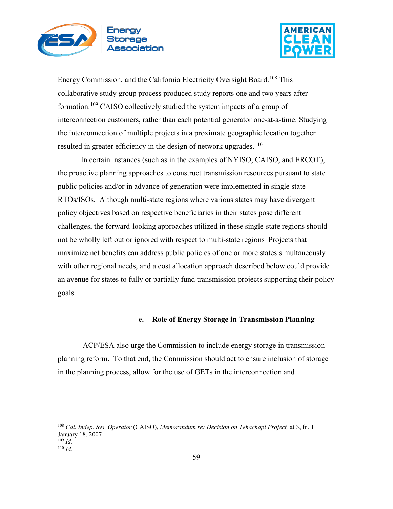



Energy Commission, and the California Electricity Oversight Board.[108](#page-58-0) This collaborative study group process produced study reports one and two years after formation.<sup>[109](#page-58-1)</sup> CAISO collectively studied the system impacts of a group of interconnection customers, rather than each potential generator one-at-a-time. Studying the interconnection of multiple projects in a proximate geographic location together resulted in greater efficiency in the design of network upgrades.<sup>[110](#page-58-2)</sup>

In certain instances (such as in the examples of NYISO, CAISO, and ERCOT), the proactive planning approaches to construct transmission resources pursuant to state public policies and/or in advance of generation were implemented in single state RTOs/ISOs. Although multi-state regions where various states may have divergent policy objectives based on respective beneficiaries in their states pose different challenges, the forward-looking approaches utilized in these single-state regions should not be wholly left out or ignored with respect to multi-state regions Projects that maximize net benefits can address public policies of one or more states simultaneously with other regional needs, and a cost allocation approach described below could provide an avenue for states to fully or partially fund transmission projects supporting their policy goals.

## **e. Role of Energy Storage in Transmission Planning**

ACP/ESA also urge the Commission to include energy storage in transmission planning reform. To that end, the Commission should act to ensure inclusion of storage in the planning process, allow for the use of GETs in the interconnection and

<span id="page-58-0"></span><sup>108</sup> *Cal. Indep. Sys. Operator* (CAISO), *Memorandum re: Decision on Tehachapi Project,* at 3, fn. 1 January 18, 2007 <sup>109</sup> *Id.*

<span id="page-58-2"></span><span id="page-58-1"></span><sup>110</sup> *Id.*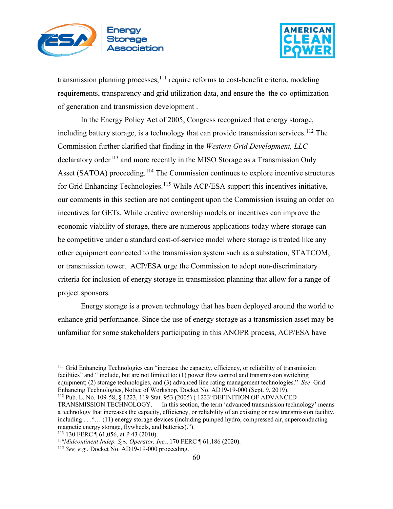



transmission planning processes,  $^{111}$  $^{111}$  $^{111}$  require reforms to cost-benefit criteria, modeling requirements, transparency and grid utilization data, and ensure the the co-optimization of generation and transmission development .

In the Energy Policy Act of 2005, Congress recognized that energy storage, including battery storage, is a technology that can provide transmission services.<sup>[112](#page-59-1)</sup> The Commission further clarified that finding in the *Western Grid Development, LLC* declaratory order<sup>[113](#page-59-2)</sup> and more recently in the MISO Storage as a Transmission Only Asset (SATOA) proceeding.<sup>[114](#page-59-3)</sup> The Commission continues to explore incentive structures for Grid Enhancing Technologies.<sup>[115](#page-59-4)</sup> While ACP/ESA support this incentives initiative, our comments in this section are not contingent upon the Commission issuing an order on incentives for GETs. While creative ownership models or incentives can improve the economic viability of storage, there are numerous applications today where storage can be competitive under a standard cost-of-service model where storage is treated like any other equipment connected to the transmission system such as a substation, STATCOM, or transmission tower. ACP/ESA urge the Commission to adopt non-discriminatory criteria for inclusion of energy storage in transmission planning that allow for a range of project sponsors.

Energy storage is a proven technology that has been deployed around the world to enhance grid performance. Since the use of energy storage as a transmission asset may be unfamiliar for some stakeholders participating in this ANOPR process, ACP/ESA have

<span id="page-59-0"></span><sup>&</sup>lt;sup>111</sup> Grid Enhancing Technologies can "increase the capacity, efficiency, or reliability of transmission facilities" and " include, but are not limited to: (1) power flow control and transmission switching equipment; (2) storage technologies, and (3) advanced line rating management technologies." *See* Grid Enhancing Technologies, Notice of Workshop, Docket No. AD19-19-000 (Sept. 9, 2019). <sup>112</sup> Pub. L. No. 109-58, § 1223, 119 Stat. 953 (2005) ( 1223"DEFINITION OF ADVANCED

<span id="page-59-1"></span>TRANSMISSION TECHNOLOGY. — In this section, the term 'advanced transmission technology' means a technology that increases the capacity, efficiency, or reliability of an existing or new transmission facility, including . . ."… (11) energy storage devices (including pumped hydro, compressed air, superconducting magnetic energy storage, flywheels, and batteries).").

<span id="page-59-2"></span><sup>113</sup> 130 FERC ¶ 61,056, at P 43 (2010).

<span id="page-59-4"></span><span id="page-59-3"></span><sup>&</sup>lt;sup>114</sup>*Midcontinent Indep. Sys. Operator, Inc.*, 170 FERC ¶ 61,186 (2020).<br><sup>115</sup> *See, e.g.*, Docket No. AD19-19-000 proceeding.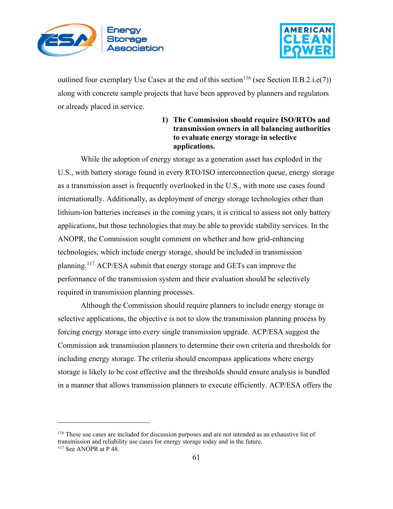



outlined four exemplary Use Cases at the end of this section<sup>[116](#page-60-0)</sup> (see Section II.B.2.i.e(7)) along with concrete sample projects that have been approved by planners and regulators or already placed in service.

# **1) The Commission should require ISO/RTOs and transmission owners in all balancing authorities to evaluate energy storage in selective applications.**

While the adoption of energy storage as a generation asset has exploded in the U.S., with battery storage found in every RTO/ISO interconnection queue, energy storage as a transmission asset is frequently overlooked in the U.S., with more use cases found internationally. Additionally, as deployment of energy storage technologies other than lithium-ion batteries increases in the coming years, it is critical to assess not only battery applications, but those technologies that may be able to provide stability services. In the ANOPR, the Commission sought comment on whether and how grid-enhancing technologies, which include energy storage, should be included in transmission planning.[117](#page-60-1) ACP/ESA submit that energy storage and GETs can improve the performance of the transmission system and their evaluation should be selectively required in transmission planning processes.

Although the Commission should require planners to include energy storage in selective applications, the objective is not to slow the transmission planning process by forcing energy storage into every single transmission upgrade. ACP/ESA suggest the Commission ask transmission planners to determine their own criteria and thresholds for including energy storage. The criteria should encompass applications where energy storage is likely to be cost effective and the thresholds should ensure analysis is bundled in a manner that allows transmission planners to execute efficiently. ACP/ESA offers the

<span id="page-60-1"></span><span id="page-60-0"></span><sup>116</sup> These use cases are included for discussion purposes and are not intended as an exhaustive list of transmission and reliability use cases for energy storage today and in the future. <sup>117</sup> See ANOPR at P 48.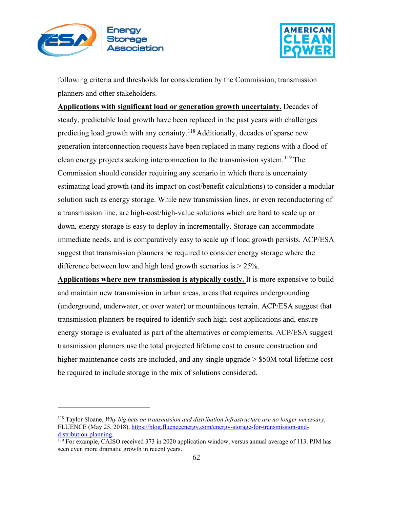



following criteria and thresholds for consideration by the Commission, transmission planners and other stakeholders.

**Applications with significant load or generation growth uncertainty.** Decades of steady, predictable load growth have been replaced in the past years with challenges predicting load growth with any certainty.[118](#page-61-0) Additionally, decades of sparse new generation interconnection requests have been replaced in many regions with a flood of clean energy projects seeking interconnection to the transmission system.<sup>[119](#page-61-1)</sup> The Commission should consider requiring any scenario in which there is uncertainty estimating load growth (and its impact on cost/benefit calculations) to consider a modular solution such as energy storage. While new transmission lines, or even reconductoring of a transmission line, are high-cost/high-value solutions which are hard to scale up or down, energy storage is easy to deploy in incrementally. Storage can accommodate immediate needs, and is comparatively easy to scale up if load growth persists. ACP/ESA suggest that transmission planners be required to consider energy storage where the difference between low and high load growth scenarios is  $> 25\%$ .

**Applications where new transmission is atypically costly.** It is more expensive to build and maintain new transmission in urban areas, areas that requires undergrounding (underground, underwater, or over water) or mountainous terrain. ACP/ESA suggest that transmission planners be required to identify such high-cost applications and, ensure energy storage is evaluated as part of the alternatives or complements. ACP/ESA suggest transmission planners use the total projected lifetime cost to ensure construction and higher maintenance costs are included, and any single upgrade  $> $50M$  total lifetime cost be required to include storage in the mix of solutions considered.

<span id="page-61-0"></span><sup>118</sup> Taylor Sloane, *Why big bets on transmission and distribution infrastructure are no longer necessary*, FLUENCE (May 25, 2018), https://blog.fluenceenergy.com/energy-storage-for-transmission-and-<br>distribution-planning.

<span id="page-61-1"></span> $119$  For example, CAISO received 373 in 2020 application window, versus annual average of 113. PJM has seen even more dramatic growth in recent years.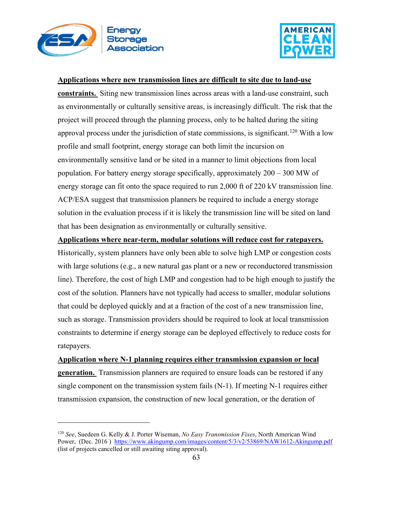



### **Applications where new transmission lines are difficult to site due to land-use**

**constraints.** Siting new transmission lines across areas with a land-use constraint, such as environmentally or culturally sensitive areas, is increasingly difficult. The risk that the project will proceed through the planning process, only to be halted during the siting approval process under the jurisdiction of state commissions, is significant.<sup>[120](#page-62-0)</sup> With a low profile and small footprint, energy storage can both limit the incursion on environmentally sensitive land or be sited in a manner to limit objections from local population. For battery energy storage specifically, approximately 200 – 300 MW of energy storage can fit onto the space required to run 2,000 ft of 220 kV transmission line. ACP/ESA suggest that transmission planners be required to include a energy storage solution in the evaluation process if it is likely the transmission line will be sited on land that has been designation as environmentally or culturally sensitive.

**Applications where near-term, modular solutions will reduce cost for ratepayers.**

Historically, system planners have only been able to solve high LMP or congestion costs with large solutions (e.g., a new natural gas plant or a new or reconductored transmission line). Therefore, the cost of high LMP and congestion had to be high enough to justify the cost of the solution. Planners have not typically had access to smaller, modular solutions that could be deployed quickly and at a fraction of the cost of a new transmission line, such as storage. Transmission providers should be required to look at local transmission constraints to determine if energy storage can be deployed effectively to reduce costs for ratepayers.

**Application where N-1 planning requires either transmission expansion or local generation.** Transmission planners are required to ensure loads can be restored if any single component on the transmission system fails (N-1). If meeting N-1 requires either transmission expansion, the construction of new local generation, or the deration of

<span id="page-62-0"></span><sup>120</sup> *See*, Suedeen G. Kelly & J. Porter Wiseman, *No Easy Transmission Fixes*, North American Wind Power, (Dec. 2016) <https://www.akingump.com/images/content/5/3/v2/53869/NAW1612-Akingump.pdf> (list of projects cancelled or still awaiting siting approval).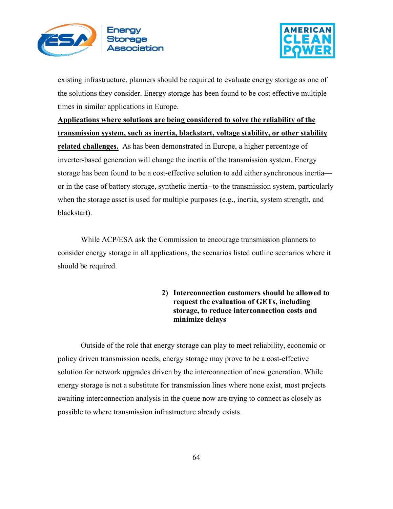



existing infrastructure, planners should be required to evaluate energy storage as one of the solutions they consider. Energy storage has been found to be cost effective multiple times in similar applications in Europe.

**Applications where solutions are being considered to solve the reliability of the transmission system, such as inertia, blackstart, voltage stability, or other stability** 

**related challenges.** As has been demonstrated in Europe, a higher percentage of inverter-based generation will change the inertia of the transmission system. Energy storage has been found to be a cost-effective solution to add either synchronous inertia or in the case of battery storage, synthetic inertia--to the transmission system, particularly when the storage asset is used for multiple purposes (e.g., inertia, system strength, and blackstart).

While ACP/ESA ask the Commission to encourage transmission planners to consider energy storage in all applications, the scenarios listed outline scenarios where it should be required.

> **2) Interconnection customers should be allowed to request the evaluation of GETs, including storage, to reduce interconnection costs and minimize delays**

Outside of the role that energy storage can play to meet reliability, economic or policy driven transmission needs, energy storage may prove to be a cost-effective solution for network upgrades driven by the interconnection of new generation. While energy storage is not a substitute for transmission lines where none exist, most projects awaiting interconnection analysis in the queue now are trying to connect as closely as possible to where transmission infrastructure already exists.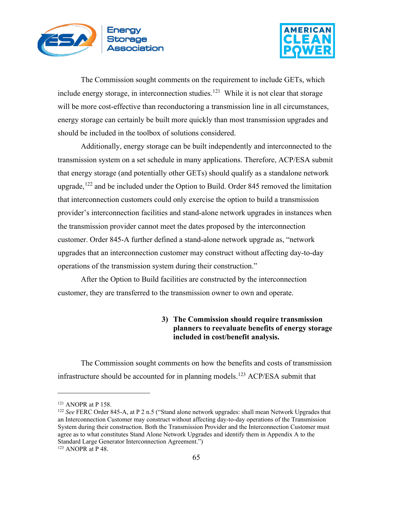



The Commission sought comments on the requirement to include GETs, which include energy storage, in interconnection studies.<sup>[121](#page-64-0)</sup> While it is not clear that storage will be more cost-effective than reconductoring a transmission line in all circumstances, energy storage can certainly be built more quickly than most transmission upgrades and should be included in the toolbox of solutions considered.

Additionally, energy storage can be built independently and interconnected to the transmission system on a set schedule in many applications. Therefore, ACP/ESA submit that energy storage (and potentially other GETs) should qualify as a standalone network upgrade,  $122$  and be included under the Option to Build. Order 845 removed the limitation that interconnection customers could only exercise the option to build a transmission provider's interconnection facilities and stand-alone network upgrades in instances when the transmission provider cannot meet the dates proposed by the interconnection customer. Order 845-A further defined a stand-alone network upgrade as, "network upgrades that an interconnection customer may construct without affecting day-to-day operations of the transmission system during their construction."

After the Option to Build facilities are constructed by the interconnection customer, they are transferred to the transmission owner to own and operate.

## **3) The Commission should require transmission planners to reevaluate benefits of energy storage included in cost/benefit analysis.**

The Commission sought comments on how the benefits and costs of transmission infrastructure should be accounted for in planning models.<sup>[123](#page-64-2)</sup> ACP/ESA submit that

<span id="page-64-1"></span><span id="page-64-0"></span><sup>&</sup>lt;sup>121</sup> ANOPR at P 158.<br><sup>122</sup> *See* FERC Order 845-A, at P 2 n.5 ("Stand alone network upgrades: shall mean Network Upgrades that an Interconnection Customer may construct without affecting day-to-day operations of the Transmission System during their construction. Both the Transmission Provider and the Interconnection Customer must agree as to what constitutes Stand Alone Network Upgrades and identify them in Appendix A to the Standard Large Generator Interconnection Agreement.")

<span id="page-64-2"></span><sup>123</sup> ANOPR at P 48.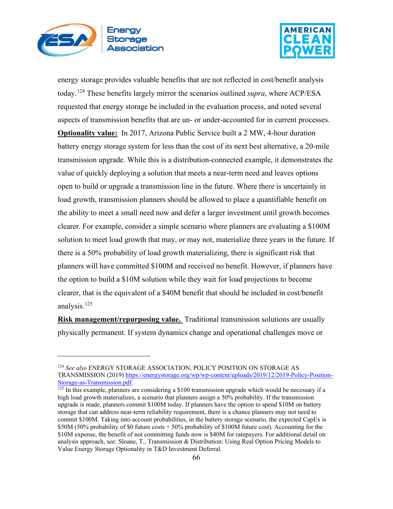



energy storage provides valuable benefits that are not reflected in cost/benefit analysis today.[124](#page-65-0) These benefits largely mirror the scenarios outlined *supra*, where ACP/ESA requested that energy storage be included in the evaluation process, and noted several aspects of transmission benefits that are un- or under-accounted for in current processes. **Optionality value:** In 2017, Arizona Public Service built a 2 MW, 4-hour duration battery energy storage system for less than the cost of its next best alternative, a 20-mile transmission upgrade. While this is a distribution-connected example, it demonstrates the value of quickly deploying a solution that meets a near-term need and leaves options open to build or upgrade a transmission line in the future. Where there is uncertainly in load growth, transmission planners should be allowed to place a quantifiable benefit on the ability to meet a small need now and defer a larger investment until growth becomes clearer. For example, consider a simple scenario where planners are evaluating a \$100M solution to meet load growth that may, or may not, materialize three years in the future. If there is a 50% probability of load growth materializing, there is significant risk that planners will have committed \$100M and received no benefit. However, if planners have the option to build a \$10M solution while they wait for load projections to become clearer, that is the equivalent of a \$40M benefit that should be included in cost/benefit analysis. $125$ 

**Risk management/repurposing value.** Traditional transmission solutions are usually physically permanent. If system dynamics change and operational challenges move or

<span id="page-65-0"></span><sup>124</sup> *See also* ENERGY STORAGE ASSOCIATION, POLICY POSITION ON STORAGE AS TRANSMISSION (2019) https://energystorage.org/wp/wp-content/uploads/2019/12/2019-Policy-Position-Storage-as-Transmission.pdf.

<span id="page-65-1"></span> $\frac{125 \text{ In this example, planners are considering a $100 transmission upgrade which would be necessary if a$ high load growth materializes, a scenario that planners assign a 50% probability. If the transmission upgrade is made, planners commit \$100M today. If planners have the option to spend \$10M on battery storage that can address near-term reliability requirement, there is a chance planners may not need to commit \$100M. Taking into account probabilities, in the battery storage scenario, the expected CapEx is \$50M (50% probability of \$0 future costs + 50% probability of \$100M future cost). Accounting for the \$10M expense, the benefit of not committing funds now is \$40M for ratepayers. For additional detail on analysis approach, see: Sloane, T., Transmission & Distribution: Using Real Option Pricing Models to Value Energy Storage Optionality in T&D Investment Deferral.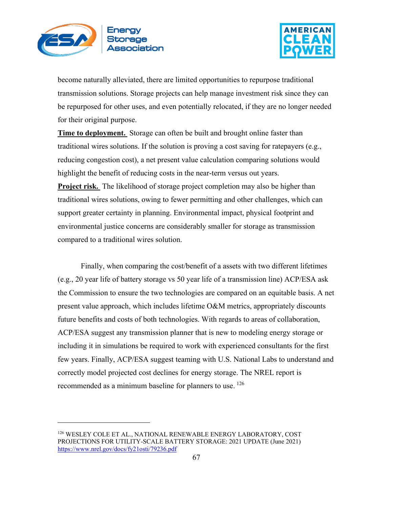



become naturally alleviated, there are limited opportunities to repurpose traditional transmission solutions. Storage projects can help manage investment risk since they can be repurposed for other uses, and even potentially relocated, if they are no longer needed for their original purpose.

**Time to deployment.** Storage can often be built and brought online faster than traditional wires solutions. If the solution is proving a cost saving for ratepayers (e.g., reducing congestion cost), a net present value calculation comparing solutions would highlight the benefit of reducing costs in the near-term versus out years.

**Project risk.** The likelihood of storage project completion may also be higher than traditional wires solutions, owing to fewer permitting and other challenges, which can support greater certainty in planning. Environmental impact, physical footprint and environmental justice concerns are considerably smaller for storage as transmission compared to a traditional wires solution.

Finally, when comparing the cost/benefit of a assets with two different lifetimes (e.g., 20 year life of battery storage vs 50 year life of a transmission line) ACP/ESA ask the Commission to ensure the two technologies are compared on an equitable basis. A net present value approach, which includes lifetime O&M metrics, appropriately discounts future benefits and costs of both technologies. With regards to areas of collaboration, ACP/ESA suggest any transmission planner that is new to modeling energy storage or including it in simulations be required to work with experienced consultants for the first few years. Finally, ACP/ESA suggest teaming with U.S. National Labs to understand and correctly model projected cost declines for energy storage. The NREL report is recommended as a minimum baseline for planners to use. <sup>126</sup>

<span id="page-66-0"></span><sup>126</sup> WESLEY COLE ET AL., NATIONAL RENEWABLE ENERGY LABORATORY, COST PROJECTIONS FOR UTILITY-SCALE BATTERY STORAGE: 2021 UPDATE (June 2021) <https://www.nrel.gov/docs/fy21osti/79236.pdf>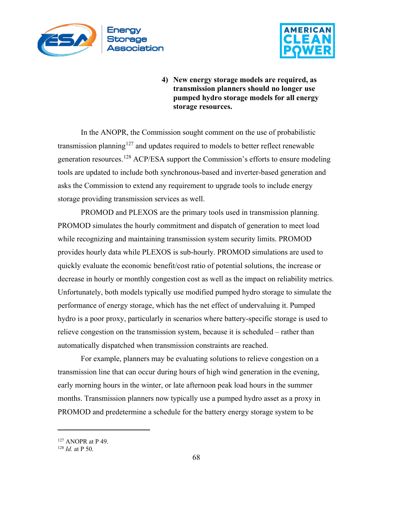



**4) New energy storage models are required, as transmission planners should no longer use pumped hydro storage models for all energy storage resources.** 

In the ANOPR, the Commission sought comment on the use of probabilistic transmission planning<sup>[127](#page-67-0)</sup> and updates required to models to better reflect renewable generation resources.<sup>[128](#page-67-1)</sup> ACP/ESA support the Commission's efforts to ensure modeling tools are updated to include both synchronous-based and inverter-based generation and asks the Commission to extend any requirement to upgrade tools to include energy storage providing transmission services as well.

PROMOD and PLEXOS are the primary tools used in transmission planning. PROMOD simulates the hourly commitment and dispatch of generation to meet load while recognizing and maintaining transmission system security limits. PROMOD provides hourly data while PLEXOS is sub-hourly. PROMOD simulations are used to quickly evaluate the economic benefit/cost ratio of potential solutions, the increase or decrease in hourly or monthly congestion cost as well as the impact on reliability metrics. Unfortunately, both models typically use modified pumped hydro storage to simulate the performance of energy storage, which has the net effect of undervaluing it. Pumped hydro is a poor proxy, particularly in scenarios where battery-specific storage is used to relieve congestion on the transmission system, because it is scheduled – rather than automatically dispatched when transmission constraints are reached.

For example, planners may be evaluating solutions to relieve congestion on a transmission line that can occur during hours of high wind generation in the evening, early morning hours in the winter, or late afternoon peak load hours in the summer months. Transmission planners now typically use a pumped hydro asset as a proxy in PROMOD and predetermine a schedule for the battery energy storage system to be

<span id="page-67-0"></span><sup>127</sup> ANOPR at P 49.

<span id="page-67-1"></span><sup>128</sup> *Id.* at P 50.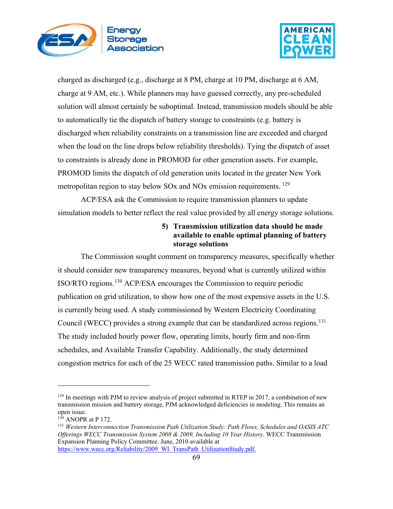



charged as discharged (e.g., discharge at 8 PM, charge at 10 PM, discharge at 6 AM, charge at 9 AM, etc.). While planners may have guessed correctly, any pre-scheduled solution will almost certainly be suboptimal. Instead, transmission models should be able to automatically tie the dispatch of battery storage to constraints (e.g. battery is discharged when reliability constraints on a transmission line are exceeded and charged when the load on the line drops below reliability thresholds). Tying the dispatch of asset to constraints is already done in PROMOD for other generation assets. For example, PROMOD limits the dispatch of old generation units located in the greater New York metropolitan region to stay below SOx and NO<sub>x</sub> emission requirements.<sup>129</sup>

ACP/ESA ask the Commission to require transmission planners to update simulation models to better reflect the real value provided by all energy storage solutions.

# **5) Transmission utilization data should be made available to enable optimal planning of battery storage solutions**

The Commission sought comment on transparency measures, specifically whether it should consider new transparency measures, beyond what is currently utilized within ISO/RTO regions.[130](#page-68-1) ACP/ESA encourages the Commission to require periodic publication on grid utilization, to show how one of the most expensive assets in the U.S. is currently being used. A study commissioned by Western Electricity Coordinating Council (WECC) provides a strong example that can be standardized across regions.<sup>[131](#page-68-2)</sup> The study included hourly power flow, operating limits, hourly firm and non-firm schedules, and Available Transfer Capability. Additionally, the study determined congestion metrics for each of the 25 WECC rated transmission paths. Similar to a load

<span id="page-68-0"></span> $129$  In meetings with PJM to review analysis of project submitted in RTEP in 2017, a combination of new transmission mission and battery storage, PJM acknowledged deficiencies in modeling. This remains an open issue.

<span id="page-68-1"></span> $130$  ANOPR at P 172.

<span id="page-68-2"></span><sup>131</sup> *Western Interconnection Transmission Path Utilization Study: Path Flows, Schedules and OASIS ATC Offerings WECC Transmission System 2008 & 2009, Including 10 Year History*. WECC Transmission Expansion Planning Policy Committee. June, 2010 available at [https://www.wecc.org/Reliability/2009\\_WI\\_TransPath\\_UtilizationStudy.pdf.](https://www.wecc.org/Reliability/2009_WI_TransPath_UtilizationStudy.pdf)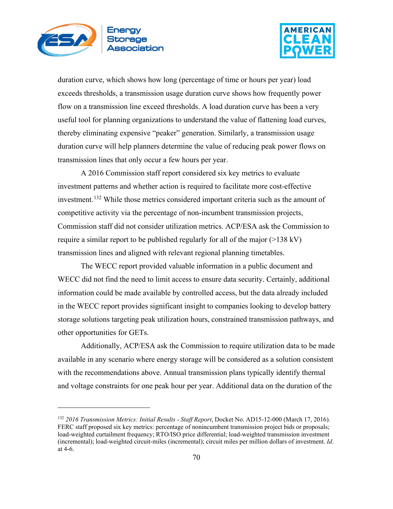



duration curve, which shows how long (percentage of time or hours per year) load exceeds thresholds, a transmission usage duration curve shows how frequently power flow on a transmission line exceed thresholds. A load duration curve has been a very useful tool for planning organizations to understand the value of flattening load curves, thereby eliminating expensive "peaker" generation. Similarly, a transmission usage duration curve will help planners determine the value of reducing peak power flows on transmission lines that only occur a few hours per year.

A 2016 Commission staff report considered six key metrics to evaluate investment patterns and whether action is required to facilitate more cost-effective investment.<sup>[132](#page-69-0)</sup> While those metrics considered important criteria such as the amount of competitive activity via the percentage of non-incumbent transmission projects, Commission staff did not consider utilization metrics. ACP/ESA ask the Commission to require a similar report to be published regularly for all of the major (>138 kV) transmission lines and aligned with relevant regional planning timetables.

The WECC report provided valuable information in a public document and WECC did not find the need to limit access to ensure data security. Certainly, additional information could be made available by controlled access, but the data already included in the WECC report provides significant insight to companies looking to develop battery storage solutions targeting peak utilization hours, constrained transmission pathways, and other opportunities for GETs.

Additionally, ACP/ESA ask the Commission to require utilization data to be made available in any scenario where energy storage will be considered as a solution consistent with the recommendations above. Annual transmission plans typically identify thermal and voltage constraints for one peak hour per year. Additional data on the duration of the

<span id="page-69-0"></span><sup>132</sup> *2016 Transmission Metrics: Initial Results - Staff Report*, Docket No. AD15-12-000 (March 17, 2016). FERC staff proposed six key metrics: percentage of nonincumbent transmission project bids or proposals; load-weighted curtailment frequency; RTO/ISO price differential; load-weighted transmission investment (incremental); load-weighted circuit-miles (incremental); circuit miles per million dollars of investment. *Id*. at 4-6.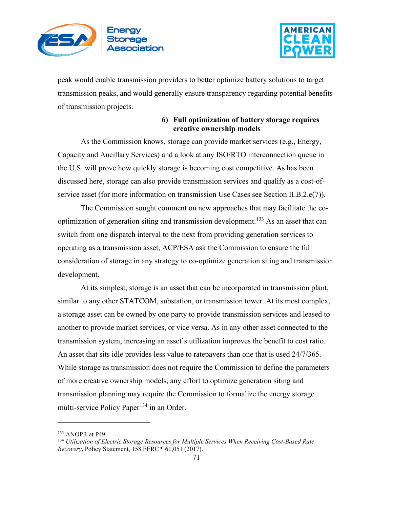



peak would enable transmission providers to better optimize battery solutions to target transmission peaks, and would generally ensure transparency regarding potential benefits of transmission projects.

## **6) Full optimization of battery storage requires creative ownership models**

As the Commission knows, storage can provide market services (e.g., Energy, Capacity and Ancillary Services) and a look at any ISO/RTO interconnection queue in the U.S. will prove how quickly storage is becoming cost competitive. As has been discussed here, storage can also provide transmission services and qualify as a cost-ofservice asset (for more information on transmission Use Cases see Section II.B.2.e(7)).

The Commission sought comment on new approaches that may facilitate the co-optimization of generation siting and transmission development.<sup>[133](#page-70-0)</sup> As an asset that can switch from one dispatch interval to the next from providing generation services to operating as a transmission asset, ACP/ESA ask the Commission to ensure the full consideration of storage in any strategy to co-optimize generation siting and transmission development.

At its simplest, storage is an asset that can be incorporated in transmission plant, similar to any other STATCOM, substation, or transmission tower. At its most complex, a storage asset can be owned by one party to provide transmission services and leased to another to provide market services, or vice versa. As in any other asset connected to the transmission system, increasing an asset's utilization improves the benefit to cost ratio. An asset that sits idle provides less value to ratepayers than one that is used 24/7/365. While storage as transmission does not require the Commission to define the parameters of more creative ownership models, any effort to optimize generation siting and transmission planning may require the Commission to formalize the energy storage multi-service Policy Paper<sup>[134](#page-70-1)</sup> in an Order.

<span id="page-70-0"></span><sup>133</sup> ANOPR at P49

<span id="page-70-1"></span><sup>134</sup> *Utilization of Electric Storage Resources for Multiple Services When Receiving Cost-Based Rate Recovery*, Policy Statement, 158 FERC ¶ 61,051 (2017).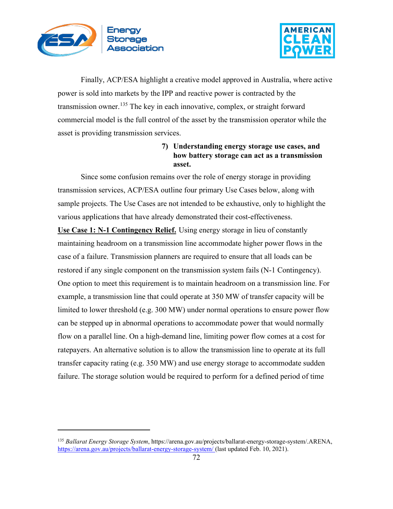



Finally, ACP/ESA highlight a creative model approved in Australia, where active power is sold into markets by the IPP and reactive power is contracted by the transmission owner.<sup>[135](#page-71-0)</sup> The key in each innovative, complex, or straight forward commercial model is the full control of the asset by the transmission operator while the asset is providing transmission services.

# **7) Understanding energy storage use cases, and how battery storage can act as a transmission asset.**

Since some confusion remains over the role of energy storage in providing transmission services, ACP/ESA outline four primary Use Cases below, along with sample projects. The Use Cases are not intended to be exhaustive, only to highlight the various applications that have already demonstrated their cost-effectiveness.

**Use Case 1: N-1 Contingency Relief.** Using energy storage in lieu of constantly maintaining headroom on a transmission line accommodate higher power flows in the case of a failure. Transmission planners are required to ensure that all loads can be restored if any single component on the transmission system fails (N-1 Contingency). One option to meet this requirement is to maintain headroom on a transmission line. For example, a transmission line that could operate at 350 MW of transfer capacity will be limited to lower threshold (e.g. 300 MW) under normal operations to ensure power flow can be stepped up in abnormal operations to accommodate power that would normally flow on a parallel line. On a high-demand line, limiting power flow comes at a cost for ratepayers. An alternative solution is to allow the transmission line to operate at its full transfer capacity rating (e.g. 350 MW) and use energy storage to accommodate sudden failure. The storage solution would be required to perform for a defined period of time

<span id="page-71-0"></span><sup>135</sup> *Ballarat Energy Storage System*, https://arena.gov.au/projects/ballarat-energy-storage-system/.ARENA, [https://arena.gov.au/projects/ballarat-energy-storage-system/ \(](https://arena.gov.au/projects/ballarat-energy-storage-system/)last updated Feb. 10, 2021).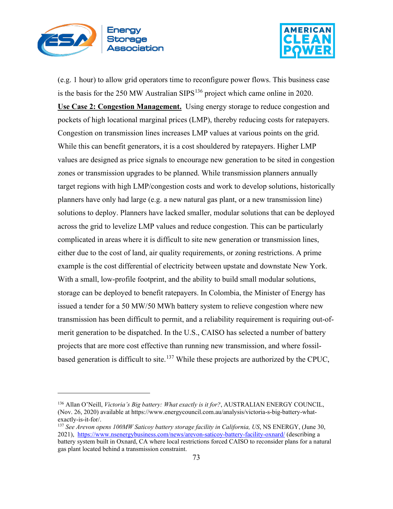



(e.g. 1 hour) to allow grid operators time to reconfigure power flows. This business case is the basis for the 250 MW Australian SIPS<sup>[136](#page-72-0)</sup> project which came online in 2020. **Use Case 2: Congestion Management.** Using energy storage to reduce congestion and pockets of high locational marginal prices (LMP), thereby reducing costs for ratepayers. Congestion on transmission lines increases LMP values at various points on the grid. While this can benefit generators, it is a cost shouldered by ratepayers. Higher LMP values are designed as price signals to encourage new generation to be sited in congestion zones or transmission upgrades to be planned. While transmission planners annually target regions with high LMP/congestion costs and work to develop solutions, historically planners have only had large (e.g. a new natural gas plant, or a new transmission line) solutions to deploy. Planners have lacked smaller, modular solutions that can be deployed across the grid to levelize LMP values and reduce congestion. This can be particularly complicated in areas where it is difficult to site new generation or transmission lines, either due to the cost of land, air quality requirements, or zoning restrictions. A prime example is the cost differential of electricity between upstate and downstate New York. With a small, low-profile footprint, and the ability to build small modular solutions, storage can be deployed to benefit ratepayers. In Colombia, the Minister of Energy has issued a tender for a 50 MW/50 MWh battery system to relieve congestion where new transmission has been difficult to permit, and a reliability requirement is requiring out-ofmerit generation to be dispatched. In the U.S., CAISO has selected a number of battery projects that are more cost effective than running new transmission, and where fossil-based generation is difficult to site.<sup>[137](#page-72-1)</sup> While these projects are authorized by the CPUC,

<span id="page-72-0"></span><sup>136</sup> Allan O'Neill, *Victoria's Big battery: What exactly is it for?*, AUSTRALIAN ENERGY COUNCIL, (Nov. 26, 2020) available at https://www.energycouncil.com.au/analysis/victoria-s-big-battery-whatexactly-is-it-for/.

<span id="page-72-1"></span><sup>137</sup> *See Arevon opens 100MW Saticoy battery storage facility in California, US*, NS ENERGY, (June 30, 2021), <https://www.nsenergybusiness.com/news/arevon-saticoy-battery-facility-oxnard/> (describing a battery system built in Oxnard, CA where local restrictions forced CAISO to reconsider plans for a natural gas plant located behind a transmission constraint.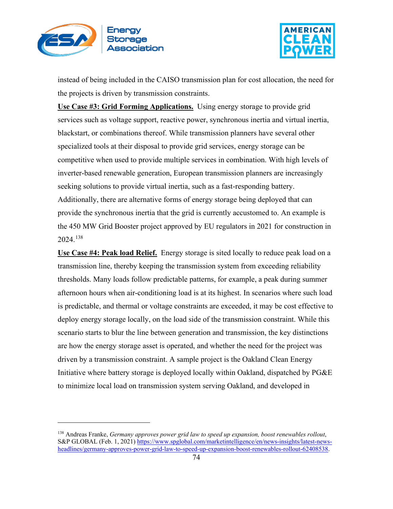



instead of being included in the CAISO transmission plan for cost allocation, the need for the projects is driven by transmission constraints.

**Use Case #3: Grid Forming Applications.** Using energy storage to provide grid services such as voltage support, reactive power, synchronous inertia and virtual inertia, blackstart, or combinations thereof. While transmission planners have several other specialized tools at their disposal to provide grid services, energy storage can be competitive when used to provide multiple services in combination. With high levels of inverter-based renewable generation, European transmission planners are increasingly seeking solutions to provide virtual inertia, such as a fast-responding battery. Additionally, there are alternative forms of energy storage being deployed that can provide the synchronous inertia that the grid is currently accustomed to. An example is the 450 MW Grid Booster project approved by EU regulators in 2021 for construction in 2024.[138](#page-73-0)

**Use Case #4: Peak load Relief.** Energy storage is sited locally to reduce peak load on a transmission line, thereby keeping the transmission system from exceeding reliability thresholds. Many loads follow predictable patterns, for example, a peak during summer afternoon hours when air-conditioning load is at its highest. In scenarios where such load is predictable, and thermal or voltage constraints are exceeded, it may be cost effective to deploy energy storage locally, on the load side of the transmission constraint. While this scenario starts to blur the line between generation and transmission, the key distinctions are how the energy storage asset is operated, and whether the need for the project was driven by a transmission constraint. A sample project is the Oakland Clean Energy Initiative where battery storage is deployed locally within Oakland, dispatched by PG&E to minimize local load on transmission system serving Oakland, and developed in

<span id="page-73-0"></span><sup>138</sup> Andreas Franke, *Germany approves power grid law to speed up expansion, boost renewables rollout*, S&P GLOBAL (Feb. 1, 2021[\) https://www.spglobal.com/marketintelligence/en/news-insights/latest-news](https://www.spglobal.com/marketintelligence/en/news-insights/latest-news-headlines/germany-approves-power-grid-law-to-speed-up-expansion-boost-renewables-rollout-62408538)[headlines/germany-approves-power-grid-law-to-speed-up-expansion-boost-renewables-rollout-62408538.](https://www.spglobal.com/marketintelligence/en/news-insights/latest-news-headlines/germany-approves-power-grid-law-to-speed-up-expansion-boost-renewables-rollout-62408538)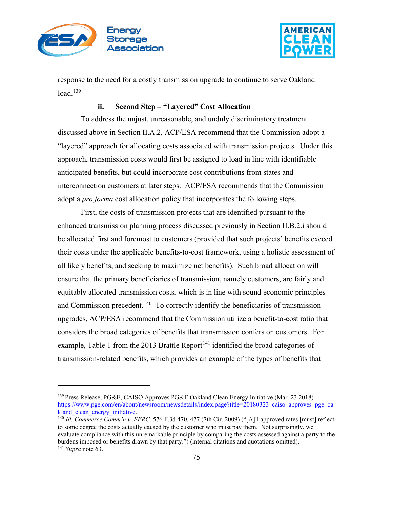



response to the need for a costly transmission upgrade to continue to serve Oakland load.<sup>[139](#page-74-0)</sup>

#### **ii. Second Step – "Layered" Cost Allocation**

To address the unjust, unreasonable, and unduly discriminatory treatment discussed above in Section II.A.2, ACP/ESA recommend that the Commission adopt a "layered" approach for allocating costs associated with transmission projects. Under this approach, transmission costs would first be assigned to load in line with identifiable anticipated benefits, but could incorporate cost contributions from states and interconnection customers at later steps. ACP/ESA recommends that the Commission adopt a *pro forma* cost allocation policy that incorporates the following steps.

First, the costs of transmission projects that are identified pursuant to the enhanced transmission planning process discussed previously in Section II.B.2.i should be allocated first and foremost to customers (provided that such projects' benefits exceed their costs under the applicable benefits-to-cost framework, using a holistic assessment of all likely benefits, and seeking to maximize net benefits). Such broad allocation will ensure that the primary beneficiaries of transmission, namely customers, are fairly and equitably allocated transmission costs, which is in line with sound economic principles and Commission precedent.<sup>[140](#page-74-1)</sup> To correctly identify the beneficiaries of transmission upgrades, ACP/ESA recommend that the Commission utilize a benefit-to-cost ratio that considers the broad categories of benefits that transmission confers on customers. For example, Table 1 from the 2013 Brattle Report<sup>[141](#page-74-2)</sup> identified the broad categories of transmission-related benefits, which provides an example of the types of benefits that

<span id="page-74-0"></span><sup>139</sup> Press Release, PG&E, CAISO Approves PG&E Oakland Clean Energy Initiative (Mar. 23 2018) [https://www.pge.com/en/about/newsroom/newsdetails/index.page?title=20180323\\_caiso\\_approves\\_pge\\_oa](https://www.pge.com/en/about/newsroom/newsdetails/index.page?title=20180323_caiso_approves_pge_oakland_clean_energy_initiative) [kland\\_clean\\_energy\\_initiative.](https://www.pge.com/en/about/newsroom/newsdetails/index.page?title=20180323_caiso_approves_pge_oakland_clean_energy_initiative)<br><sup>140</sup> *III. Commerce Comm'n v. FERC,* 576 F.3d 470, 477 (7th Cir. 2009) ("[A]ll approved rates [must] reflect

<span id="page-74-2"></span><span id="page-74-1"></span>to some degree the costs actually caused by the customer who must pay them. Not surprisingly, we evaluate compliance with this unremarkable principle by comparing the costs assessed against a party to the burdens imposed or benefits drawn by that party.") (internal citations and quotations omitted). <sup>141</sup> *Supra* note 63.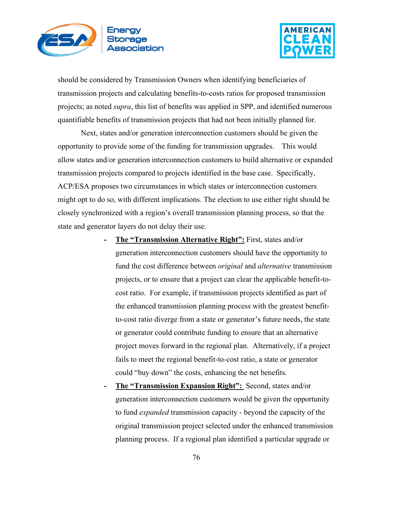



should be considered by Transmission Owners when identifying beneficiaries of transmission projects and calculating benefits-to-costs ratios for proposed transmission projects; as noted *supra*, this list of benefits was applied in SPP, and identified numerous quantifiable benefits of transmission projects that had not been initially planned for.

Next, states and/or generation interconnection customers should be given the opportunity to provide some of the funding for transmission upgrades. This would allow states and/or generation interconnection customers to build alternative or expanded transmission projects compared to projects identified in the base case. Specifically, ACP/ESA proposes two circumstances in which states or interconnection customers might opt to do so, with different implications. The election to use either right should be closely synchronized with a region's overall transmission planning process, so that the state and generator layers do not delay their use.

- **- The "Transmission Alternative Right":** First, states and/or generation interconnection customers should have the opportunity to fund the cost difference between *original* and *alternative* transmission projects, or to ensure that a project can clear the applicable benefit-tocost ratio. For example, if transmission projects identified as part of the enhanced transmission planning process with the greatest benefitto-cost ratio diverge from a state or generator's future needs, the state or generator could contribute funding to ensure that an alternative project moves forward in the regional plan. Alternatively, if a project fails to meet the regional benefit-to-cost ratio, a state or generator could "buy down" the costs, enhancing the net benefits.
- **- The "Transmission Expansion Right":** Second, states and/or generation interconnection customers would be given the opportunity to fund *expanded* transmission capacity - beyond the capacity of the original transmission project selected under the enhanced transmission planning process. If a regional plan identified a particular upgrade or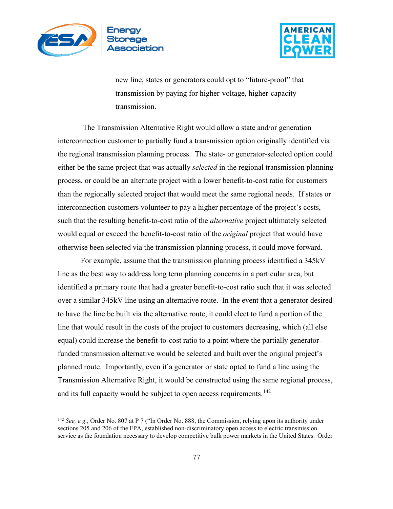



new line, states or generators could opt to "future-proof" that transmission by paying for higher-voltage, higher-capacity transmission.

The Transmission Alternative Right would allow a state and/or generation interconnection customer to partially fund a transmission option originally identified via the regional transmission planning process. The state- or generator-selected option could either be the same project that was actually *selected* in the regional transmission planning process, or could be an alternate project with a lower benefit-to-cost ratio for customers than the regionally selected project that would meet the same regional needs. If states or interconnection customers volunteer to pay a higher percentage of the project's costs, such that the resulting benefit-to-cost ratio of the *alternative* project ultimately selected would equal or exceed the benefit-to-cost ratio of the *original* project that would have otherwise been selected via the transmission planning process, it could move forward.

For example, assume that the transmission planning process identified a 345kV line as the best way to address long term planning concerns in a particular area, but identified a primary route that had a greater benefit-to-cost ratio such that it was selected over a similar 345kV line using an alternative route. In the event that a generator desired to have the line be built via the alternative route, it could elect to fund a portion of the line that would result in the costs of the project to customers decreasing, which (all else equal) could increase the benefit-to-cost ratio to a point where the partially generatorfunded transmission alternative would be selected and built over the original project's planned route. Importantly, even if a generator or state opted to fund a line using the Transmission Alternative Right, it would be constructed using the same regional process, and its full capacity would be subject to open access requirements.<sup>[142](#page-76-0)</sup>

<span id="page-76-0"></span><sup>142</sup> *See, e.g.*, Order No. 807 at P 7 ("In Order No. 888, the Commission, relying upon its authority under sections 205 and 206 of the FPA, established non-discriminatory open access to electric transmission service as the foundation necessary to develop competitive bulk power markets in the United States. Order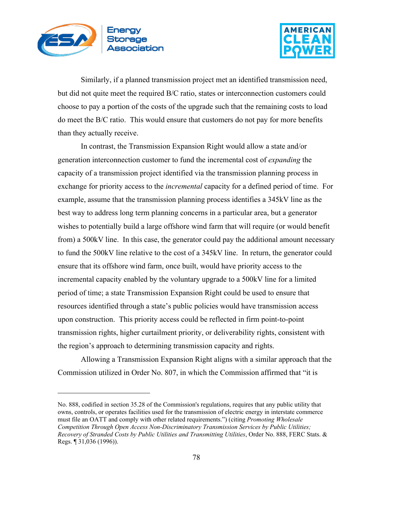



Similarly, if a planned transmission project met an identified transmission need, but did not quite meet the required B/C ratio, states or interconnection customers could choose to pay a portion of the costs of the upgrade such that the remaining costs to load do meet the B/C ratio. This would ensure that customers do not pay for more benefits than they actually receive.

In contrast, the Transmission Expansion Right would allow a state and/or generation interconnection customer to fund the incremental cost of *expanding* the capacity of a transmission project identified via the transmission planning process in exchange for priority access to the *incremental* capacity for a defined period of time. For example, assume that the transmission planning process identifies a 345kV line as the best way to address long term planning concerns in a particular area, but a generator wishes to potentially build a large offshore wind farm that will require (or would benefit from) a 500kV line. In this case, the generator could pay the additional amount necessary to fund the 500kV line relative to the cost of a 345kV line. In return, the generator could ensure that its offshore wind farm, once built, would have priority access to the incremental capacity enabled by the voluntary upgrade to a 500kV line for a limited period of time; a state Transmission Expansion Right could be used to ensure that resources identified through a state's public policies would have transmission access upon construction. This priority access could be reflected in firm point-to-point transmission rights, higher curtailment priority, or deliverability rights, consistent with the region's approach to determining transmission capacity and rights.

Allowing a Transmission Expansion Right aligns with a similar approach that the Commission utilized in Order No. 807, in which the Commission affirmed that "it is

No. 888, codified in section 35.28 of the Commission's regulations, requires that any public utility that owns, controls, or operates facilities used for the transmission of electric energy in interstate commerce must file an OATT and comply with other related requirements.") (citing *Promoting Wholesale Competition Through Open Access Non-Discriminatory Transmission Services by Public Utilities; Recovery of Stranded Costs by Public Utilities and Transmitting Utilities*, Order No. 888, FERC Stats. & Regs. ¶ 31,036 (1996)).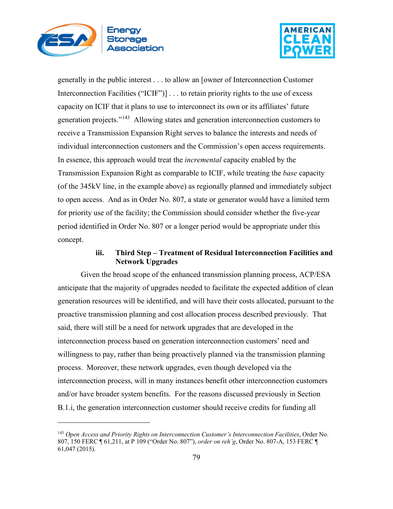



generally in the public interest . . . to allow an [owner of Interconnection Customer Interconnection Facilities ("ICIF")] . . . to retain priority rights to the use of excess capacity on ICIF that it plans to use to interconnect its own or its affiliates' future generation projects."[143](#page-78-0) Allowing states and generation interconnection customers to receive a Transmission Expansion Right serves to balance the interests and needs of individual interconnection customers and the Commission's open access requirements. In essence, this approach would treat the *incremental* capacity enabled by the Transmission Expansion Right as comparable to ICIF, while treating the *base* capacity (of the 345kV line, in the example above) as regionally planned and immediately subject to open access. And as in Order No. 807, a state or generator would have a limited term for priority use of the facility; the Commission should consider whether the five-year period identified in Order No. 807 or a longer period would be appropriate under this concept.

## **iii. Third Step – Treatment of Residual Interconnection Facilities and Network Upgrades**

Given the broad scope of the enhanced transmission planning process, ACP/ESA anticipate that the majority of upgrades needed to facilitate the expected addition of clean generation resources will be identified, and will have their costs allocated, pursuant to the proactive transmission planning and cost allocation process described previously. That said, there will still be a need for network upgrades that are developed in the interconnection process based on generation interconnection customers' need and willingness to pay, rather than being proactively planned via the transmission planning process. Moreover, these network upgrades, even though developed via the interconnection process, will in many instances benefit other interconnection customers and/or have broader system benefits. For the reasons discussed previously in Section B.1.i, the generation interconnection customer should receive credits for funding all

<span id="page-78-0"></span><sup>143</sup> *Open Access and Priority Rights on Interconnection Customer's Interconnection Facilities*, Order No. 807, 150 FERC ¶ 61,211, at P 109 ("Order No. 807"), *order on reh'g*, Order No. 807-A, 153 FERC ¶ 61,047 (2015).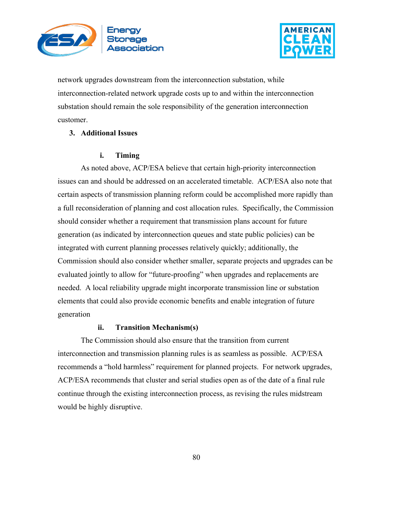



network upgrades downstream from the interconnection substation, while interconnection-related network upgrade costs up to and within the interconnection substation should remain the sole responsibility of the generation interconnection customer.

## **3. Additional Issues**

### **i. Timing**

As noted above, ACP/ESA believe that certain high-priority interconnection issues can and should be addressed on an accelerated timetable. ACP/ESA also note that certain aspects of transmission planning reform could be accomplished more rapidly than a full reconsideration of planning and cost allocation rules. Specifically, the Commission should consider whether a requirement that transmission plans account for future generation (as indicated by interconnection queues and state public policies) can be integrated with current planning processes relatively quickly; additionally, the Commission should also consider whether smaller, separate projects and upgrades can be evaluated jointly to allow for "future-proofing" when upgrades and replacements are needed. A local reliability upgrade might incorporate transmission line or substation elements that could also provide economic benefits and enable integration of future generation

# **ii. Transition Mechanism(s)**

The Commission should also ensure that the transition from current interconnection and transmission planning rules is as seamless as possible. ACP/ESA recommends a "hold harmless" requirement for planned projects. For network upgrades, ACP/ESA recommends that cluster and serial studies open as of the date of a final rule continue through the existing interconnection process, as revising the rules midstream would be highly disruptive.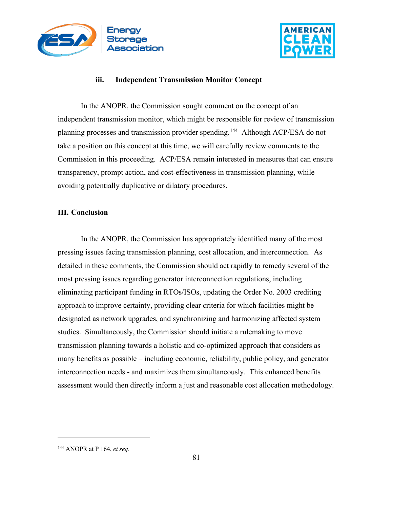



## **iii. Independent Transmission Monitor Concept**

In the ANOPR, the Commission sought comment on the concept of an independent transmission monitor, which might be responsible for review of transmission planning processes and transmission provider spending.<sup>144</sup> Although ACP/ESA do not take a position on this concept at this time, we will carefully review comments to the Commission in this proceeding. ACP/ESA remain interested in measures that can ensure transparency, prompt action, and cost-effectiveness in transmission planning, while avoiding potentially duplicative or dilatory procedures.

#### **III. Conclusion**

In the ANOPR, the Commission has appropriately identified many of the most pressing issues facing transmission planning, cost allocation, and interconnection. As detailed in these comments, the Commission should act rapidly to remedy several of the most pressing issues regarding generator interconnection regulations, including eliminating participant funding in RTOs/ISOs, updating the Order No. 2003 crediting approach to improve certainty, providing clear criteria for which facilities might be designated as network upgrades, and synchronizing and harmonizing affected system studies. Simultaneously, the Commission should initiate a rulemaking to move transmission planning towards a holistic and co-optimized approach that considers as many benefits as possible – including economic, reliability, public policy, and generator interconnection needs - and maximizes them simultaneously. This enhanced benefits assessment would then directly inform a just and reasonable cost allocation methodology.

<span id="page-80-0"></span><sup>144</sup> ANOPR at P 164, *et seq*.